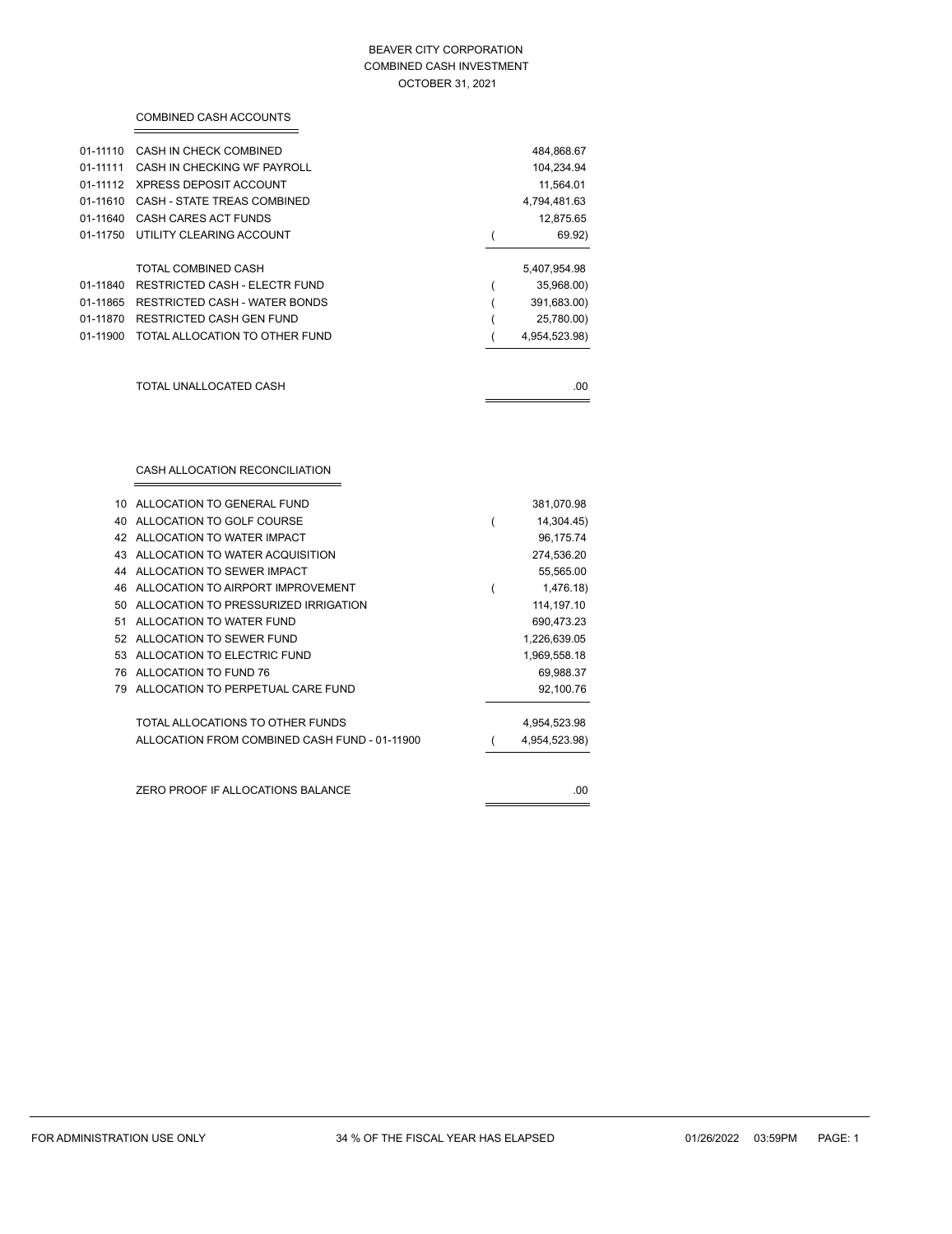#### BEAVER CITY CORPORATION COMBINED CASH INVESTMENT OCTOBER 31, 2021

|          | COMBINED CASH ACCOUNTS                 |               |
|----------|----------------------------------------|---------------|
| 01-11110 | CASH IN CHECK COMBINED                 | 484,868.67    |
| 01-11111 | CASH IN CHECKING WF PAYROLL            | 104,234.94    |
|          | 01-11112 XPRESS DEPOSIT ACCOUNT        | 11,564.01     |
|          | 01-11610 CASH - STATE TREAS COMBINED   | 4,794,481.63  |
| 01-11640 | CASH CARES ACT FUNDS                   | 12,875.65     |
|          | 01-11750 UTILITY CLEARING ACCOUNT      | 69.92)        |
|          | TOTAL COMBINED CASH                    | 5,407,954.98  |
| 01-11840 | <b>RESTRICTED CASH - ELECTR FUND</b>   | 35,968.00)    |
|          | 01-11865 RESTRICTED CASH - WATER BONDS | 391,683.00)   |
|          | 01-11870 RESTRICTED CASH GEN FUND      | 25,780.00)    |
| 01-11900 | TOTAL ALLOCATION TO OTHER FUND         | 4,954,523.98) |
|          |                                        |               |
|          | TOTAL UNALLOCATED CASH                 | .00           |
|          |                                        |               |
|          |                                        |               |
|          | CASH ALLOCATION RECONCILIATION         |               |

| 10 | ALLOCATION TO GENERAL FUND                    | 381,070.98    |
|----|-----------------------------------------------|---------------|
|    | 40 ALLOCATION TO GOLF COURSE                  | 14,304.45)    |
|    | 42 ALLOCATION TO WATER IMPACT                 | 96,175.74     |
|    | 43 ALLOCATION TO WATER ACQUISITION            | 274,536.20    |
|    | 44 ALLOCATION TO SEWER IMPACT                 | 55,565.00     |
|    | 46 ALLOCATION TO AIRPORT IMPROVEMENT          | 1,476.18)     |
| 50 | ALLOCATION TO PRESSURIZED IRRIGATION          | 114, 197. 10  |
| 51 | ALLOCATION TO WATER FUND                      | 690,473.23    |
|    | 52 ALLOCATION TO SEWER FUND                   | 1,226,639.05  |
|    | 53 ALLOCATION TO ELECTRIC FUND                | 1,969,558.18  |
|    | 76 ALLOCATION TO FUND 76                      | 69,988.37     |
|    | 79 ALLOCATION TO PERPETUAL CARE FUND          | 92,100.76     |
|    | TOTAL ALLOCATIONS TO OTHER FUNDS              | 4,954,523.98  |
|    | ALLOCATION FROM COMBINED CASH FUND - 01-11900 | 4,954,523.98) |
|    |                                               |               |
|    | ZERO PROOF IF ALLOCATIONS BALANCE             | .00           |
|    |                                               |               |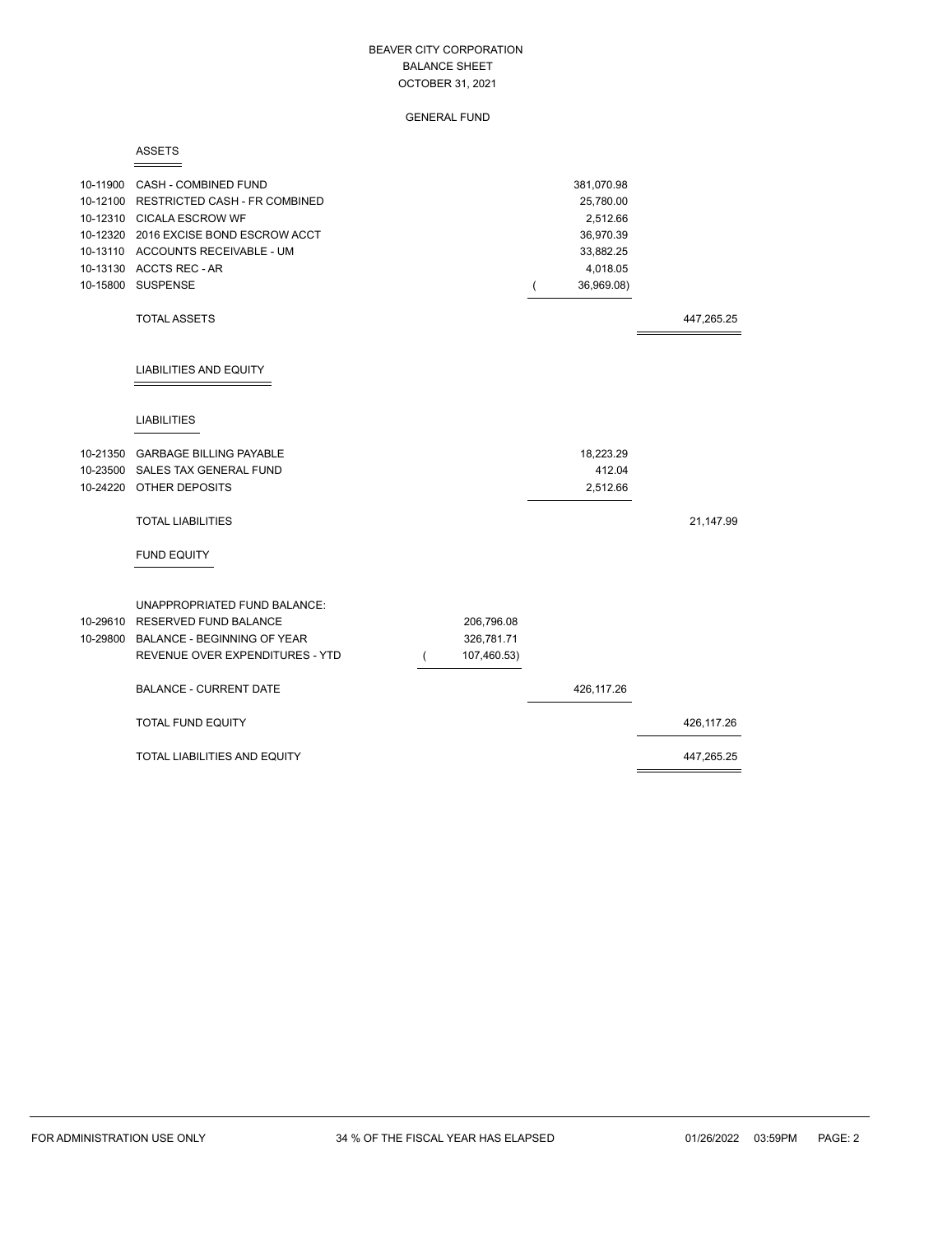GENERAL FUND

#### ASSETS

| 10-11900 CASH - COMBINED FUND<br>10-12100 RESTRICTED CASH - FR COMBINED<br>10-12310 CICALA ESCROW WF<br>10-12320 2016 EXCISE BOND ESCROW ACCT<br>10-13110 ACCOUNTS RECEIVABLE - UM<br>10-13130 ACCTS REC - AR<br>10-15800 SUSPENSE |             | 381,070.98<br>25,780.00<br>2,512.66<br>36,970.39<br>33,882.25<br>4,018.05<br>36,969.08) |            |
|------------------------------------------------------------------------------------------------------------------------------------------------------------------------------------------------------------------------------------|-------------|-----------------------------------------------------------------------------------------|------------|
| <b>TOTAL ASSETS</b>                                                                                                                                                                                                                |             |                                                                                         | 447,265.25 |
| <b>LIABILITIES AND EQUITY</b>                                                                                                                                                                                                      |             |                                                                                         |            |
| <b>LIABILITIES</b>                                                                                                                                                                                                                 |             |                                                                                         |            |
| 10-21350 GARBAGE BILLING PAYABLE                                                                                                                                                                                                   |             | 18,223.29                                                                               |            |
| 10-23500 SALES TAX GENERAL FUND                                                                                                                                                                                                    |             | 412.04                                                                                  |            |
| 10-24220 OTHER DEPOSITS                                                                                                                                                                                                            |             | 2,512.66                                                                                |            |
| <b>TOTAL LIABILITIES</b>                                                                                                                                                                                                           |             |                                                                                         | 21,147.99  |
| <b>FUND EQUITY</b>                                                                                                                                                                                                                 |             |                                                                                         |            |
| UNAPPROPRIATED FUND BALANCE:                                                                                                                                                                                                       |             |                                                                                         |            |
| 10-29610 RESERVED FUND BALANCE                                                                                                                                                                                                     | 206,796.08  |                                                                                         |            |
| 10-29800 BALANCE - BEGINNING OF YEAR                                                                                                                                                                                               | 326,781.71  |                                                                                         |            |
| REVENUE OVER EXPENDITURES - YTD                                                                                                                                                                                                    | 107,460.53) |                                                                                         |            |
| <b>BALANCE - CURRENT DATE</b>                                                                                                                                                                                                      |             | 426,117.26                                                                              |            |
| <b>TOTAL FUND EQUITY</b>                                                                                                                                                                                                           |             |                                                                                         | 426,117.26 |
| TOTAL LIABILITIES AND EQUITY                                                                                                                                                                                                       |             |                                                                                         | 447,265.25 |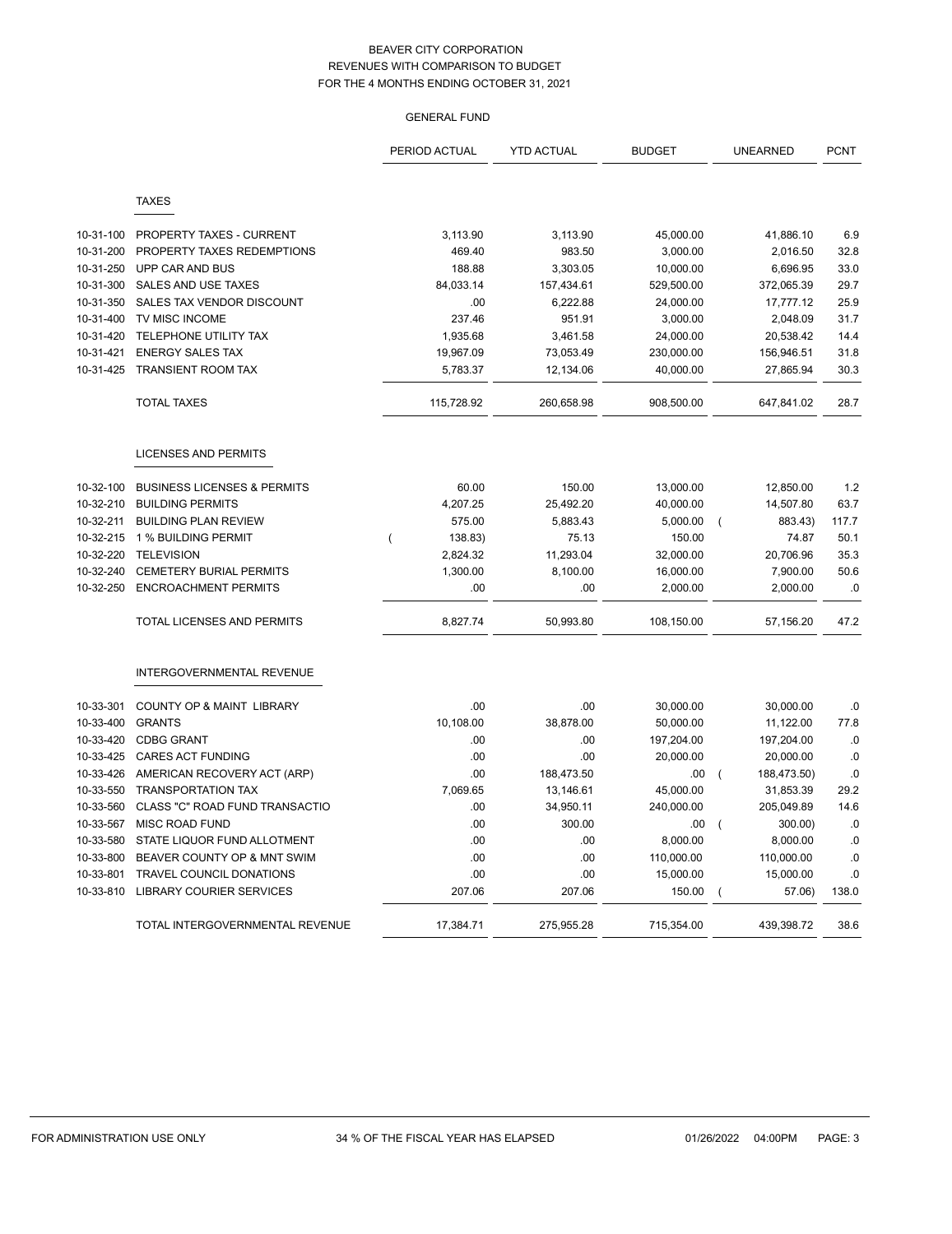|           |                                        | PERIOD ACTUAL | <b>YTD ACTUAL</b> | <b>BUDGET</b> | <b>UNEARNED</b>               | <b>PCNT</b> |
|-----------|----------------------------------------|---------------|-------------------|---------------|-------------------------------|-------------|
|           | <b>TAXES</b>                           |               |                   |               |                               |             |
| 10-31-100 | PROPERTY TAXES - CURRENT               | 3,113.90      | 3,113.90          | 45,000.00     | 41,886.10                     | 6.9         |
| 10-31-200 | PROPERTY TAXES REDEMPTIONS             | 469.40        | 983.50            | 3,000.00      | 2,016.50                      | 32.8        |
| 10-31-250 | UPP CAR AND BUS                        | 188.88        | 3,303.05          | 10,000.00     | 6,696.95                      | 33.0        |
| 10-31-300 | SALES AND USE TAXES                    | 84,033.14     | 157,434.61        | 529,500.00    | 372,065.39                    | 29.7        |
| 10-31-350 | SALES TAX VENDOR DISCOUNT              | .00           | 6,222.88          | 24,000.00     | 17,777.12                     | 25.9        |
| 10-31-400 | TV MISC INCOME                         | 237.46        | 951.91            | 3,000.00      | 2,048.09                      | 31.7        |
| 10-31-420 | TELEPHONE UTILITY TAX                  | 1,935.68      | 3,461.58          | 24,000.00     | 20,538.42                     | 14.4        |
| 10-31-421 | <b>ENERGY SALES TAX</b>                | 19,967.09     | 73,053.49         | 230,000.00    | 156,946.51                    | 31.8        |
| 10-31-425 | <b>TRANSIENT ROOM TAX</b>              | 5,783.37      | 12,134.06         | 40,000.00     | 27,865.94                     | 30.3        |
|           | <b>TOTAL TAXES</b>                     | 115,728.92    | 260,658.98        | 908.500.00    | 647,841.02                    | 28.7        |
|           | <b>LICENSES AND PERMITS</b>            |               |                   |               |                               |             |
| 10-32-100 | <b>BUSINESS LICENSES &amp; PERMITS</b> | 60.00         | 150.00            | 13,000.00     | 12,850.00                     | 1.2         |
| 10-32-210 | <b>BUILDING PERMITS</b>                | 4,207.25      | 25,492.20         | 40,000.00     | 14,507.80                     | 63.7        |
| 10-32-211 | <b>BUILDING PLAN REVIEW</b>            | 575.00        | 5,883.43          | 5,000.00      | 883.43)<br>$\overline{ }$     | 117.7       |
| 10-32-215 | 1 % BUILDING PERMIT                    | 138.83)       | 75.13             | 150.00        | 74.87                         | 50.1        |
| 10-32-220 | <b>TELEVISION</b>                      | 2,824.32      | 11,293.04         | 32,000.00     | 20,706.96                     | 35.3        |
| 10-32-240 | <b>CEMETERY BURIAL PERMITS</b>         | 1,300.00      | 8,100.00          | 16,000.00     | 7,900.00                      | 50.6        |
| 10-32-250 | <b>ENCROACHMENT PERMITS</b>            | .00           | .00               | 2,000.00      | 2,000.00                      | .0          |
|           | <b>TOTAL LICENSES AND PERMITS</b>      | 8,827.74      | 50,993.80         | 108,150.00    | 57,156.20                     | 47.2        |
|           | <b>INTERGOVERNMENTAL REVENUE</b>       |               |                   |               |                               |             |
| 10-33-301 | <b>COUNTY OP &amp; MAINT LIBRARY</b>   | .00           | .00               | 30,000.00     | 30,000.00                     | .0          |
| 10-33-400 | <b>GRANTS</b>                          | 10,108.00     | 38,878.00         | 50,000.00     | 11,122.00                     | 77.8        |
| 10-33-420 | <b>CDBG GRANT</b>                      | .00           | .00               | 197,204.00    | 197,204.00                    | .0          |
| 10-33-425 | <b>CARES ACT FUNDING</b>               | .00           | .00               | 20,000.00     | 20,000.00                     | .0          |
| 10-33-426 | AMERICAN RECOVERY ACT (ARP)            | .00           | 188,473.50        | .00           | 188,473.50)<br>$\overline{ }$ | .0          |
| 10-33-550 | <b>TRANSPORTATION TAX</b>              | 7,069.65      | 13,146.61         | 45,000.00     | 31,853.39                     | 29.2        |
| 10-33-560 | CLASS "C" ROAD FUND TRANSACTIO         | .00           | 34,950.11         | 240,000.00    | 205,049.89                    | 14.6        |
| 10-33-567 | <b>MISC ROAD FUND</b>                  | .00           | 300.00            | .00           | 300.00)<br>$\overline{ }$     | .0          |
| 10-33-580 | STATE LIQUOR FUND ALLOTMENT            | .00           | .00.              | 8,000.00      | 8,000.00                      | .0          |
| 10-33-800 | BEAVER COUNTY OP & MNT SWIM            | .00           | .00               | 110,000.00    | 110,000.00                    | .0          |
| 10-33-801 | TRAVEL COUNCIL DONATIONS               | .00           | .00               | 15,000.00     | 15,000.00                     | .0          |
| 10-33-810 | <b>LIBRARY COURIER SERVICES</b>        | 207.06        | 207.06            | 150.00        | 57.06)                        | 138.0       |
|           | TOTAL INTERGOVERNMENTAL REVENUE        | 17,384.71     | 275,955.28        | 715,354.00    | 439,398.72                    | 38.6        |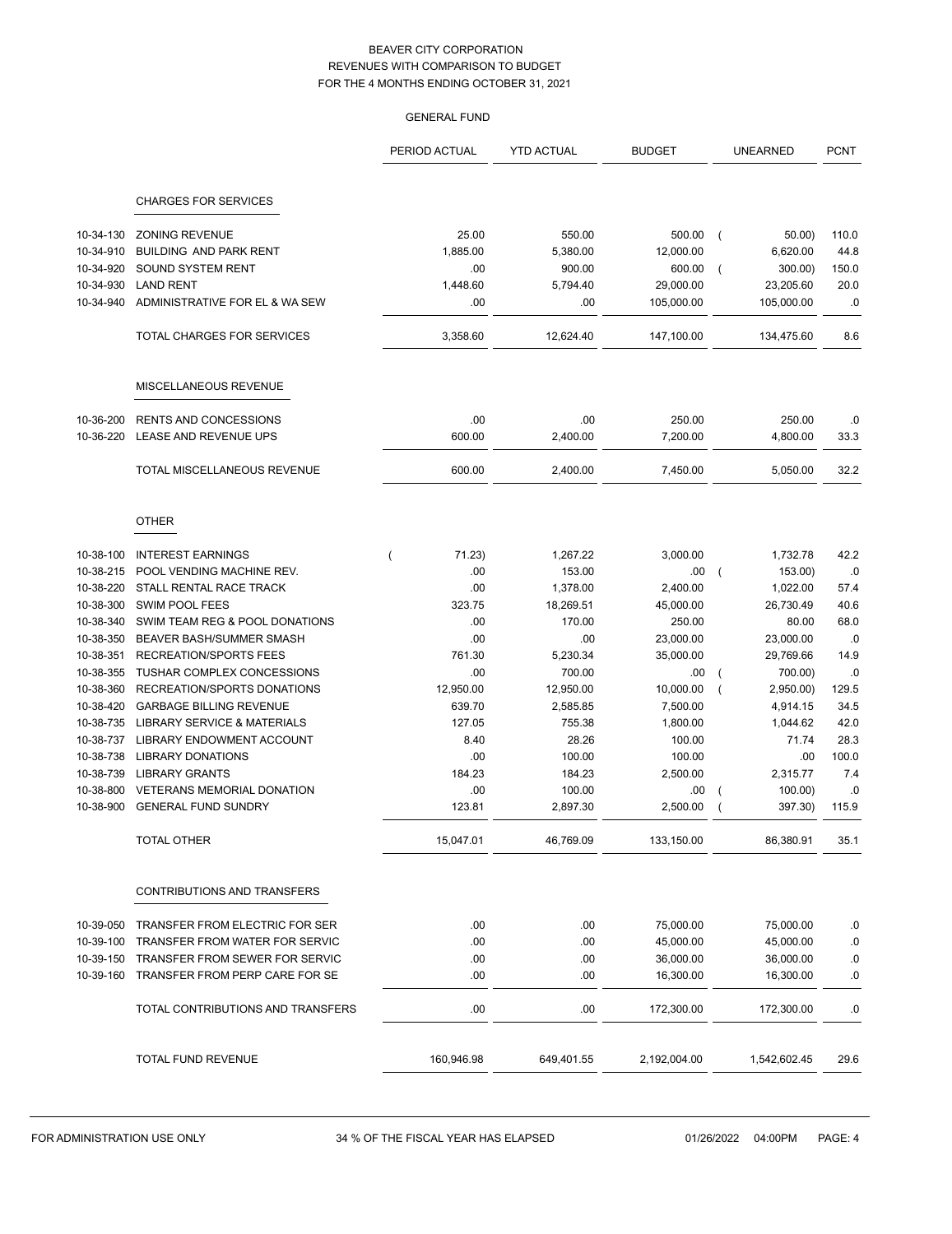|           |                                        | <b>GENERAL FUND</b>      |                   |               |                           |             |
|-----------|----------------------------------------|--------------------------|-------------------|---------------|---------------------------|-------------|
|           |                                        | PERIOD ACTUAL            | <b>YTD ACTUAL</b> | <b>BUDGET</b> | <b>UNEARNED</b>           | <b>PCNT</b> |
|           | <b>CHARGES FOR SERVICES</b>            |                          |                   |               |                           |             |
| 10-34-130 | <b>ZONING REVENUE</b>                  | 25.00                    | 550.00            | 500.00        | 50.00<br>$\left($         | 110.0       |
| 10-34-910 | BUILDING AND PARK RENT                 | 1,885.00                 | 5,380.00          | 12,000.00     | 6,620.00                  | 44.8        |
| 10-34-920 | SOUND SYSTEM RENT                      | .00                      | 900.00            | 600.00        | 300.00)                   | 150.0       |
| 10-34-930 | <b>LAND RENT</b>                       | 1,448.60                 | 5,794.40          | 29,000.00     | 23,205.60                 | 20.0        |
| 10-34-940 | ADMINISTRATIVE FOR EL & WA SEW         | .00                      | .00               | 105,000.00    | 105,000.00                | $\cdot$ 0   |
|           | TOTAL CHARGES FOR SERVICES             | 3,358.60                 | 12,624.40         | 147,100.00    | 134,475.60                | 8.6         |
|           | MISCELLANEOUS REVENUE                  |                          |                   |               |                           |             |
| 10-36-200 | <b>RENTS AND CONCESSIONS</b>           | .00                      | .00               | 250.00        | 250.00                    | .0          |
| 10-36-220 | LEASE AND REVENUE UPS                  | 600.00                   | 2,400.00          | 7.200.00      | 4,800.00                  | 33.3        |
|           | TOTAL MISCELLANEOUS REVENUE            | 600.00                   | 2,400.00          | 7,450.00      | 5,050.00                  | 32.2        |
|           | <b>OTHER</b>                           |                          |                   |               |                           |             |
| 10-38-100 | <b>INTEREST EARNINGS</b>               | 71.23)<br>$\overline{(}$ | 1,267.22          | 3,000.00      | 1,732.78                  | 42.2        |
| 10-38-215 | POOL VENDING MACHINE REV.              | .00                      | 153.00            | .00           | 153.00)                   | $.0\,$      |
| 10-38-220 | STALL RENTAL RACE TRACK                | .00                      | 1,378.00          | 2,400.00      | 1,022.00                  | 57.4        |
| 10-38-300 | SWIM POOL FEES                         | 323.75                   | 18,269.51         | 45,000.00     | 26,730.49                 | 40.6        |
| 10-38-340 | SWIM TEAM REG & POOL DONATIONS         | .00                      | 170.00            | 250.00        | 80.00                     | 68.0        |
| 10-38-350 | BEAVER BASH/SUMMER SMASH               | .00                      | .00               | 23,000.00     | 23,000.00                 | .0          |
| 10-38-351 | <b>RECREATION/SPORTS FEES</b>          | 761.30                   | 5,230.34          | 35,000.00     | 29,769.66                 | 14.9        |
| 10-38-355 | TUSHAR COMPLEX CONCESSIONS             | .00                      | 700.00            | .00           | 700.00)<br>$\overline{ }$ | .0          |
| 10-38-360 | RECREATION/SPORTS DONATIONS            | 12,950.00                | 12,950.00         | 10,000.00     | 2,950.00)                 | 129.5       |
| 10-38-420 | <b>GARBAGE BILLING REVENUE</b>         | 639.70                   | 2,585.85          | 7,500.00      | 4,914.15                  | 34.5        |
| 10-38-735 | <b>LIBRARY SERVICE &amp; MATERIALS</b> | 127.05                   | 755.38            | 1,800.00      | 1,044.62                  | 42.0        |
| 10-38-737 | LIBRARY ENDOWMENT ACCOUNT              | 8.40                     | 28.26             | 100.00        | 71.74                     | 28.3        |
| 10-38-738 | <b>LIBRARY DONATIONS</b>               | .00                      | 100.00            | 100.00        | .00                       | 100.0       |
| 10-38-739 | <b>LIBRARY GRANTS</b>                  | 184.23                   | 184.23            | 2,500.00      | 2,315.77                  | 7.4         |
| 10-38-800 | <b>VETERANS MEMORIAL DONATION</b>      | .00<br>123.81            | 100.00            | .00           | 100.00                    | .0<br>115.9 |
| 10-38-900 | GENERAL FUND SUNDRY                    |                          | 2,897.30          | 2,500.00      | 397.30)                   |             |
|           | <b>TOTAL OTHER</b>                     | 15,047.01                | 46,769.09         | 133,150.00    | 86,380.91                 | 35.1        |
|           | CONTRIBUTIONS AND TRANSFERS            |                          |                   |               |                           |             |
| 10-39-050 | TRANSFER FROM ELECTRIC FOR SER         | .00                      | .00               | 75,000.00     | 75,000.00                 | .0          |
| 10-39-100 | TRANSFER FROM WATER FOR SERVIC         | .00                      | .00               | 45,000.00     | 45,000.00                 | ${\bf .0}$  |
| 10-39-150 | TRANSFER FROM SEWER FOR SERVIC         | .00                      | .00               | 36,000.00     | 36,000.00                 | $.0\,$      |
| 10-39-160 | TRANSFER FROM PERP CARE FOR SE         | .00                      | .00               | 16,300.00     | 16,300.00                 | .0          |
|           | TOTAL CONTRIBUTIONS AND TRANSFERS      | .00                      | .00               | 172,300.00    | 172,300.00                | .0          |
|           | TOTAL FUND REVENUE                     | 160,946.98               | 649,401.55        | 2,192,004.00  | 1,542,602.45              | 29.6        |
|           |                                        |                          |                   |               |                           |             |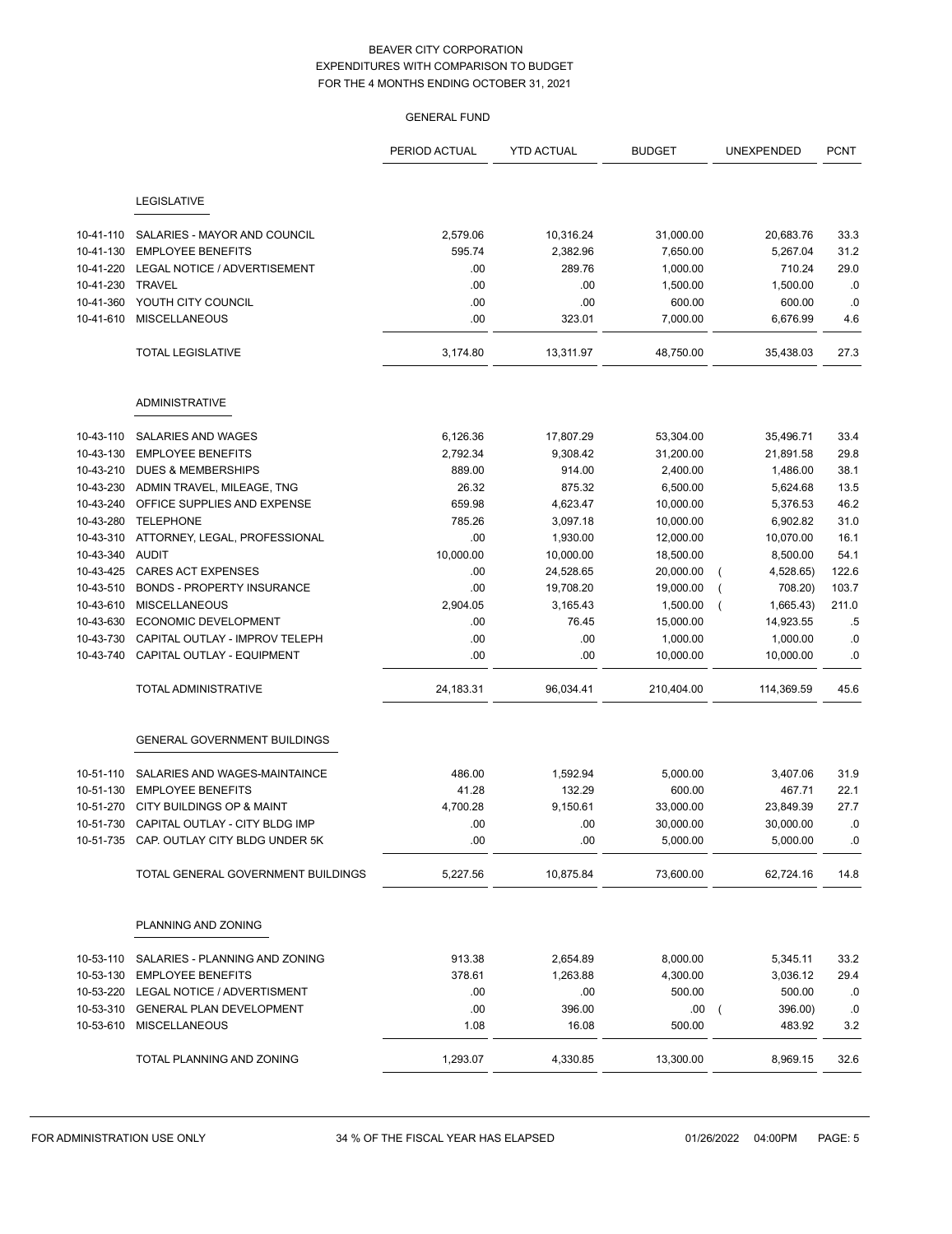|           |                                     | <b>GENERAL FUND</b> |                   |               |                           |             |
|-----------|-------------------------------------|---------------------|-------------------|---------------|---------------------------|-------------|
|           |                                     | PERIOD ACTUAL       | <b>YTD ACTUAL</b> | <b>BUDGET</b> | UNEXPENDED                | <b>PCNT</b> |
|           | <b>LEGISLATIVE</b>                  |                     |                   |               |                           |             |
| 10-41-110 | SALARIES - MAYOR AND COUNCIL        | 2,579.06            | 10,316.24         | 31,000.00     | 20,683.76                 | 33.3        |
| 10-41-130 | <b>EMPLOYEE BENEFITS</b>            | 595.74              | 2,382.96          | 7,650.00      | 5,267.04                  | 31.2        |
| 10-41-220 | LEGAL NOTICE / ADVERTISEMENT        | .00                 | 289.76            | 1,000.00      | 710.24                    | 29.0        |
| 10-41-230 | <b>TRAVEL</b>                       | .00                 | .00               | 1,500.00      | 1,500.00                  | .0          |
| 10-41-360 | YOUTH CITY COUNCIL                  | .00                 | .00               | 600.00        | 600.00                    | .0          |
| 10-41-610 | <b>MISCELLANEOUS</b>                | .00                 | 323.01            | 7,000.00      | 6,676.99                  | 4.6         |
|           | <b>TOTAL LEGISLATIVE</b>            | 3,174.80            | 13,311.97         | 48,750.00     | 35,438.03                 | 27.3        |
|           | ADMINISTRATIVE                      |                     |                   |               |                           |             |
| 10-43-110 | SALARIES AND WAGES                  | 6,126.36            | 17,807.29         | 53,304.00     | 35,496.71                 | 33.4        |
| 10-43-130 | <b>EMPLOYEE BENEFITS</b>            | 2,792.34            | 9,308.42          | 31,200.00     | 21,891.58                 | 29.8        |
| 10-43-210 | <b>DUES &amp; MEMBERSHIPS</b>       | 889.00              | 914.00            | 2,400.00      | 1,486.00                  | 38.1        |
| 10-43-230 | ADMIN TRAVEL, MILEAGE, TNG          | 26.32               | 875.32            | 6,500.00      | 5,624.68                  | 13.5        |
| 10-43-240 | OFFICE SUPPLIES AND EXPENSE         | 659.98              | 4,623.47          | 10,000.00     | 5,376.53                  | 46.2        |
| 10-43-280 | <b>TELEPHONE</b>                    | 785.26              | 3,097.18          | 10,000.00     | 6,902.82                  | 31.0        |
| 10-43-310 | ATTORNEY, LEGAL, PROFESSIONAL       | .00                 | 1,930.00          | 12,000.00     | 10,070.00                 | 16.1        |
| 10-43-340 | AUDIT                               | 10,000.00           | 10,000.00         | 18,500.00     | 8,500.00                  | 54.1        |
| 10-43-425 | <b>CARES ACT EXPENSES</b>           | .00                 | 24,528.65         | 20,000.00     | 4,528.65)                 | 122.6       |
| 10-43-510 | <b>BONDS - PROPERTY INSURANCE</b>   | .00                 | 19,708.20         | 19,000.00     | 708.20)<br>(              | 103.7       |
| 10-43-610 | <b>MISCELLANEOUS</b>                | 2,904.05            | 3,165.43          | 1,500.00      | 1,665.43)<br>(            | 211.0       |
| 10-43-630 | ECONOMIC DEVELOPMENT                | .00                 | 76.45             | 15,000.00     | 14,923.55                 | $.5\,$      |
| 10-43-730 | CAPITAL OUTLAY - IMPROV TELEPH      | .00                 | .00               | 1,000.00      | 1,000.00                  | 0.0         |
| 10-43-740 | CAPITAL OUTLAY - EQUIPMENT          | .00                 | .00               | 10,000.00     | 10,000.00                 | .0          |
|           | <b>TOTAL ADMINISTRATIVE</b>         | 24,183.31           | 96,034.41         | 210,404.00    | 114,369.59                | 45.6        |
|           | <b>GENERAL GOVERNMENT BUILDINGS</b> |                     |                   |               |                           |             |
| 10-51-110 | SALARIES AND WAGES-MAINTAINCE       | 486.00              | 1,592.94          | 5,000.00      | 3,407.06                  | 31.9        |
| 10-51-130 | <b>EMPLOYEE BENEFITS</b>            | 41.28               | 132.29            | 600.00        | 467.71                    | 22.1        |
|           | 10-51-270 CITY BUILDINGS OP & MAINT | 4,700.28            | 9,150.61          | 33,000.00     | 23,849.39                 | 27.7        |
| 10-51-730 | CAPITAL OUTLAY - CITY BLDG IMP      | .00                 | .00               | 30,000.00     | 30,000.00                 | .0          |
| 10-51-735 | CAP. OUTLAY CITY BLDG UNDER 5K      | .00                 | .00               | 5,000.00      | 5,000.00                  | .0          |
|           | TOTAL GENERAL GOVERNMENT BUILDINGS  | 5,227.56            | 10,875.84         | 73,600.00     | 62,724.16                 | 14.8        |
|           | PLANNING AND ZONING                 |                     |                   |               |                           |             |
| 10-53-110 | SALARIES - PLANNING AND ZONING      | 913.38              | 2,654.89          | 8,000.00      | 5,345.11                  | 33.2        |
| 10-53-130 | <b>EMPLOYEE BENEFITS</b>            | 378.61              | 1,263.88          | 4,300.00      | 3,036.12                  | 29.4        |
| 10-53-220 | LEGAL NOTICE / ADVERTISMENT         | .00                 | .00               | 500.00        | 500.00                    | .0          |
| 10-53-310 | <b>GENERAL PLAN DEVELOPMENT</b>     | .00                 | 396.00            | .00           | 396.00)<br>$\overline{ }$ | .0          |
| 10-53-610 | <b>MISCELLANEOUS</b>                | 1.08                | 16.08             | 500.00        | 483.92                    | 3.2         |
|           | TOTAL PLANNING AND ZONING           | 1,293.07            | 4,330.85          | 13,300.00     | 8,969.15                  | 32.6        |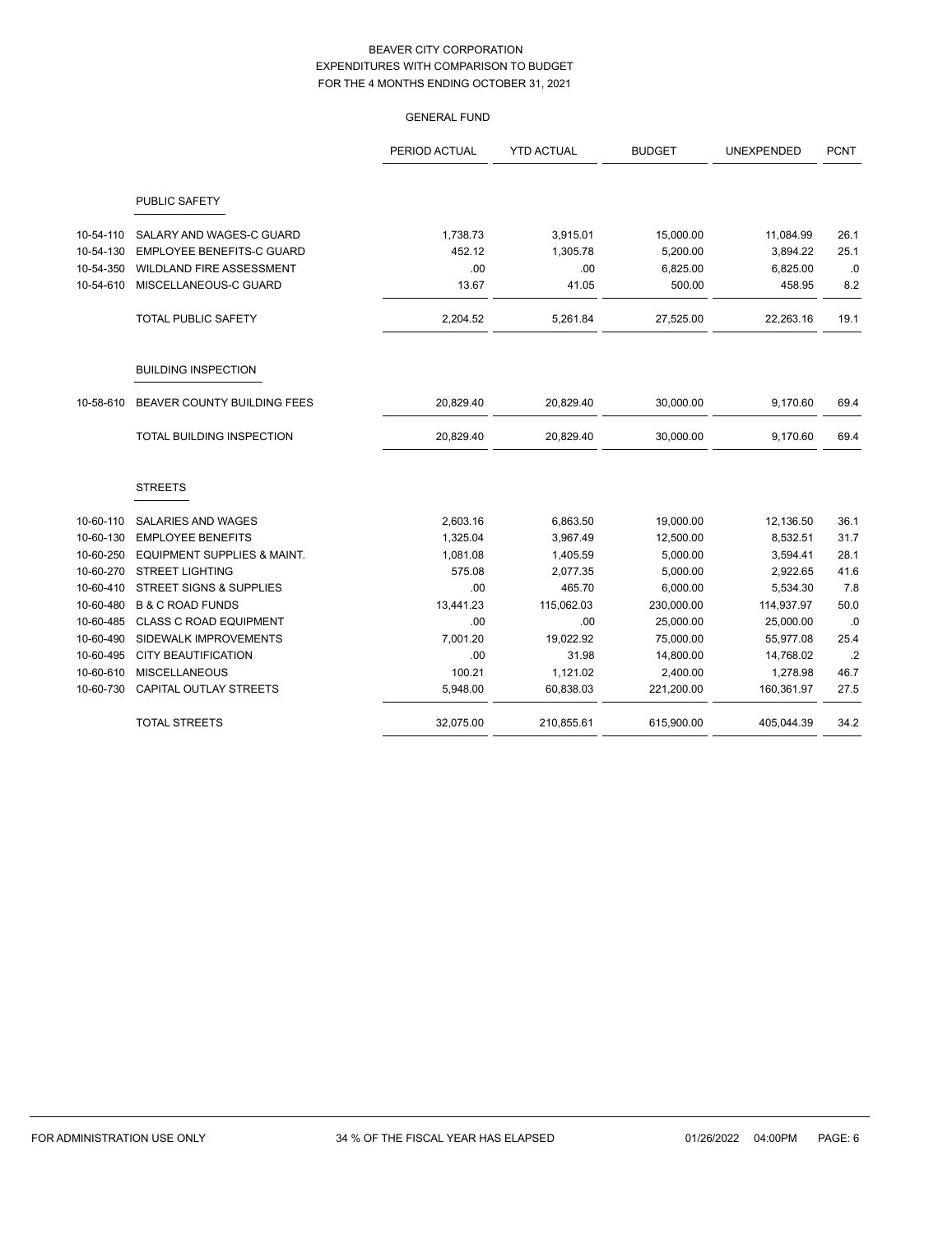|           |                                        | PERIOD ACTUAL | <b>YTD ACTUAL</b> | <b>BUDGET</b> | UNEXPENDED | <b>PCNT</b> |
|-----------|----------------------------------------|---------------|-------------------|---------------|------------|-------------|
|           | PUBLIC SAFETY                          |               |                   |               |            |             |
| 10-54-110 | SALARY AND WAGES-C GUARD               | 1,738.73      | 3,915.01          | 15,000.00     | 11,084.99  | 26.1        |
| 10-54-130 | <b>EMPLOYEE BENEFITS-C GUARD</b>       | 452.12        | 1,305.78          | 5,200.00      | 3,894.22   | 25.1        |
| 10-54-350 | WILDLAND FIRE ASSESSMENT               | .00           | .00               | 6,825.00      | 6,825.00   | .0          |
| 10-54-610 | MISCELLANEOUS-C GUARD                  | 13.67         | 41.05             | 500.00        | 458.95     | 8.2         |
|           | <b>TOTAL PUBLIC SAFETY</b>             | 2,204.52      | 5,261.84          | 27,525.00     | 22,263.16  | 19.1        |
|           | <b>BUILDING INSPECTION</b>             |               |                   |               |            |             |
| 10-58-610 | BEAVER COUNTY BUILDING FEES            | 20,829.40     | 20,829.40         | 30,000.00     | 9,170.60   | 69.4        |
|           | TOTAL BUILDING INSPECTION              | 20,829.40     | 20,829.40         | 30,000.00     | 9,170.60   | 69.4        |
|           | <b>STREETS</b>                         |               |                   |               |            |             |
| 10-60-110 | SALARIES AND WAGES                     | 2,603.16      | 6,863.50          | 19,000.00     | 12,136.50  | 36.1        |
| 10-60-130 | <b>EMPLOYEE BENEFITS</b>               | 1,325.04      | 3,967.49          | 12,500.00     | 8,532.51   | 31.7        |
| 10-60-250 | <b>EQUIPMENT SUPPLIES &amp; MAINT.</b> | 1,081.08      | 1,405.59          | 5,000.00      | 3,594.41   | 28.1        |
| 10-60-270 | <b>STREET LIGHTING</b>                 | 575.08        | 2,077.35          | 5,000.00      | 2,922.65   | 41.6        |
| 10-60-410 | <b>STREET SIGNS &amp; SUPPLIES</b>     | .00           | 465.70            | 6,000.00      | 5,534.30   | 7.8         |
| 10-60-480 | <b>B &amp; C ROAD FUNDS</b>            | 13,441.23     | 115,062.03        | 230,000.00    | 114,937.97 | 50.0        |
| 10-60-485 | <b>CLASS C ROAD EQUIPMENT</b>          | .00           | .00               | 25,000.00     | 25,000.00  | .0          |
| 10-60-490 | SIDEWALK IMPROVEMENTS                  | 7,001.20      | 19,022.92         | 75,000.00     | 55,977.08  | 25.4        |
| 10-60-495 | <b>CITY BEAUTIFICATION</b>             | .00           | 31.98             | 14,800.00     | 14,768.02  | .2          |
| 10-60-610 | <b>MISCELLANEOUS</b>                   | 100.21        | 1,121.02          | 2,400.00      | 1,278.98   | 46.7        |
| 10-60-730 | CAPITAL OUTLAY STREETS                 | 5,948.00      | 60,838.03         | 221,200.00    | 160,361.97 | 27.5        |
|           | <b>TOTAL STREETS</b>                   | 32,075.00     | 210,855.61        | 615,900.00    | 405,044.39 | 34.2        |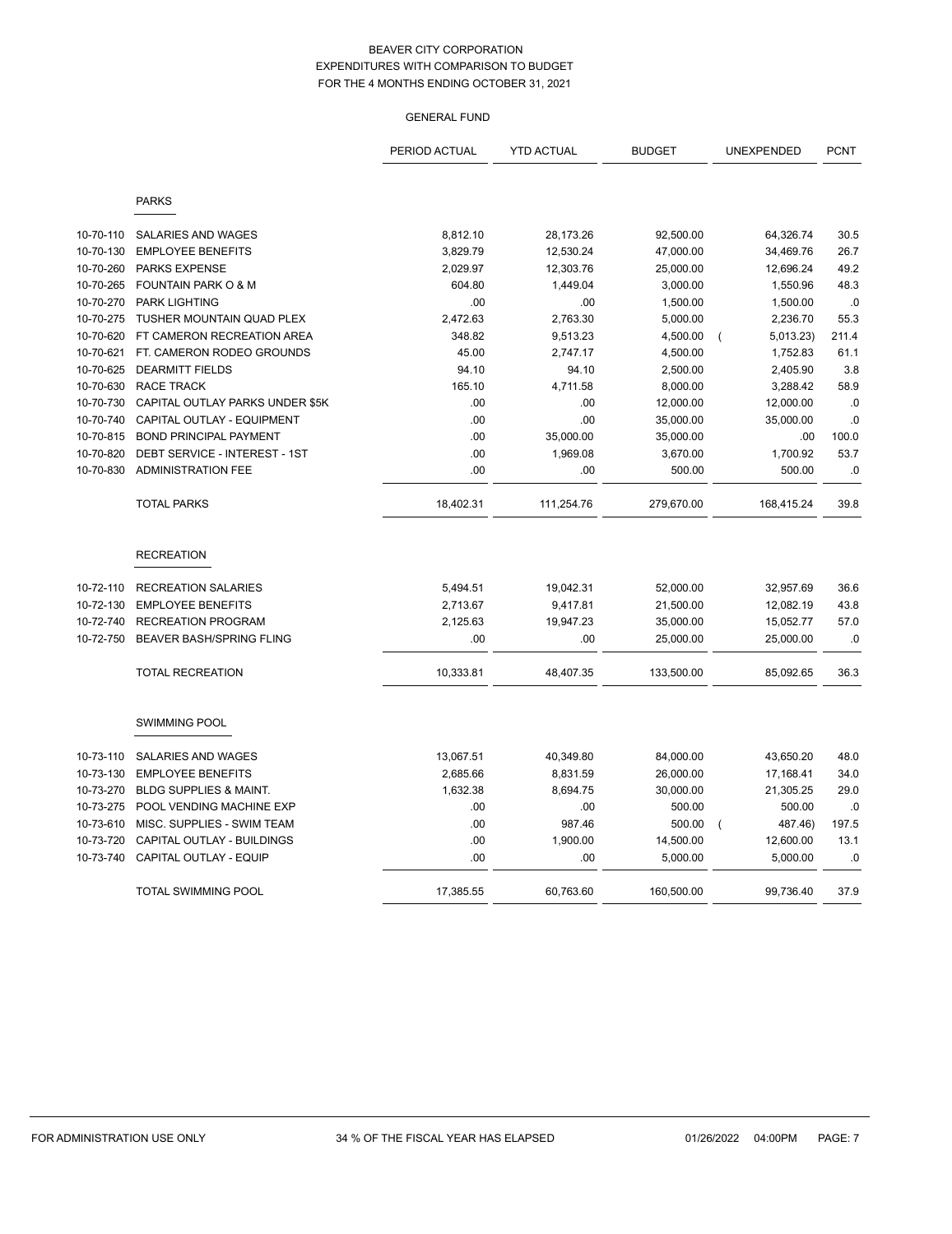|           |                                                        | PERIOD ACTUAL | <b>YTD ACTUAL</b> | <b>BUDGET</b> | UNEXPENDED                  | <b>PCNT</b>  |
|-----------|--------------------------------------------------------|---------------|-------------------|---------------|-----------------------------|--------------|
|           | <b>PARKS</b>                                           |               |                   |               |                             |              |
|           |                                                        |               |                   |               |                             |              |
| 10-70-110 | SALARIES AND WAGES                                     | 8,812.10      | 28,173.26         | 92,500.00     | 64,326.74                   | 30.5         |
| 10-70-130 | <b>EMPLOYEE BENEFITS</b>                               | 3,829.79      | 12,530.24         | 47,000.00     | 34,469.76                   | 26.7         |
| 10-70-260 | <b>PARKS EXPENSE</b><br><b>FOUNTAIN PARK O &amp; M</b> | 2,029.97      | 12,303.76         | 25,000.00     | 12,696.24                   | 49.2<br>48.3 |
| 10-70-265 |                                                        | 604.80        | 1,449.04          | 3,000.00      | 1,550.96                    |              |
| 10-70-270 | <b>PARK LIGHTING</b>                                   | .00           | .00               | 1,500.00      | 1,500.00                    | .0           |
| 10-70-275 | TUSHER MOUNTAIN QUAD PLEX                              | 2,472.63      | 2,763.30          | 5,000.00      | 2,236.70                    | 55.3         |
| 10-70-620 | FT CAMERON RECREATION AREA                             | 348.82        | 9,513.23          | 4,500.00      | 5,013.23)<br>$\overline{ }$ | 211.4        |
| 10-70-621 | FT. CAMERON RODEO GROUNDS                              | 45.00         | 2,747.17          | 4,500.00      | 1,752.83                    | 61.1         |
| 10-70-625 | <b>DEARMITT FIELDS</b>                                 | 94.10         | 94.10             | 2,500.00      | 2,405.90                    | 3.8          |
| 10-70-630 | <b>RACE TRACK</b>                                      | 165.10        | 4,711.58          | 8,000.00      | 3,288.42                    | 58.9         |
| 10-70-730 | CAPITAL OUTLAY PARKS UNDER \$5K                        | .00           | .00               | 12,000.00     | 12,000.00                   | .0           |
| 10-70-740 | CAPITAL OUTLAY - EQUIPMENT                             | .00           | .00               | 35,000.00     | 35,000.00                   | .0           |
| 10-70-815 | <b>BOND PRINCIPAL PAYMENT</b>                          | .00           | 35,000.00         | 35,000.00     | .00                         | 100.0        |
| 10-70-820 | DEBT SERVICE - INTEREST - 1ST                          | .00           | 1,969.08          | 3,670.00      | 1,700.92                    | 53.7         |
| 10-70-830 | <b>ADMINISTRATION FEE</b>                              | .00           | .00               | 500.00        | 500.00                      | .0           |
|           | <b>TOTAL PARKS</b>                                     | 18,402.31     | 111,254.76        | 279,670.00    | 168,415.24                  | 39.8         |
|           | <b>RECREATION</b>                                      |               |                   |               |                             |              |
| 10-72-110 | <b>RECREATION SALARIES</b>                             | 5,494.51      | 19,042.31         | 52,000.00     | 32,957.69                   | 36.6         |
| 10-72-130 | <b>EMPLOYEE BENEFITS</b>                               | 2,713.67      | 9,417.81          | 21,500.00     | 12,082.19                   | 43.8         |
| 10-72-740 | <b>RECREATION PROGRAM</b>                              | 2,125.63      | 19,947.23         | 35,000.00     | 15,052.77                   | 57.0         |
| 10-72-750 | <b>BEAVER BASH/SPRING FLING</b>                        | .00           | .00               | 25,000.00     | 25,000.00                   | .0           |
|           | <b>TOTAL RECREATION</b>                                | 10,333.81     | 48,407.35         | 133,500.00    | 85,092.65                   | 36.3         |
|           | <b>SWIMMING POOL</b>                                   |               |                   |               |                             |              |
| 10-73-110 | SALARIES AND WAGES                                     | 13,067.51     | 40,349.80         | 84,000.00     | 43,650.20                   | 48.0         |
| 10-73-130 | <b>EMPLOYEE BENEFITS</b>                               | 2,685.66      | 8,831.59          | 26,000.00     | 17,168.41                   | 34.0         |
| 10-73-270 | <b>BLDG SUPPLIES &amp; MAINT.</b>                      | 1,632.38      | 8,694.75          | 30,000.00     | 21,305.25                   | 29.0         |
| 10-73-275 | POOL VENDING MACHINE EXP                               | .00           | .00               | 500.00        | 500.00                      | .0           |
| 10-73-610 | MISC. SUPPLIES - SWIM TEAM                             | .00           | 987.46            | 500.00        | 487.46)<br>$\overline{ }$   | 197.5        |
| 10-73-720 | CAPITAL OUTLAY - BUILDINGS                             | .00           | 1,900.00          | 14,500.00     | 12,600.00                   | 13.1         |
| 10-73-740 | CAPITAL OUTLAY - EQUIP                                 | .00           | .00               | 5,000.00      | 5,000.00                    | .0           |
|           | TOTAL SWIMMING POOL                                    | 17,385.55     | 60,763.60         | 160,500.00    | 99,736.40                   | 37.9         |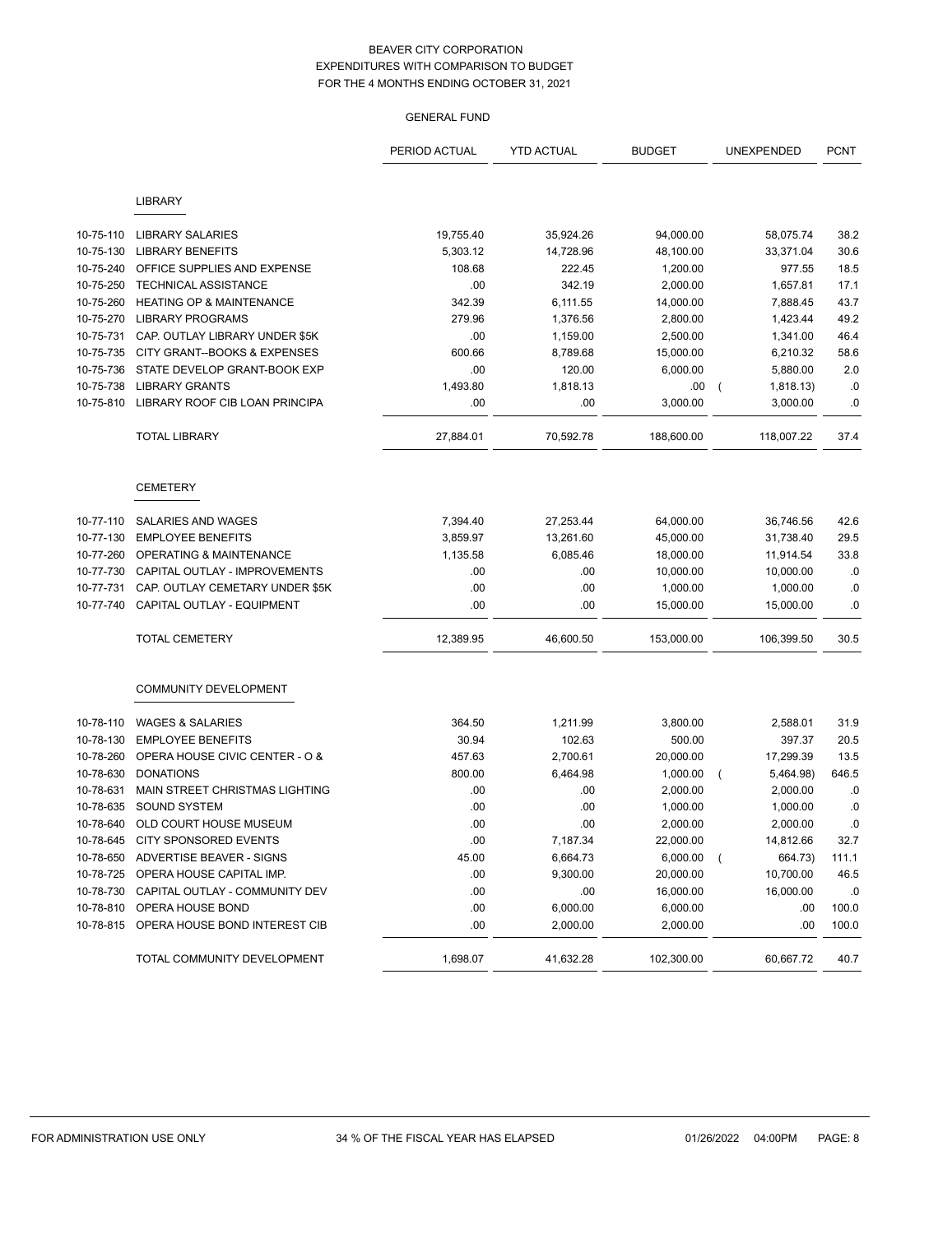|           |                                     | PERIOD ACTUAL | <b>YTD ACTUAL</b> | <b>BUDGET</b> | UNEXPENDED                  | <b>PCNT</b> |
|-----------|-------------------------------------|---------------|-------------------|---------------|-----------------------------|-------------|
|           | <b>LIBRARY</b>                      |               |                   |               |                             |             |
|           |                                     |               |                   |               |                             |             |
| 10-75-110 | <b>LIBRARY SALARIES</b>             | 19,755.40     | 35,924.26         | 94,000.00     | 58,075.74                   | 38.2        |
| 10-75-130 | <b>LIBRARY BENEFITS</b>             | 5,303.12      | 14,728.96         | 48,100.00     | 33,371.04                   | 30.6        |
| 10-75-240 | OFFICE SUPPLIES AND EXPENSE         | 108.68        | 222.45            | 1,200.00      | 977.55                      | 18.5        |
| 10-75-250 | <b>TECHNICAL ASSISTANCE</b>         | .00           | 342.19            | 2,000.00      | 1,657.81                    | 17.1        |
| 10-75-260 | <b>HEATING OP &amp; MAINTENANCE</b> | 342.39        | 6,111.55          | 14,000.00     | 7,888.45                    | 43.7        |
| 10-75-270 | <b>LIBRARY PROGRAMS</b>             | 279.96        | 1,376.56          | 2,800.00      | 1,423.44                    | 49.2        |
| 10-75-731 | CAP. OUTLAY LIBRARY UNDER \$5K      | .00           | 1,159.00          | 2,500.00      | 1,341.00                    | 46.4        |
| 10-75-735 | CITY GRANT--BOOKS & EXPENSES        | 600.66        | 8,789.68          | 15,000.00     | 6,210.32                    | 58.6        |
| 10-75-736 | STATE DEVELOP GRANT-BOOK EXP        | .00           | 120.00            | 6,000.00      | 5,880.00                    | 2.0         |
| 10-75-738 | <b>LIBRARY GRANTS</b>               | 1,493.80      | 1,818.13          | .00           | 1,818.13)<br>$\left($       | .0          |
| 10-75-810 | LIBRARY ROOF CIB LOAN PRINCIPA      | .00           | .00               | 3,000.00      | 3,000.00                    | .0          |
|           | <b>TOTAL LIBRARY</b>                | 27,884.01     | 70,592.78         | 188,600.00    | 118,007.22                  | 37.4        |
|           | <b>CEMETERY</b>                     |               |                   |               |                             |             |
| 10-77-110 | SALARIES AND WAGES                  | 7,394.40      | 27,253.44         | 64,000.00     | 36,746.56                   | 42.6        |
| 10-77-130 | <b>EMPLOYEE BENEFITS</b>            | 3,859.97      | 13,261.60         | 45,000.00     | 31,738.40                   | 29.5        |
| 10-77-260 | OPERATING & MAINTENANCE             | 1,135.58      | 6,085.46          | 18,000.00     | 11,914.54                   | 33.8        |
| 10-77-730 | CAPITAL OUTLAY - IMPROVEMENTS       | .00           | .00               | 10,000.00     | 10,000.00                   | .0          |
| 10-77-731 | CAP. OUTLAY CEMETARY UNDER \$5K     | .00           | .00               | 1,000.00      | 1,000.00                    | .0          |
| 10-77-740 | CAPITAL OUTLAY - EQUIPMENT          | .00           | .00               | 15,000.00     | 15,000.00                   | .0          |
|           | TOTAL CEMETERY                      | 12,389.95     | 46,600.50         | 153,000.00    | 106,399.50                  | 30.5        |
|           | COMMUNITY DEVELOPMENT               |               |                   |               |                             |             |
| 10-78-110 | <b>WAGES &amp; SALARIES</b>         | 364.50        | 1,211.99          | 3,800.00      | 2,588.01                    | 31.9        |
| 10-78-130 | <b>EMPLOYEE BENEFITS</b>            | 30.94         | 102.63            | 500.00        | 397.37                      | 20.5        |
| 10-78-260 | OPERA HOUSE CIVIC CENTER - O &      | 457.63        | 2,700.61          | 20,000.00     | 17,299.39                   | 13.5        |
| 10-78-630 | <b>DONATIONS</b>                    | 800.00        | 6,464.98          | 1,000.00      | 5,464.98)<br>$\overline{ }$ | 646.5       |
| 10-78-631 | MAIN STREET CHRISTMAS LIGHTING      | .00           | .00               | 2,000.00      | 2,000.00                    | .0          |
| 10-78-635 | <b>SOUND SYSTEM</b>                 | .00           | .00               | 1,000.00      | 1,000.00                    | .0          |
| 10-78-640 | OLD COURT HOUSE MUSEUM              | .00           | .00               | 2,000.00      | 2,000.00                    | .0          |
| 10-78-645 | CITY SPONSORED EVENTS               | .00           | 7,187.34          | 22,000.00     | 14,812.66                   | 32.7        |
| 10-78-650 | ADVERTISE BEAVER - SIGNS            | 45.00         | 6,664.73          | 6,000.00      | 664.73)<br>$\overline{ }$   | 111.1       |
| 10-78-725 | OPERA HOUSE CAPITAL IMP.            | .00           | 9,300.00          | 20,000.00     | 10,700.00                   | 46.5        |
| 10-78-730 | CAPITAL OUTLAY - COMMUNITY DEV      | .00           | .00               | 16,000.00     | 16,000.00                   | .0          |
| 10-78-810 | OPERA HOUSE BOND                    | .00           | 6,000.00          | 6,000.00      | .00                         | 100.0       |
| 10-78-815 | OPERA HOUSE BOND INTEREST CIB       | .00           | 2,000.00          | 2,000.00      | .00                         | 100.0       |
|           | TOTAL COMMUNITY DEVELOPMENT         | 1,698.07      | 41,632.28         | 102,300.00    | 60,667.72                   | 40.7        |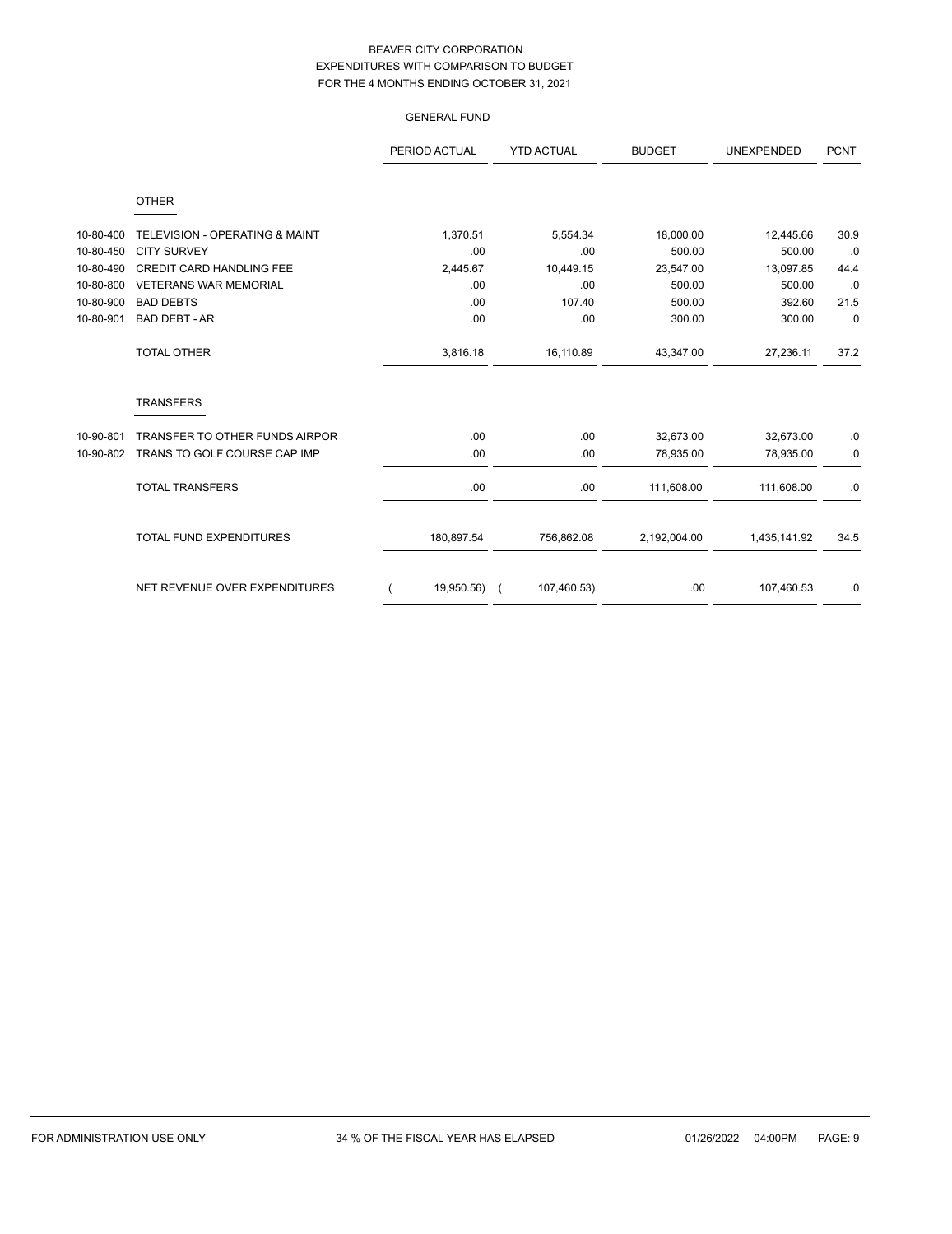|           |                                 | PERIOD ACTUAL | <b>YTD ACTUAL</b> | <b>BUDGET</b> | <b>UNEXPENDED</b> | <b>PCNT</b> |
|-----------|---------------------------------|---------------|-------------------|---------------|-------------------|-------------|
|           | <b>OTHER</b>                    |               |                   |               |                   |             |
| 10-80-400 | TELEVISION - OPERATING & MAINT  | 1,370.51      | 5,554.34          | 18,000.00     | 12,445.66         | 30.9        |
| 10-80-450 | <b>CITY SURVEY</b>              | .00           | .00               | 500.00        | 500.00            | .0          |
| 10-80-490 | <b>CREDIT CARD HANDLING FEE</b> | 2,445.67      | 10,449.15         | 23,547.00     | 13,097.85         | 44.4        |
| 10-80-800 | <b>VETERANS WAR MEMORIAL</b>    | .00           | .00               | 500.00        | 500.00            | .0          |
| 10-80-900 | <b>BAD DEBTS</b>                | .00           | 107.40            | 500.00        | 392.60            | 21.5        |
| 10-80-901 | <b>BAD DEBT - AR</b>            | .00           | .00               | 300.00        | 300.00            | .0          |
|           | <b>TOTAL OTHER</b>              | 3,816.18      | 16,110.89         | 43,347.00     | 27,236.11         | 37.2        |
|           | <b>TRANSFERS</b>                |               |                   |               |                   |             |
| 10-90-801 | TRANSFER TO OTHER FUNDS AIRPOR  | .00           | .00               | 32,673.00     | 32,673.00         | .0          |
| 10-90-802 | TRANS TO GOLF COURSE CAP IMP    | .00           | .00               | 78,935.00     | 78,935.00         | .0          |
|           | <b>TOTAL TRANSFERS</b>          | .00           | .00               | 111,608.00    | 111,608.00        | .0          |
|           | <b>TOTAL FUND EXPENDITURES</b>  | 180,897.54    | 756,862.08        | 2,192,004.00  | 1,435,141.92      | 34.5        |
|           | NET REVENUE OVER EXPENDITURES   | 19,950.56)    | 107,460.53)       | .00           | 107,460.53        | .0          |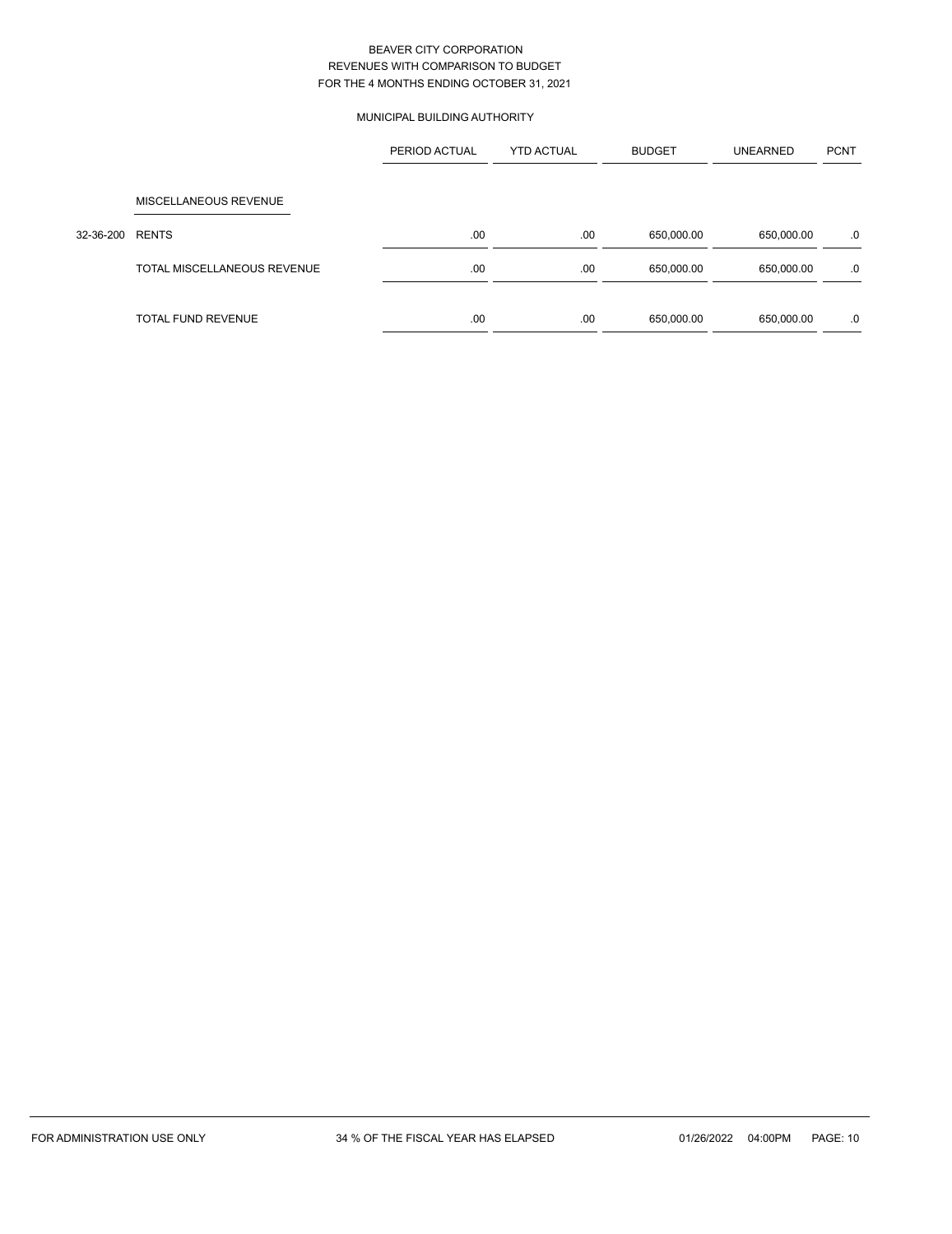# MUNICIPAL BUILDING AUTHORITY

|           |                             | PERIOD ACTUAL | <b>YTD ACTUAL</b> | <b>BUDGET</b> | <b>UNEARNED</b> | <b>PCNT</b> |
|-----------|-----------------------------|---------------|-------------------|---------------|-----------------|-------------|
|           |                             |               |                   |               |                 |             |
|           | MISCELLANEOUS REVENUE       |               |                   |               |                 |             |
| 32-36-200 | <b>RENTS</b>                | .00           | .00               | 650,000.00    | 650,000.00      | .0          |
|           | TOTAL MISCELLANEOUS REVENUE | .00           | .00               | 650,000.00    | 650,000.00      | .0          |
|           | TOTAL FUND REVENUE          | .00           | .00               | 650,000.00    | 650,000.00      | .0          |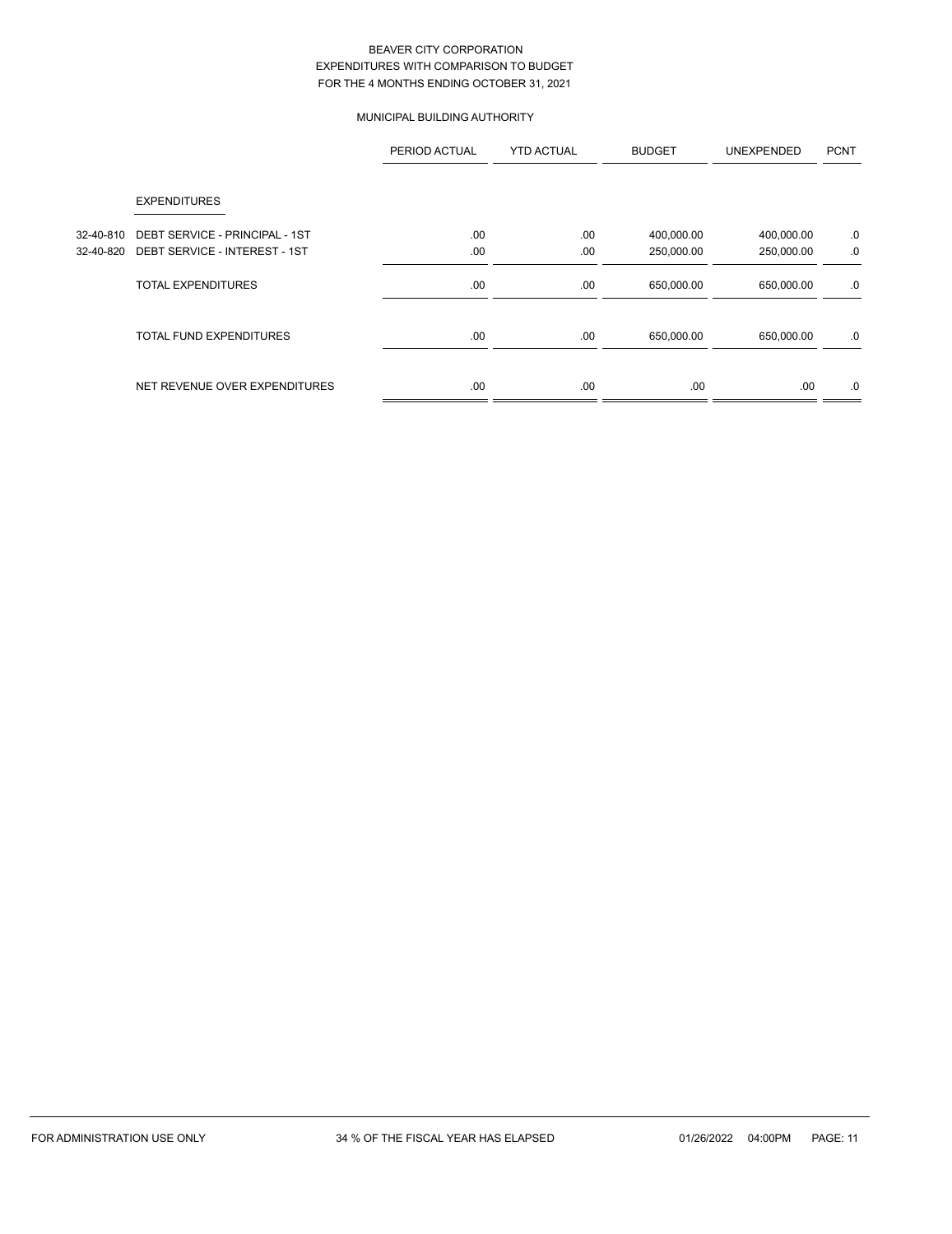# MUNICIPAL BUILDING AUTHORITY

|           |                                | PERIOD ACTUAL | <b>YTD ACTUAL</b> | <b>BUDGET</b> | <b>UNEXPENDED</b> | <b>PCNT</b> |
|-----------|--------------------------------|---------------|-------------------|---------------|-------------------|-------------|
|           | <b>EXPENDITURES</b>            |               |                   |               |                   |             |
| 32-40-810 | DEBT SERVICE - PRINCIPAL - 1ST | .00.          | .00               | 400,000.00    | 400,000.00        | .0          |
| 32-40-820 | DEBT SERVICE - INTEREST - 1ST  | .00           | .00               | 250,000.00    | 250,000.00        | .0          |
|           | <b>TOTAL EXPENDITURES</b>      | .00           | .00               | 650,000.00    | 650,000.00        | .0          |
|           | <b>TOTAL FUND EXPENDITURES</b> | .00           | .00               | 650,000.00    | 650,000.00        | .0          |
|           | NET REVENUE OVER EXPENDITURES  | .00           | .00               | .00           | .00.              | .0          |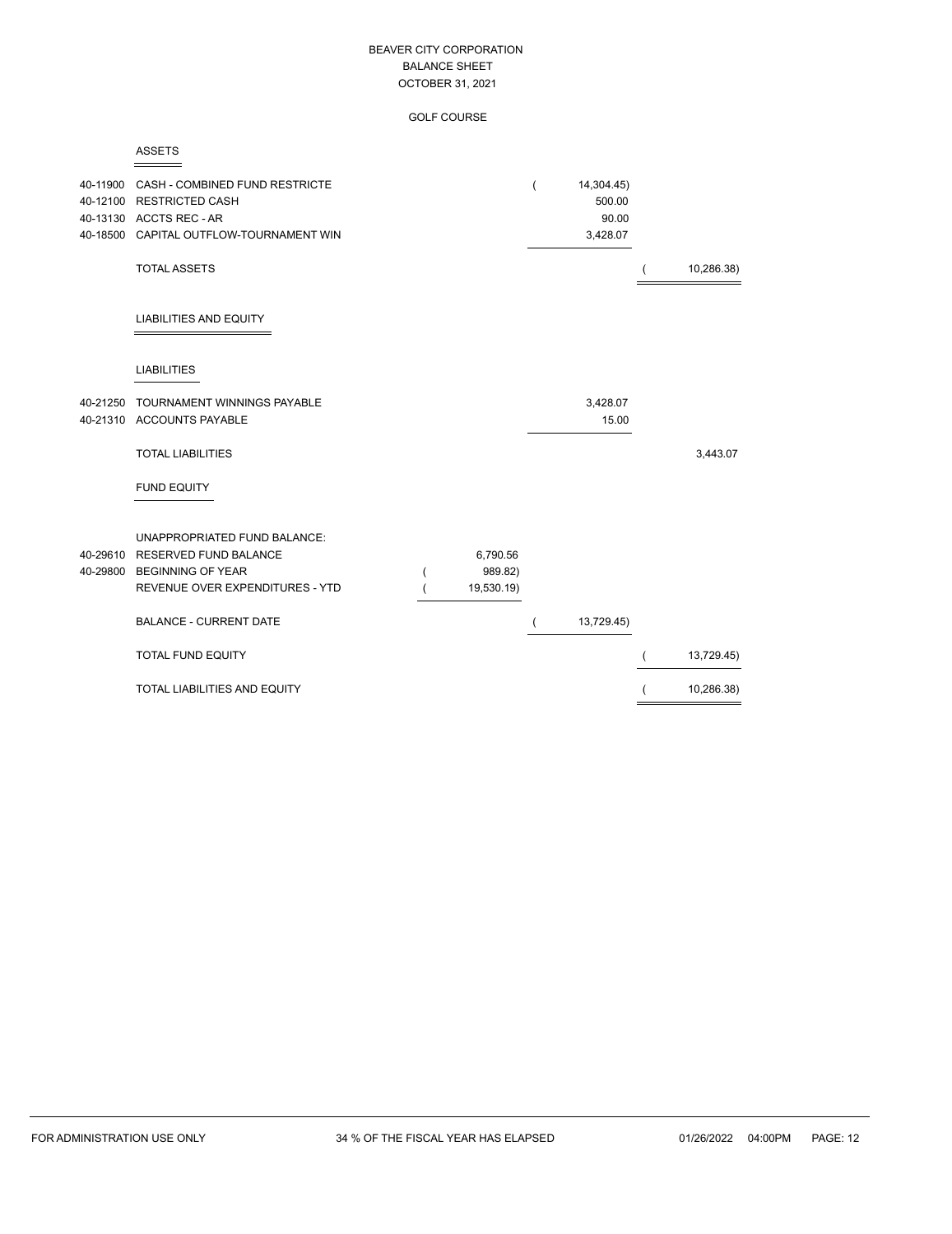GOLF COURSE

| 40-11900             | CASH - COMBINED FUND RESTRICTE<br>40-12100 RESTRICTED CASH<br>40-13130 ACCTS REC - AR<br>40-18500 CAPITAL OUTFLOW-TOURNAMENT WIN<br><b>TOTAL ASSETS</b> |                                   | $\overline{(}$ | 14,304.45)<br>500.00<br>90.00<br>3,428.07 |                          | 10,286.38) |
|----------------------|---------------------------------------------------------------------------------------------------------------------------------------------------------|-----------------------------------|----------------|-------------------------------------------|--------------------------|------------|
|                      | <b>LIABILITIES AND EQUITY</b>                                                                                                                           |                                   |                |                                           |                          |            |
|                      | <b>LIABILITIES</b>                                                                                                                                      |                                   |                |                                           |                          |            |
| 40-21250             | TOURNAMENT WINNINGS PAYABLE<br>40-21310 ACCOUNTS PAYABLE                                                                                                |                                   |                | 3,428.07<br>15.00                         |                          |            |
|                      | <b>TOTAL LIABILITIES</b>                                                                                                                                |                                   |                |                                           |                          | 3,443.07   |
|                      | <b>FUND EQUITY</b>                                                                                                                                      |                                   |                |                                           |                          |            |
| 40-29610<br>40-29800 | <b>UNAPPROPRIATED FUND BALANCE:</b><br>RESERVED FUND BALANCE<br><b>BEGINNING OF YEAR</b><br>REVENUE OVER EXPENDITURES - YTD                             | 6,790.56<br>989.82)<br>19,530.19) |                |                                           |                          |            |
|                      | <b>BALANCE - CURRENT DATE</b>                                                                                                                           |                                   |                | 13,729.45)                                |                          |            |
|                      | <b>TOTAL FUND EQUITY</b>                                                                                                                                |                                   |                |                                           | $\overline{ }$           | 13,729.45) |
|                      | TOTAL LIABILITIES AND EQUITY                                                                                                                            |                                   |                |                                           | $\overline{\mathcal{L}}$ | 10,286.38) |

ASSETS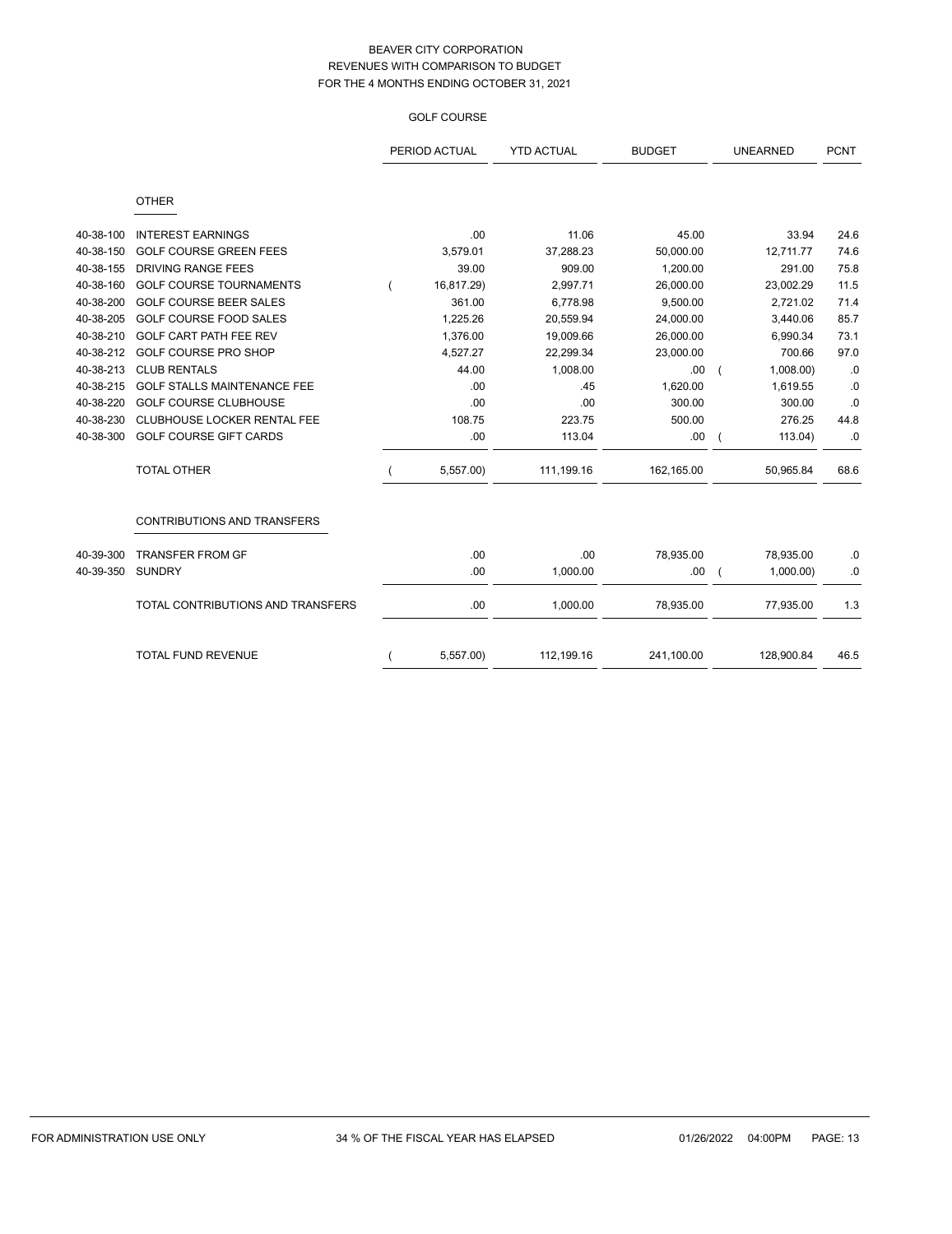# GOLF COURSE

|           |                                    | PERIOD ACTUAL | <b>YTD ACTUAL</b> | <b>BUDGET</b> |          | <b>UNEARNED</b> | <b>PCNT</b> |
|-----------|------------------------------------|---------------|-------------------|---------------|----------|-----------------|-------------|
|           | <b>OTHER</b>                       |               |                   |               |          |                 |             |
| 40-38-100 | <b>INTEREST EARNINGS</b>           | .00           | 11.06             | 45.00         |          | 33.94           | 24.6        |
| 40-38-150 | <b>GOLF COURSE GREEN FEES</b>      | 3,579.01      | 37,288.23         | 50,000.00     |          | 12,711.77       | 74.6        |
| 40-38-155 | DRIVING RANGE FEES                 | 39.00         | 909.00            | 1,200.00      |          | 291.00          | 75.8        |
| 40-38-160 | <b>GOLF COURSE TOURNAMENTS</b>     | 16,817.29)    | 2,997.71          | 26,000.00     |          | 23,002.29       | 11.5        |
| 40-38-200 | <b>GOLF COURSE BEER SALES</b>      | 361.00        | 6,778.98          | 9,500.00      |          | 2,721.02        | 71.4        |
| 40-38-205 | <b>GOLF COURSE FOOD SALES</b>      | 1.225.26      | 20,559.94         | 24,000.00     |          | 3,440.06        | 85.7        |
| 40-38-210 | GOLF CART PATH FEE REV             | 1,376.00      | 19,009.66         | 26,000.00     |          | 6,990.34        | 73.1        |
| 40-38-212 | <b>GOLF COURSE PRO SHOP</b>        | 4,527.27      | 22,299.34         | 23,000.00     |          | 700.66          | 97.0        |
| 40-38-213 | <b>CLUB RENTALS</b>                | 44.00         | 1,008.00          | .00           | $\left($ | 1,008.00        | .0          |
| 40-38-215 | <b>GOLF STALLS MAINTENANCE FEE</b> | .00           | .45               | 1,620.00      |          | 1,619.55        | .0          |
| 40-38-220 | <b>GOLF COURSE CLUBHOUSE</b>       | .00           | .00               | 300.00        |          | 300.00          | .0          |
| 40-38-230 | CLUBHOUSE LOCKER RENTAL FEE        | 108.75        | 223.75            | 500.00        |          | 276.25          | 44.8        |
| 40-38-300 | <b>GOLF COURSE GIFT CARDS</b>      | .00           | 113.04            | .00           |          | 113.04)         | .0          |
|           | <b>TOTAL OTHER</b>                 | 5,557.00)     | 111,199.16        | 162,165.00    |          | 50,965.84       | 68.6        |
|           | <b>CONTRIBUTIONS AND TRANSFERS</b> |               |                   |               |          |                 |             |
| 40-39-300 | <b>TRANSFER FROM GF</b>            | .00           | .00               | 78,935.00     |          | 78,935.00       | .0          |
| 40-39-350 | <b>SUNDRY</b>                      | .00           | 1,000.00          | .00           |          | 1,000.00        | $\cdot$ 0   |
|           | TOTAL CONTRIBUTIONS AND TRANSFERS  | .00           | 1,000.00          | 78,935.00     |          | 77,935.00       | 1.3         |
|           | <b>TOTAL FUND REVENUE</b>          | 5,557.00      | 112,199.16        | 241,100.00    |          | 128,900.84      | 46.5        |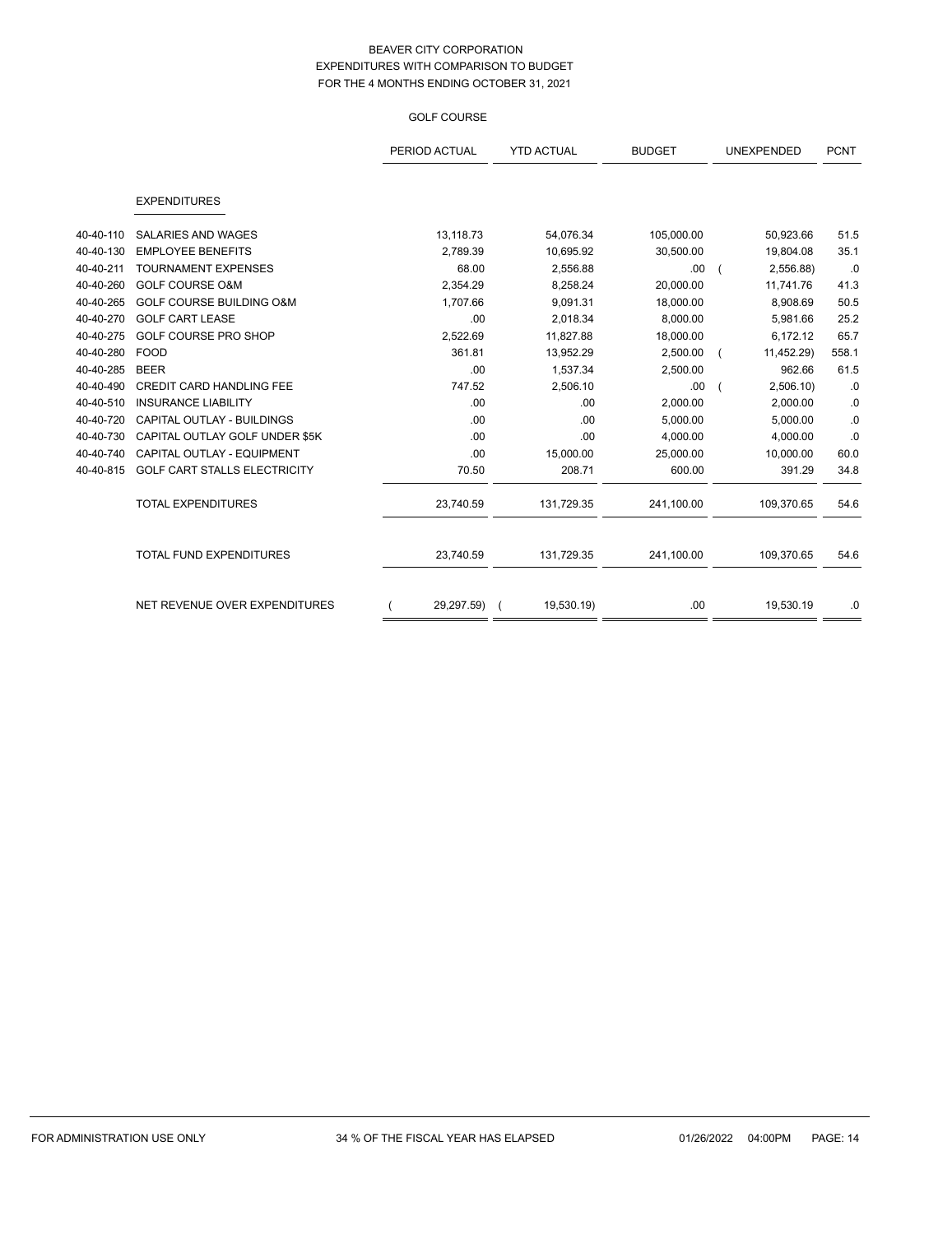## GOLF COURSE

|           |                                     | PERIOD ACTUAL | <b>YTD ACTUAL</b> | <b>BUDGET</b> | <b>UNEXPENDED</b> | <b>PCNT</b> |
|-----------|-------------------------------------|---------------|-------------------|---------------|-------------------|-------------|
|           | <b>EXPENDITURES</b>                 |               |                   |               |                   |             |
| 40-40-110 | <b>SALARIES AND WAGES</b>           | 13,118.73     | 54,076.34         | 105,000.00    | 50,923.66         | 51.5        |
| 40-40-130 | <b>EMPLOYEE BENEFITS</b>            | 2,789.39      | 10,695.92         | 30,500.00     | 19,804.08         | 35.1        |
| 40-40-211 | <b>TOURNAMENT EXPENSES</b>          | 68.00         | 2,556.88          | .00           | 2,556.88)         | .0          |
| 40-40-260 | <b>GOLF COURSE O&amp;M</b>          | 2,354.29      | 8,258.24          | 20,000.00     | 11,741.76         | 41.3        |
| 40-40-265 | <b>GOLF COURSE BUILDING O&amp;M</b> | 1,707.66      | 9,091.31          | 18,000.00     | 8,908.69          | 50.5        |
| 40-40-270 | <b>GOLF CART LEASE</b>              | .00           | 2,018.34          | 8,000.00      | 5,981.66          | 25.2        |
| 40-40-275 | <b>GOLF COURSE PRO SHOP</b>         | 2,522.69      | 11,827.88         | 18,000.00     | 6,172.12          | 65.7        |
| 40-40-280 | <b>FOOD</b>                         | 361.81        | 13,952.29         | 2,500.00      | 11,452.29)        | 558.1       |
| 40-40-285 | <b>BEER</b>                         | .00           | 1,537.34          | 2,500.00      | 962.66            | 61.5        |
| 40-40-490 | <b>CREDIT CARD HANDLING FEE</b>     | 747.52        | 2,506.10          | .00           | 2,506.10          | .0          |
| 40-40-510 | <b>INSURANCE LIABILITY</b>          | .00           | .00               | 2,000.00      | 2,000.00          | .0          |
| 40-40-720 | CAPITAL OUTLAY - BUILDINGS          | .00           | .00               | 5,000.00      | 5,000.00          | $\cdot$ 0   |
| 40-40-730 | CAPITAL OUTLAY GOLF UNDER \$5K      | .00           | .00               | 4,000.00      | 4,000.00          | .0          |
| 40-40-740 | CAPITAL OUTLAY - EQUIPMENT          | .00           | 15,000.00         | 25,000.00     | 10,000.00         | 60.0        |
| 40-40-815 | GOLF CART STALLS ELECTRICITY        | 70.50         | 208.71            | 600.00        | 391.29            | 34.8        |
|           | <b>TOTAL EXPENDITURES</b>           | 23,740.59     | 131,729.35        | 241,100.00    | 109,370.65        | 54.6        |
|           | <b>TOTAL FUND EXPENDITURES</b>      | 23,740.59     | 131,729.35        | 241,100.00    | 109,370.65        | 54.6        |
|           | NET REVENUE OVER EXPENDITURES       | 29,297.59) (  | 19,530.19)        | .00           | 19,530.19         | .0          |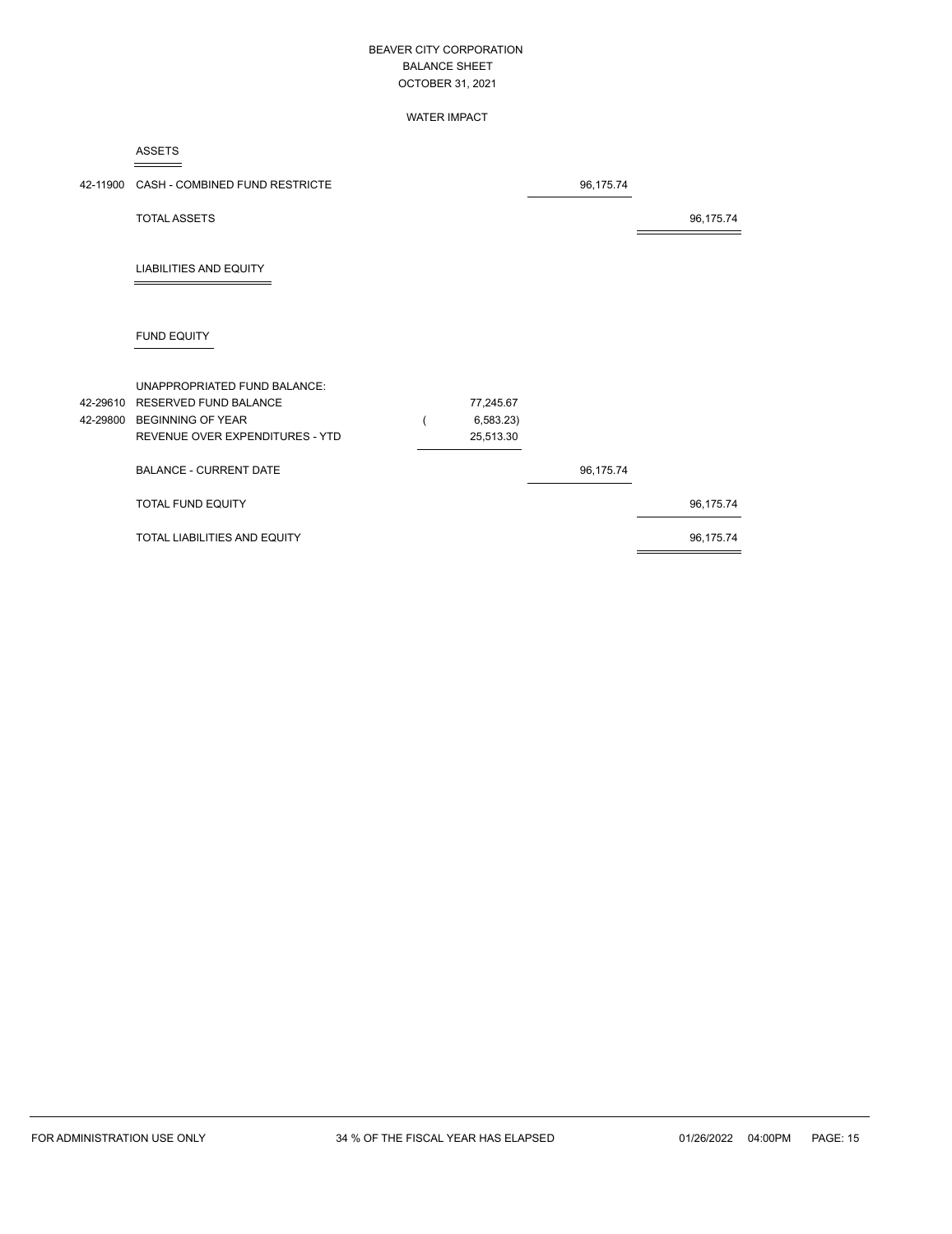#### WATER IMPACT

ASSETS

| 42-11900 CASH - COMBINED FUND RESTRICTE                                                                                         |                                     | 96,175.74 |           |
|---------------------------------------------------------------------------------------------------------------------------------|-------------------------------------|-----------|-----------|
| <b>TOTAL ASSETS</b>                                                                                                             |                                     |           | 96,175.74 |
| <b>LIABILITIES AND EQUITY</b>                                                                                                   |                                     |           |           |
| <b>FUND EQUITY</b>                                                                                                              |                                     |           |           |
| UNAPPROPRIATED FUND BALANCE:<br>42-29610 RESERVED FUND BALANCE<br>42-29800 BEGINNING OF YEAR<br>REVENUE OVER EXPENDITURES - YTD | 77,245.67<br>6,583.23)<br>25,513.30 |           |           |
| <b>BALANCE - CURRENT DATE</b>                                                                                                   |                                     | 96,175.74 |           |
| TOTAL FUND EQUITY                                                                                                               |                                     |           | 96,175.74 |
| TOTAL LIABILITIES AND EQUITY                                                                                                    |                                     |           | 96,175.74 |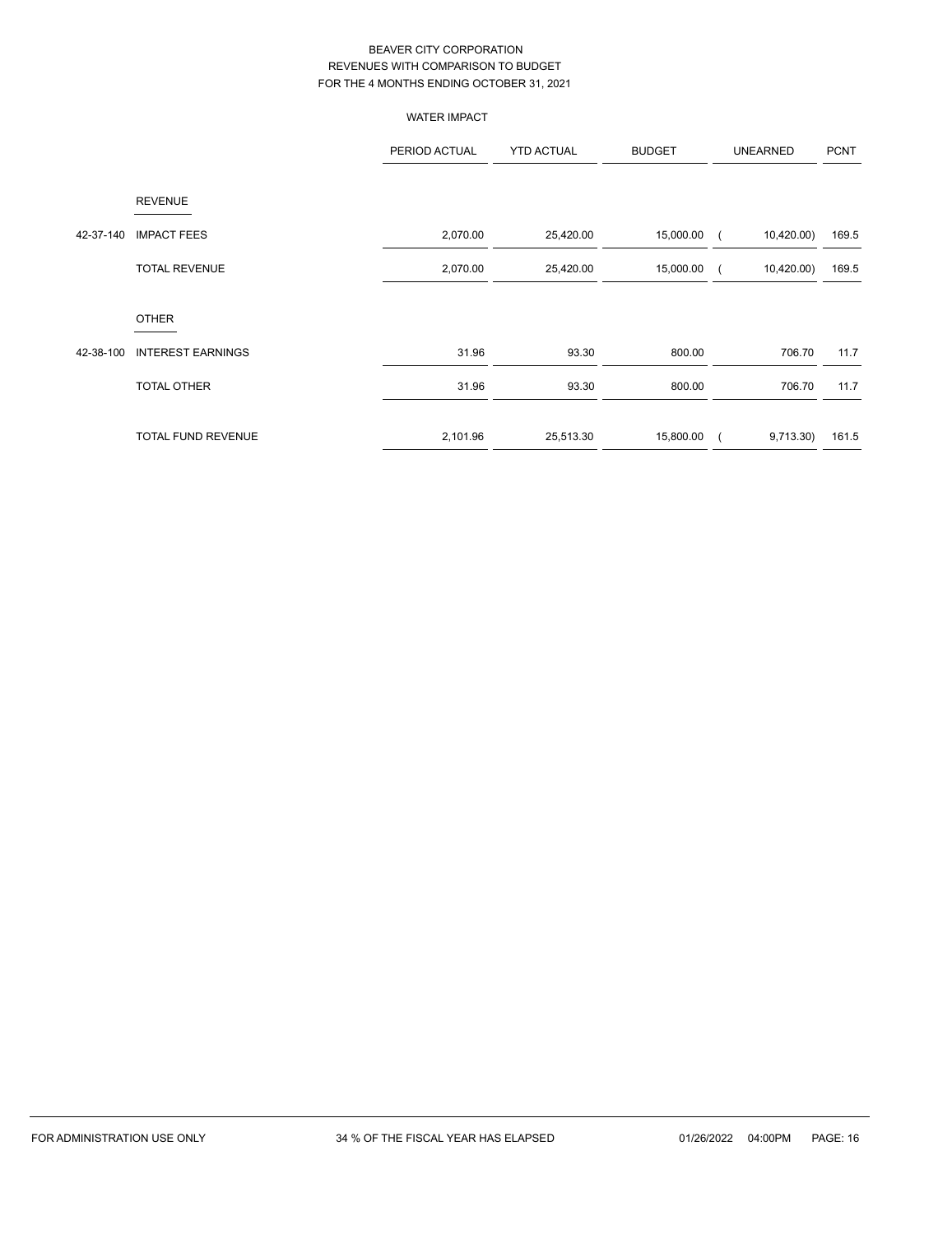|           |                          | <b>WATER IMPACT</b> |                   |               |                |                 |             |
|-----------|--------------------------|---------------------|-------------------|---------------|----------------|-----------------|-------------|
|           |                          | PERIOD ACTUAL       | <b>YTD ACTUAL</b> | <b>BUDGET</b> |                | <b>UNEARNED</b> | <b>PCNT</b> |
|           | <b>REVENUE</b>           |                     |                   |               |                |                 |             |
| 42-37-140 | <b>IMPACT FEES</b>       | 2,070.00            | 25,420.00         | 15,000.00     |                | 10,420.00)      | 169.5       |
|           | <b>TOTAL REVENUE</b>     | 2,070.00            | 25,420.00         | 15,000.00     | $\left($       | 10,420.00)      | 169.5       |
|           | <b>OTHER</b>             |                     |                   |               |                |                 |             |
| 42-38-100 | <b>INTEREST EARNINGS</b> | 31.96               | 93.30             | 800.00        |                | 706.70          | 11.7        |
|           | <b>TOTAL OTHER</b>       | 31.96               | 93.30             | 800.00        |                | 706.70          | 11.7        |
|           | TOTAL FUND REVENUE       | 2,101.96            | 25,513.30         | 15,800.00     | $\overline{ }$ | 9,713.30        | 161.5       |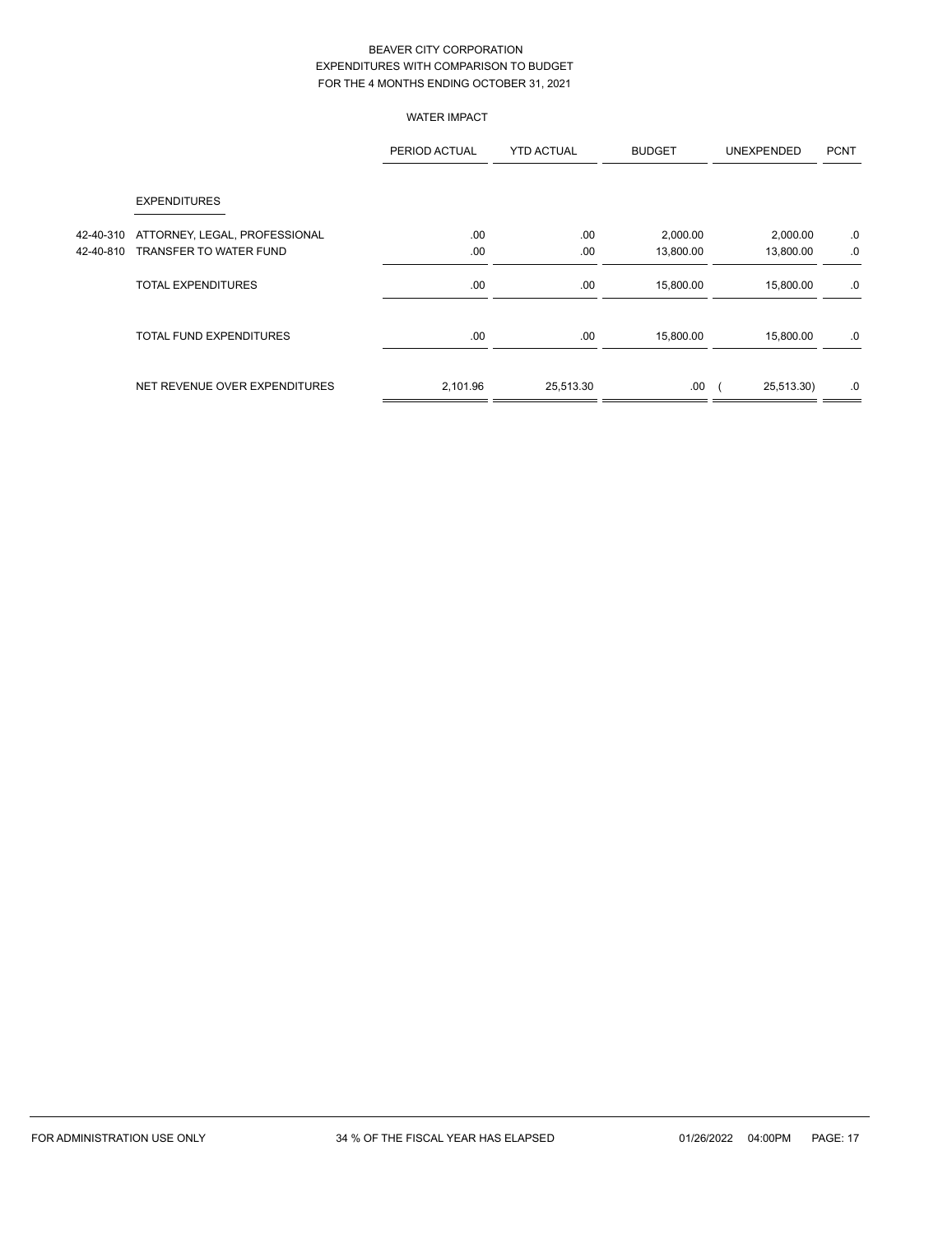## WATER IMPACT

|           |                               | PERIOD ACTUAL | <b>YTD ACTUAL</b> | <b>BUDGET</b> | <b>UNEXPENDED</b> | <b>PCNT</b> |
|-----------|-------------------------------|---------------|-------------------|---------------|-------------------|-------------|
|           | <b>EXPENDITURES</b>           |               |                   |               |                   |             |
| 42-40-310 | ATTORNEY, LEGAL, PROFESSIONAL | .00           | .00.              | 2,000.00      | 2,000.00          | .0          |
| 42-40-810 | TRANSFER TO WATER FUND        | .00           | .00               | 13,800.00     | 13,800.00         | .0          |
|           | <b>TOTAL EXPENDITURES</b>     | .00           | .00               | 15,800.00     | 15,800.00         | .0          |
|           | TOTAL FUND EXPENDITURES       | .00           | .00               | 15,800.00     | 15,800.00         | .0          |
|           | NET REVENUE OVER EXPENDITURES | 2,101.96      | 25,513.30         | .00.          | 25,513.30)        | .0          |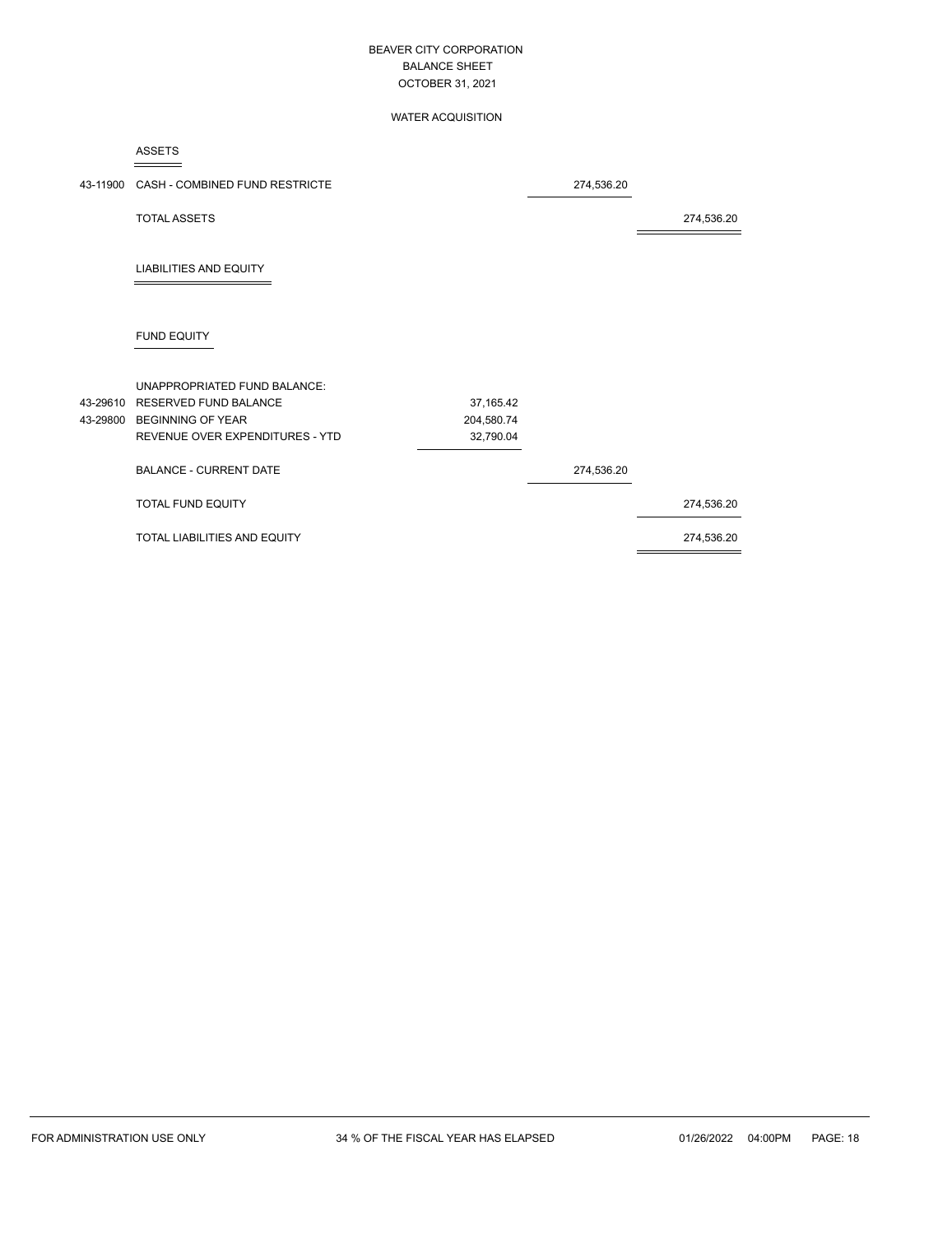#### WATER ACQUISITION

ASSETS

| 43-11900 CASH - COMBINED FUND RESTRICTE |            | 274,536.20 |            |
|-----------------------------------------|------------|------------|------------|
| <b>TOTAL ASSETS</b>                     |            |            | 274,536.20 |
| <b>LIABILITIES AND EQUITY</b>           |            |            |            |
| <b>FUND EQUITY</b>                      |            |            |            |
| UNAPPROPRIATED FUND BALANCE:            |            |            |            |
| 43-29610 RESERVED FUND BALANCE          | 37,165.42  |            |            |
| 43-29800 BEGINNING OF YEAR              | 204,580.74 |            |            |
| REVENUE OVER EXPENDITURES - YTD         | 32,790.04  |            |            |
| <b>BALANCE - CURRENT DATE</b>           |            | 274,536.20 |            |
| TOTAL FUND EQUITY                       |            |            | 274,536.20 |
| TOTAL LIABILITIES AND EQUITY            |            |            | 274,536.20 |
|                                         |            |            |            |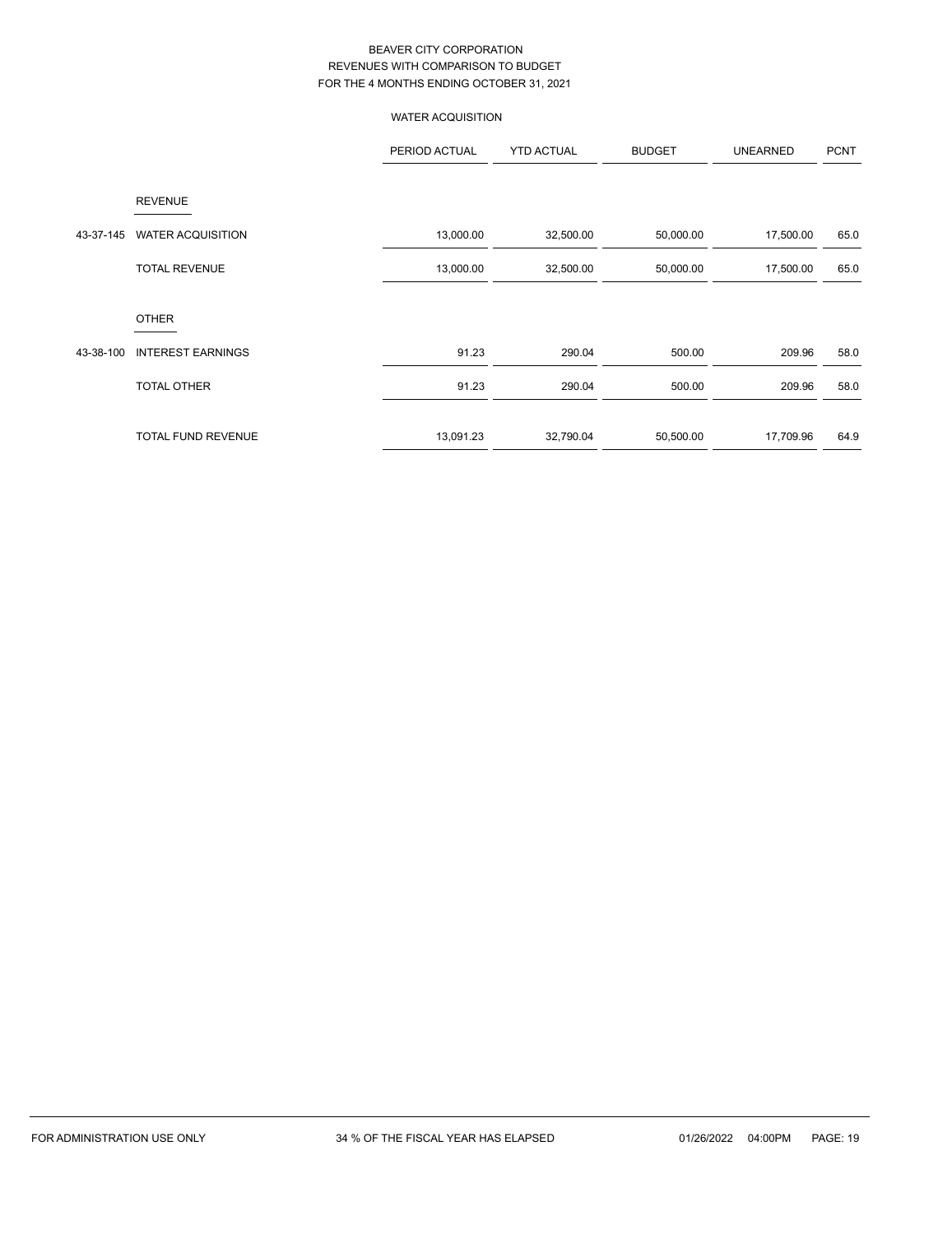# WATER ACQUISITION

|           |                          | PERIOD ACTUAL | <b>YTD ACTUAL</b> | <b>BUDGET</b> | <b>UNEARNED</b> | <b>PCNT</b> |
|-----------|--------------------------|---------------|-------------------|---------------|-----------------|-------------|
|           | <b>REVENUE</b>           |               |                   |               |                 |             |
| 43-37-145 | <b>WATER ACQUISITION</b> | 13,000.00     | 32,500.00         | 50,000.00     | 17,500.00       | 65.0        |
|           | <b>TOTAL REVENUE</b>     | 13,000.00     | 32,500.00         | 50,000.00     | 17,500.00       | 65.0        |
|           | <b>OTHER</b>             |               |                   |               |                 |             |
| 43-38-100 | <b>INTEREST EARNINGS</b> | 91.23         | 290.04            | 500.00        | 209.96          | 58.0        |
|           | <b>TOTAL OTHER</b>       | 91.23         | 290.04            | 500.00        | 209.96          | 58.0        |
|           | TOTAL FUND REVENUE       | 13,091.23     | 32,790.04         | 50,500.00     | 17,709.96       | 64.9        |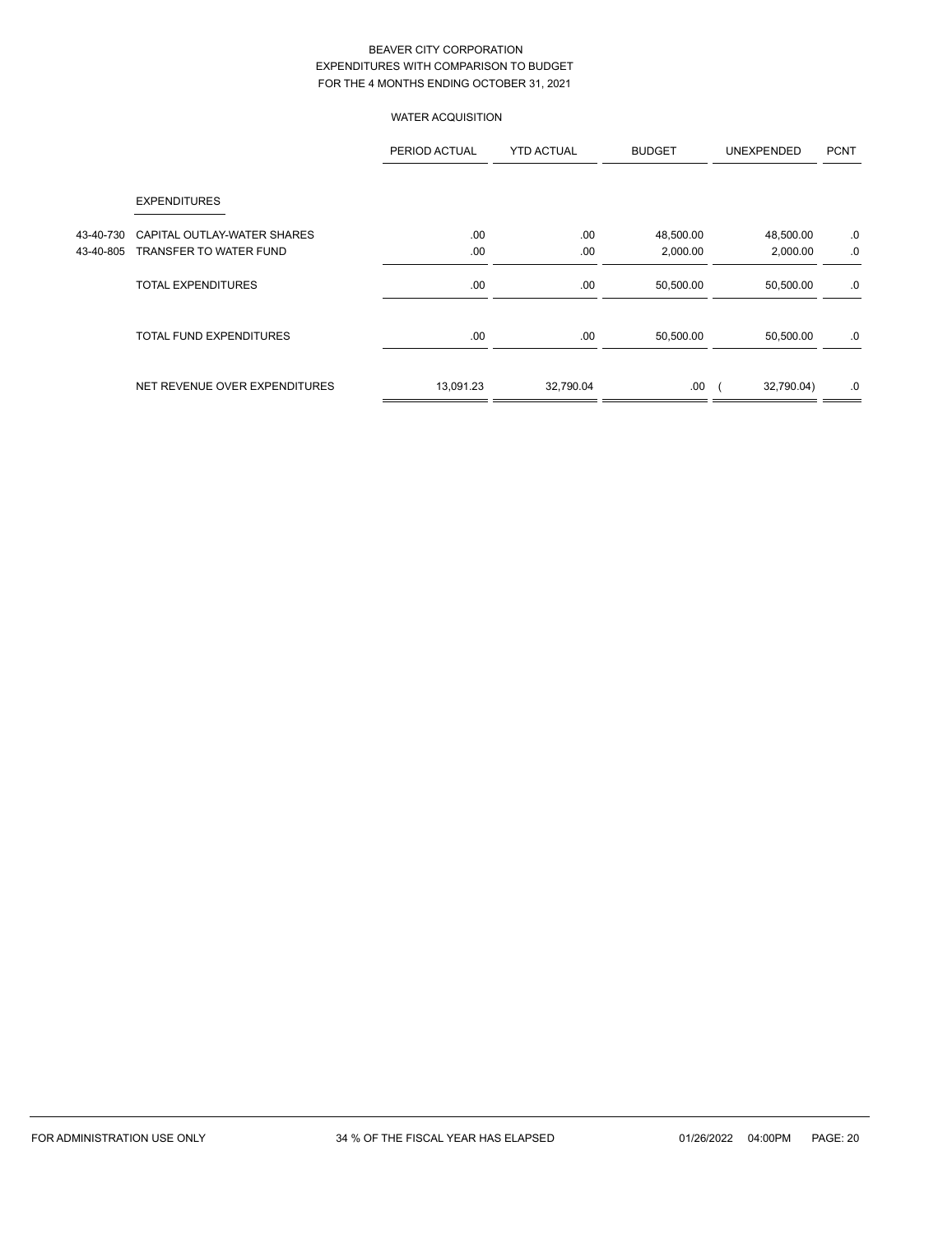# WATER ACQUISITION

|           |                                | PERIOD ACTUAL | <b>YTD ACTUAL</b> | <b>BUDGET</b> | <b>UNEXPENDED</b> | <b>PCNT</b> |
|-----------|--------------------------------|---------------|-------------------|---------------|-------------------|-------------|
|           | <b>EXPENDITURES</b>            |               |                   |               |                   |             |
| 43-40-730 | CAPITAL OUTLAY-WATER SHARES    | .00           | .00               | 48,500.00     | 48,500.00         | .0          |
| 43-40-805 | TRANSFER TO WATER FUND         | .00           | .00               | 2,000.00      | 2,000.00          | .0          |
|           | TOTAL EXPENDITURES             | .00.          | .00               | 50,500.00     | 50,500.00         | .0          |
|           | <b>TOTAL FUND EXPENDITURES</b> | .00           | .00               | 50,500.00     | 50,500.00         | .0          |
|           | NET REVENUE OVER EXPENDITURES  | 13,091.23     | 32,790.04         | .00           | 32,790.04)        | .0          |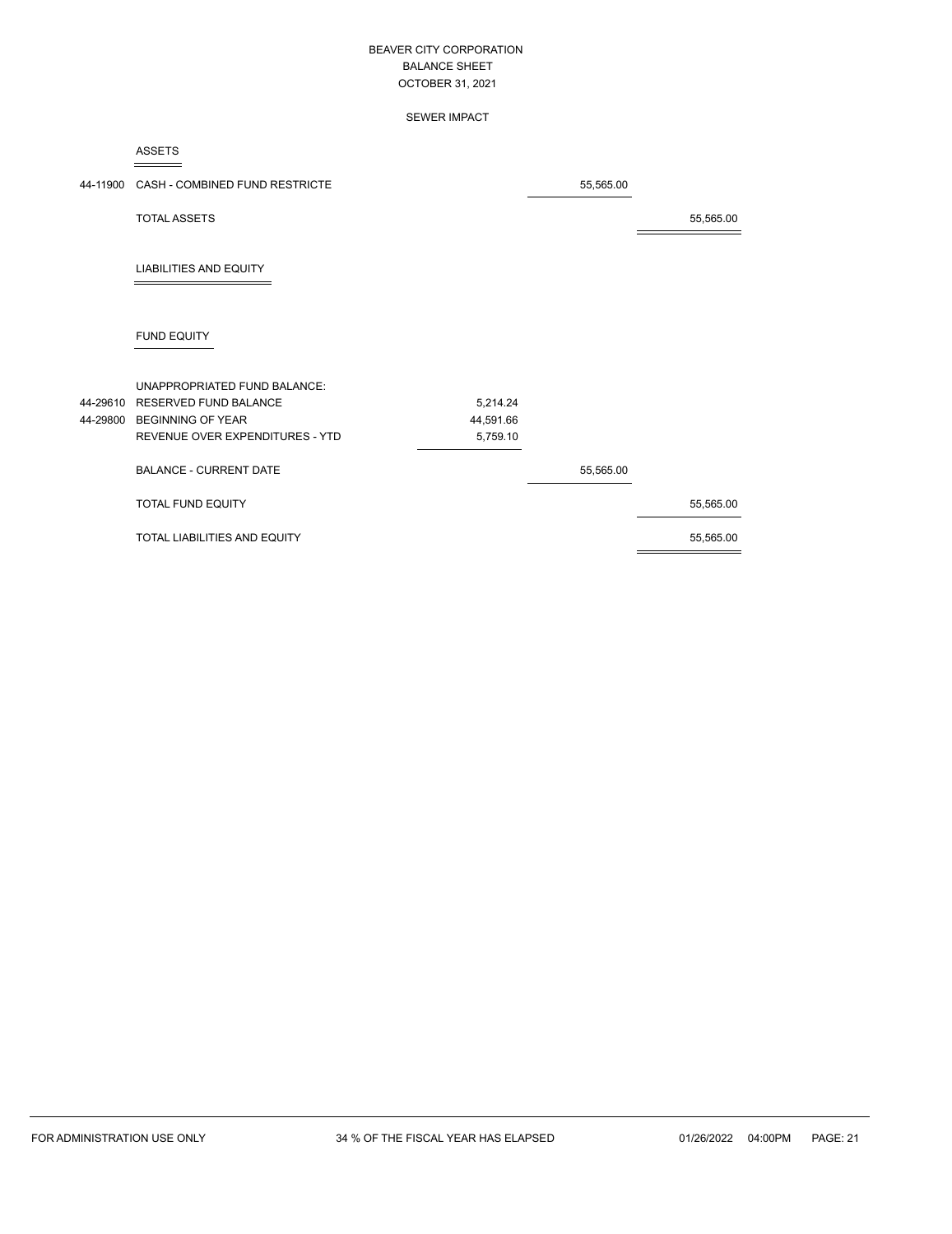#### SEWER IMPACT

ASSETS

|                                     |                                                                                                         | 55,565.00 |           |
|-------------------------------------|---------------------------------------------------------------------------------------------------------|-----------|-----------|
| <b>TOTAL ASSETS</b>                 |                                                                                                         |           | 55,565.00 |
| <b>LIABILITIES AND EQUITY</b>       |                                                                                                         |           |           |
| <b>FUND EQUITY</b>                  |                                                                                                         |           |           |
| <b>UNAPPROPRIATED FUND BALANCE:</b> |                                                                                                         |           |           |
|                                     | 5,214.24                                                                                                |           |           |
|                                     | 44,591.66                                                                                               |           |           |
| REVENUE OVER EXPENDITURES - YTD     | 5,759.10                                                                                                |           |           |
| <b>BALANCE - CURRENT DATE</b>       |                                                                                                         | 55,565.00 |           |
| TOTAL FUND EQUITY                   |                                                                                                         |           | 55,565.00 |
| TOTAL LIABILITIES AND EQUITY        |                                                                                                         |           | 55,565.00 |
|                                     | 44-11900 CASH - COMBINED FUND RESTRICTE<br>44-29610 RESERVED FUND BALANCE<br>44-29800 BEGINNING OF YEAR |           |           |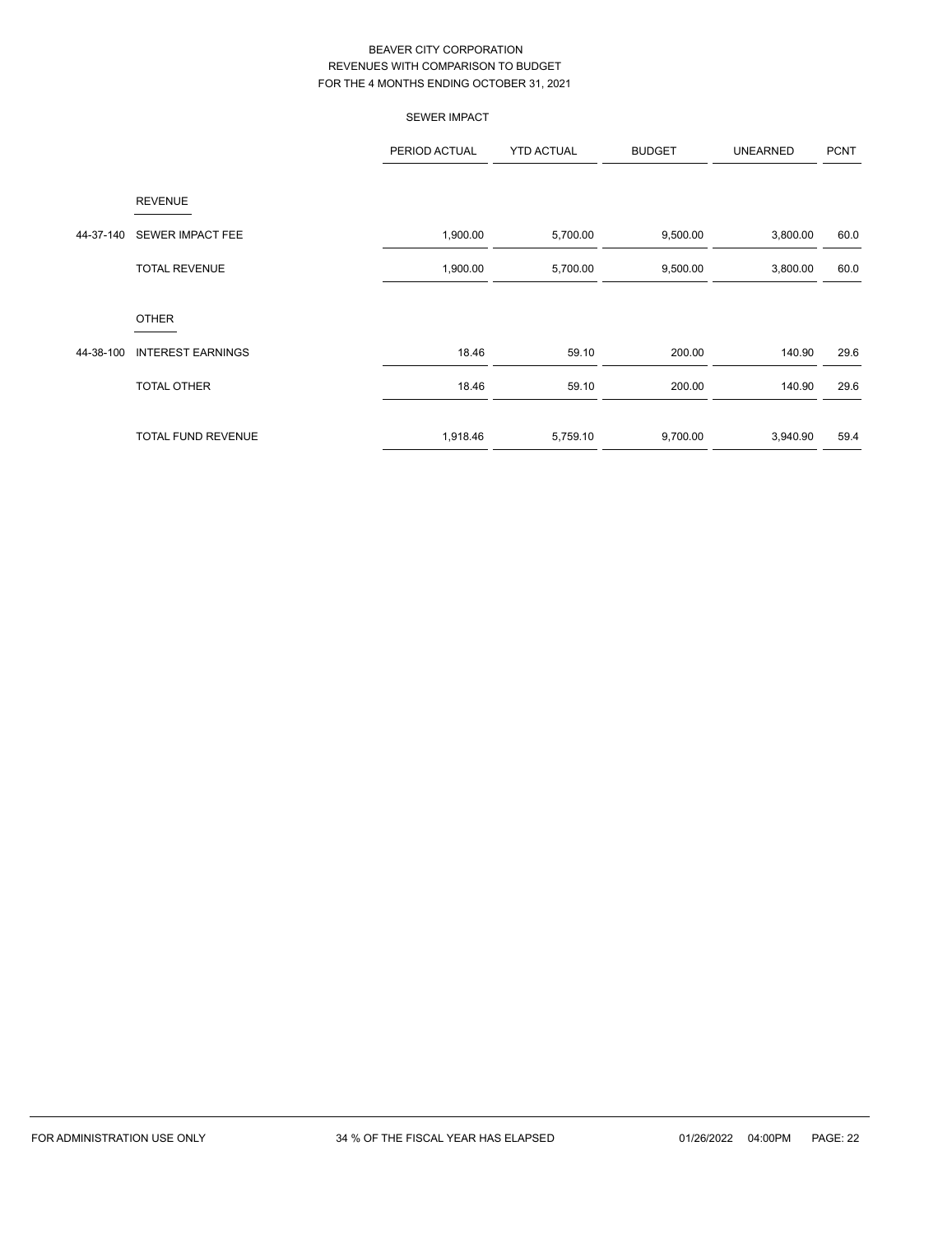|           |                          | <b>SEWER IMPACT</b> |                   |               |                 |             |
|-----------|--------------------------|---------------------|-------------------|---------------|-----------------|-------------|
|           |                          | PERIOD ACTUAL       | <b>YTD ACTUAL</b> | <b>BUDGET</b> | <b>UNEARNED</b> | <b>PCNT</b> |
|           | <b>REVENUE</b>           |                     |                   |               |                 |             |
| 44-37-140 | SEWER IMPACT FEE         | 1,900.00            | 5,700.00          | 9,500.00      | 3,800.00        | 60.0        |
|           | <b>TOTAL REVENUE</b>     | 1,900.00            | 5,700.00          | 9,500.00      | 3,800.00        | 60.0        |
|           | <b>OTHER</b>             |                     |                   |               |                 |             |
| 44-38-100 | <b>INTEREST EARNINGS</b> | 18.46               | 59.10             | 200.00        | 140.90          | 29.6        |
|           | TOTAL OTHER              | 18.46               | 59.10             | 200.00        | 140.90          | 29.6        |
|           | TOTAL FUND REVENUE       | 1,918.46            | 5,759.10          | 9,700.00      | 3,940.90        | 59.4        |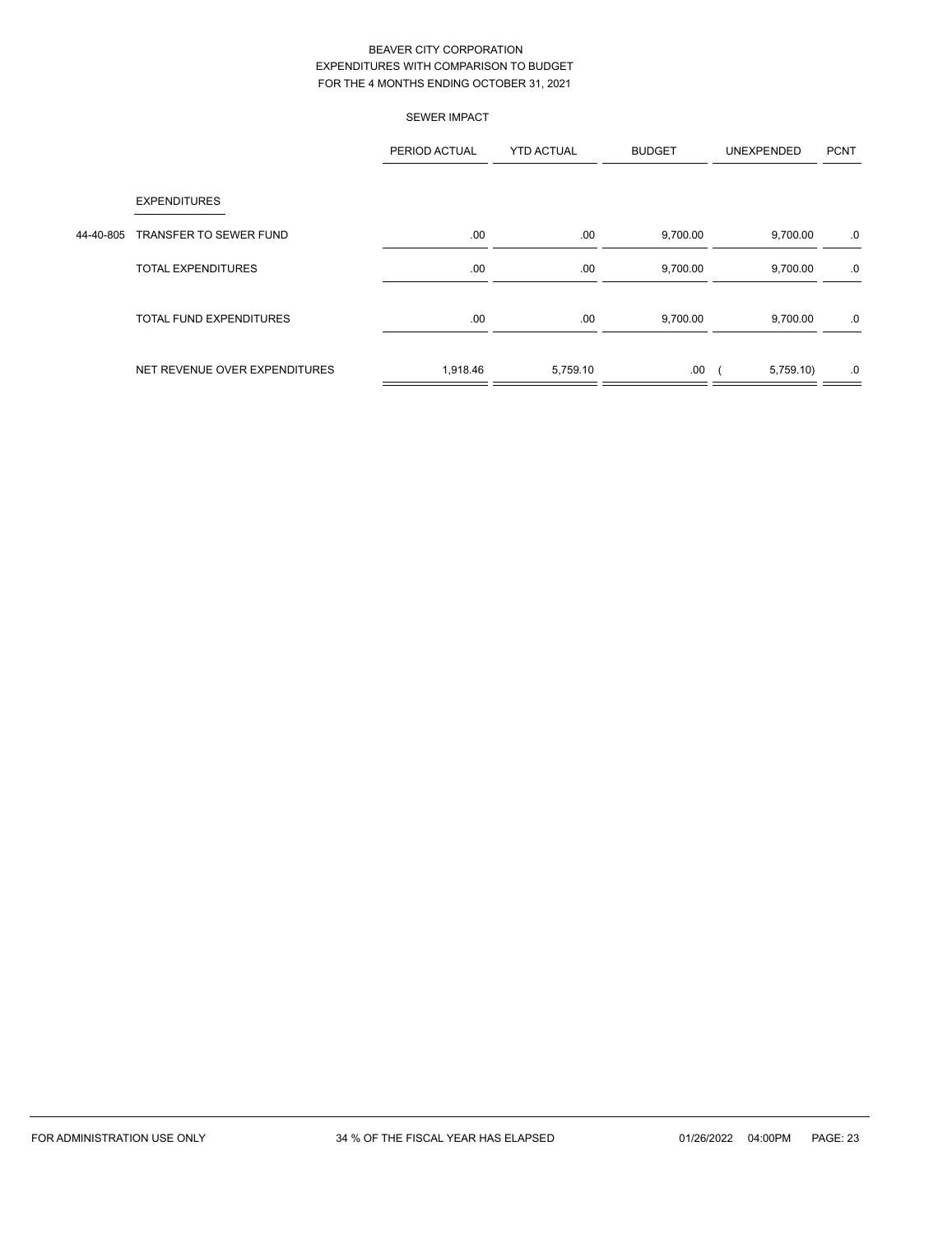|           |                                | <b>SEWER IMPACT</b> |                   |               |                   |             |
|-----------|--------------------------------|---------------------|-------------------|---------------|-------------------|-------------|
|           |                                | PERIOD ACTUAL       | <b>YTD ACTUAL</b> | <b>BUDGET</b> | <b>UNEXPENDED</b> | <b>PCNT</b> |
|           | <b>EXPENDITURES</b>            |                     |                   |               |                   |             |
| 44-40-805 | TRANSFER TO SEWER FUND         | .00.                | .00.              | 9,700.00      | 9,700.00          | .0          |
|           | <b>TOTAL EXPENDITURES</b>      | .00.                | .00.              | 9,700.00      | 9,700.00          | .0          |
|           | <b>TOTAL FUND EXPENDITURES</b> | .00                 | .00.              | 9,700.00      | 9,700.00          | .0          |
|           | NET REVENUE OVER EXPENDITURES  | 1,918.46            | 5,759.10          | .00           | 5,759.10)         | .0          |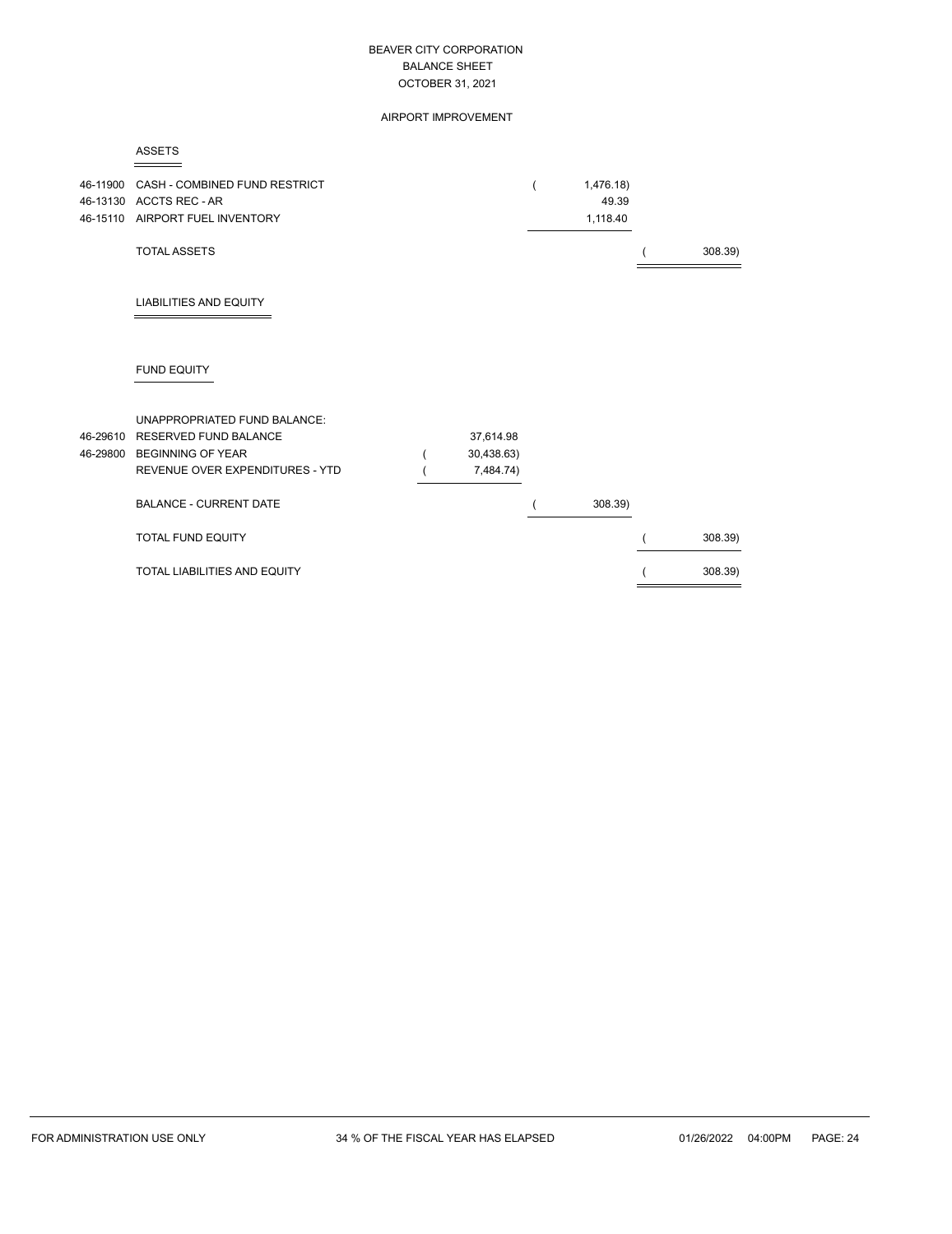AIRPORT IMPROVEMENT

|--|

| 46-11900 | CASH - COMBINED FUND RESTRICT<br>46-13130 ACCTS REC - AR<br>46-15110 AIRPORT FUEL INVENTORY |            | 1,476.18)<br>49.39<br>1,118.40 |         |
|----------|---------------------------------------------------------------------------------------------|------------|--------------------------------|---------|
|          | <b>TOTAL ASSETS</b>                                                                         |            |                                | 308.39) |
|          | <b>LIABILITIES AND EQUITY</b>                                                               |            |                                |         |
|          | <b>FUND EQUITY</b>                                                                          |            |                                |         |
|          | UNAPPROPRIATED FUND BALANCE:                                                                |            |                                |         |
|          | 46-29610 RESERVED FUND BALANCE                                                              | 37,614.98  |                                |         |
|          | 46-29800 BEGINNING OF YEAR                                                                  | 30,438.63) |                                |         |
|          | REVENUE OVER EXPENDITURES - YTD                                                             | 7,484.74)  |                                |         |
|          | <b>BALANCE - CURRENT DATE</b>                                                               |            | 308.39)                        |         |
|          | <b>TOTAL FUND EQUITY</b>                                                                    |            |                                | 308.39) |
|          | <b>TOTAL LIABILITIES AND EQUITY</b>                                                         |            |                                | 308.39) |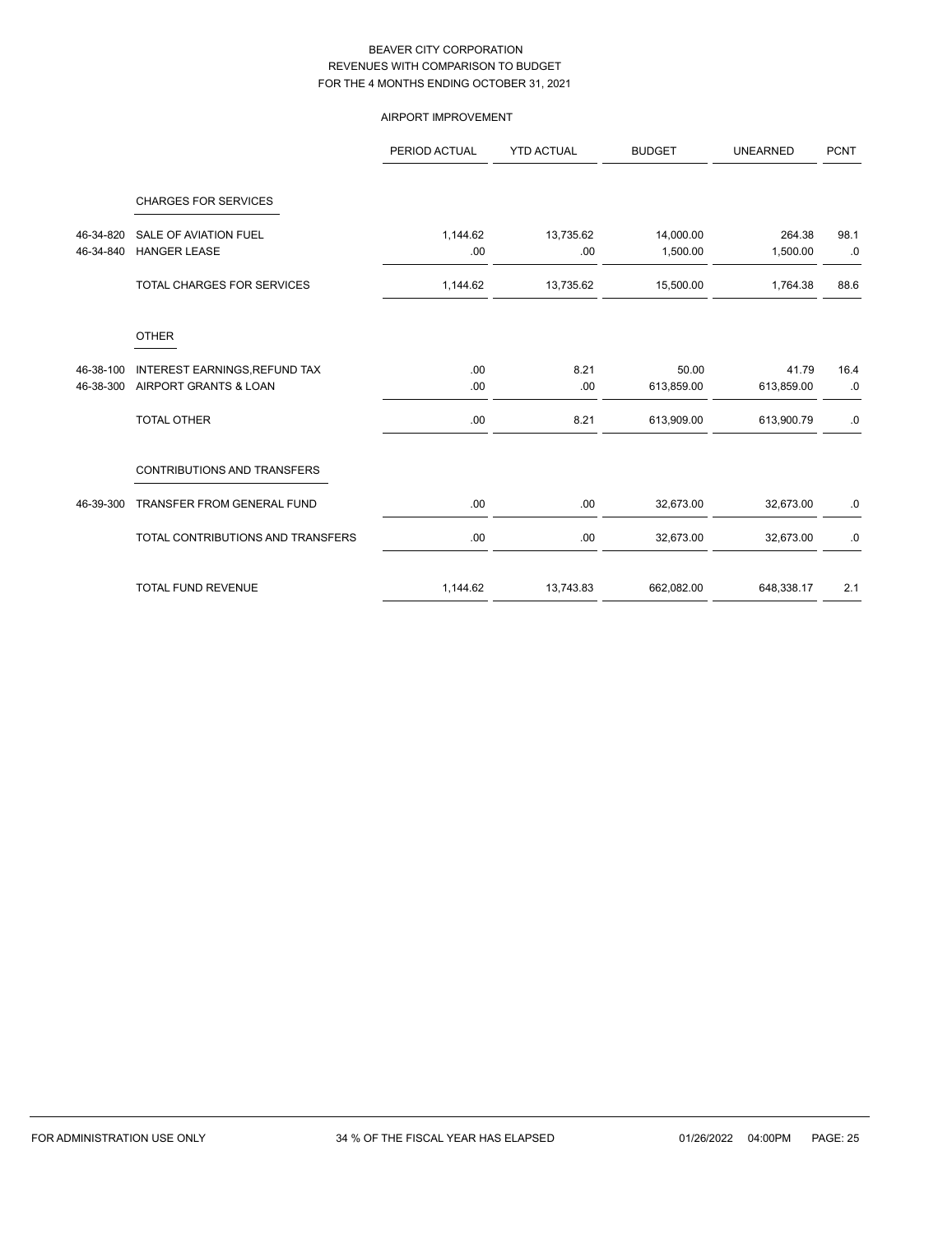# AIRPORT IMPROVEMENT

|           |                                    | PERIOD ACTUAL | <b>YTD ACTUAL</b> | <b>BUDGET</b> | <b>UNEARNED</b> | <b>PCNT</b> |
|-----------|------------------------------------|---------------|-------------------|---------------|-----------------|-------------|
|           | <b>CHARGES FOR SERVICES</b>        |               |                   |               |                 |             |
| 46-34-820 | SALE OF AVIATION FUEL              | 1,144.62      | 13,735.62         | 14,000.00     | 264.38          | 98.1        |
| 46-34-840 | <b>HANGER LEASE</b>                | .00           | .00               | 1,500.00      | 1,500.00        | .0          |
|           | <b>TOTAL CHARGES FOR SERVICES</b>  | 1,144.62      | 13,735.62         | 15,500.00     | 1,764.38        | 88.6        |
|           | <b>OTHER</b>                       |               |                   |               |                 |             |
| 46-38-100 | INTEREST EARNINGS, REFUND TAX      | .00.          | 8.21              | 50.00         | 41.79           | 16.4        |
| 46-38-300 | AIRPORT GRANTS & LOAN              | .00           | .00               | 613,859.00    | 613,859.00      | .0          |
|           | <b>TOTAL OTHER</b>                 | .00           | 8.21              | 613,909.00    | 613,900.79      | .0          |
|           | <b>CONTRIBUTIONS AND TRANSFERS</b> |               |                   |               |                 |             |
| 46-39-300 | TRANSFER FROM GENERAL FUND         | .00.          | .00               | 32,673.00     | 32,673.00       | .0          |
|           | TOTAL CONTRIBUTIONS AND TRANSFERS  | .00           | .00               | 32,673.00     | 32,673.00       | .0          |
|           | <b>TOTAL FUND REVENUE</b>          | 1,144.62      | 13,743.83         | 662,082.00    | 648,338.17      | 2.1         |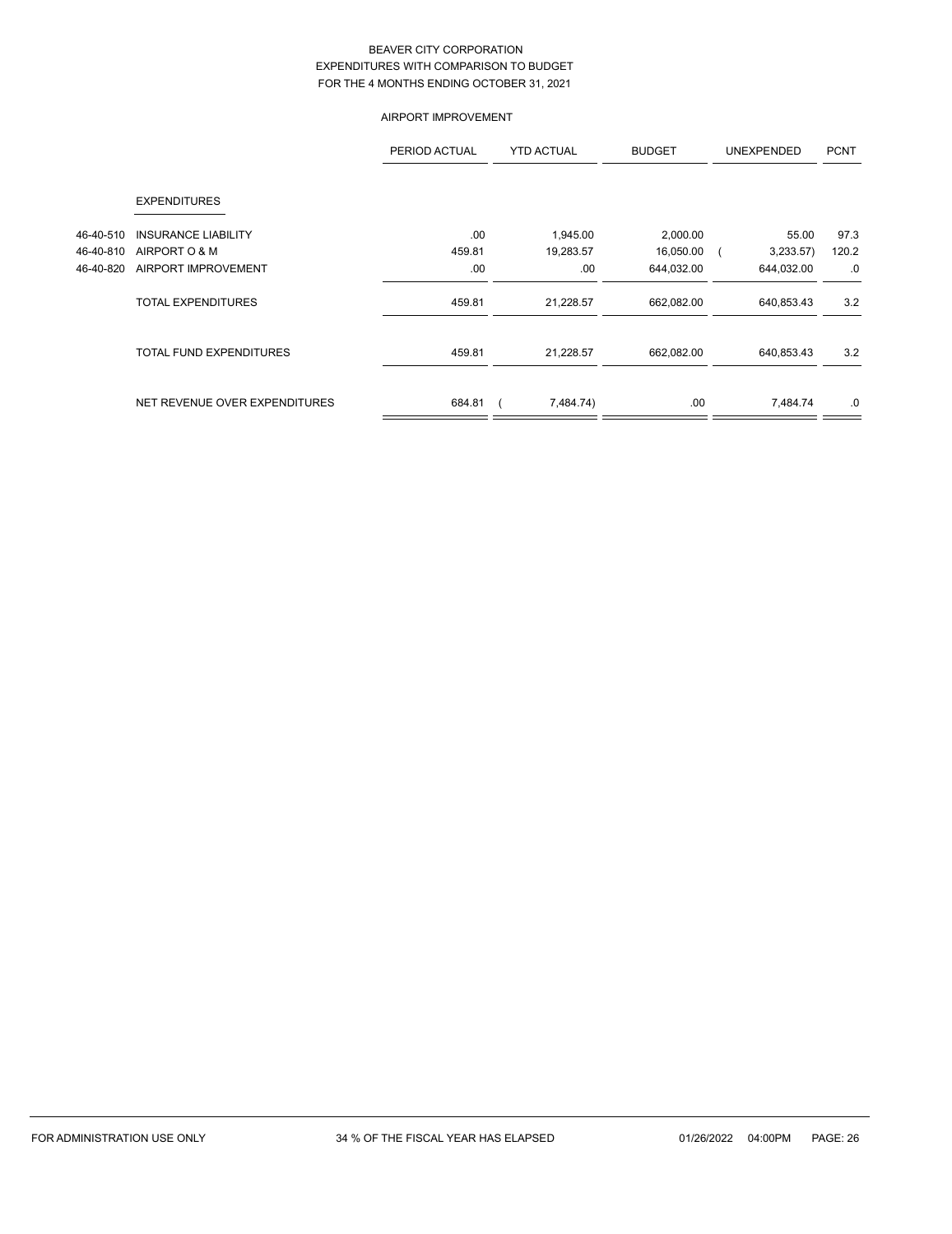## AIRPORT IMPROVEMENT

|           |                                | PERIOD ACTUAL | <b>YTD ACTUAL</b> | <b>BUDGET</b> | <b>UNEXPENDED</b> | <b>PCNT</b> |
|-----------|--------------------------------|---------------|-------------------|---------------|-------------------|-------------|
|           | <b>EXPENDITURES</b>            |               |                   |               |                   |             |
| 46-40-510 | <b>INSURANCE LIABILITY</b>     | .00.          | 1,945.00          | 2,000.00      | 55.00             | 97.3        |
| 46-40-810 | AIRPORT O & M                  | 459.81        | 19,283.57         | 16,050.00     | 3,233.57          | 120.2       |
| 46-40-820 | AIRPORT IMPROVEMENT            | .00           | .00               | 644,032.00    | 644,032.00        | .0          |
|           | <b>TOTAL EXPENDITURES</b>      | 459.81        | 21,228.57         | 662,082.00    | 640,853.43        | 3.2         |
|           | <b>TOTAL FUND EXPENDITURES</b> | 459.81        | 21,228.57         | 662,082.00    | 640,853.43        | 3.2         |
|           | NET REVENUE OVER EXPENDITURES  | 684.81        | 7,484.74)         | .00           | 7,484.74          | .0          |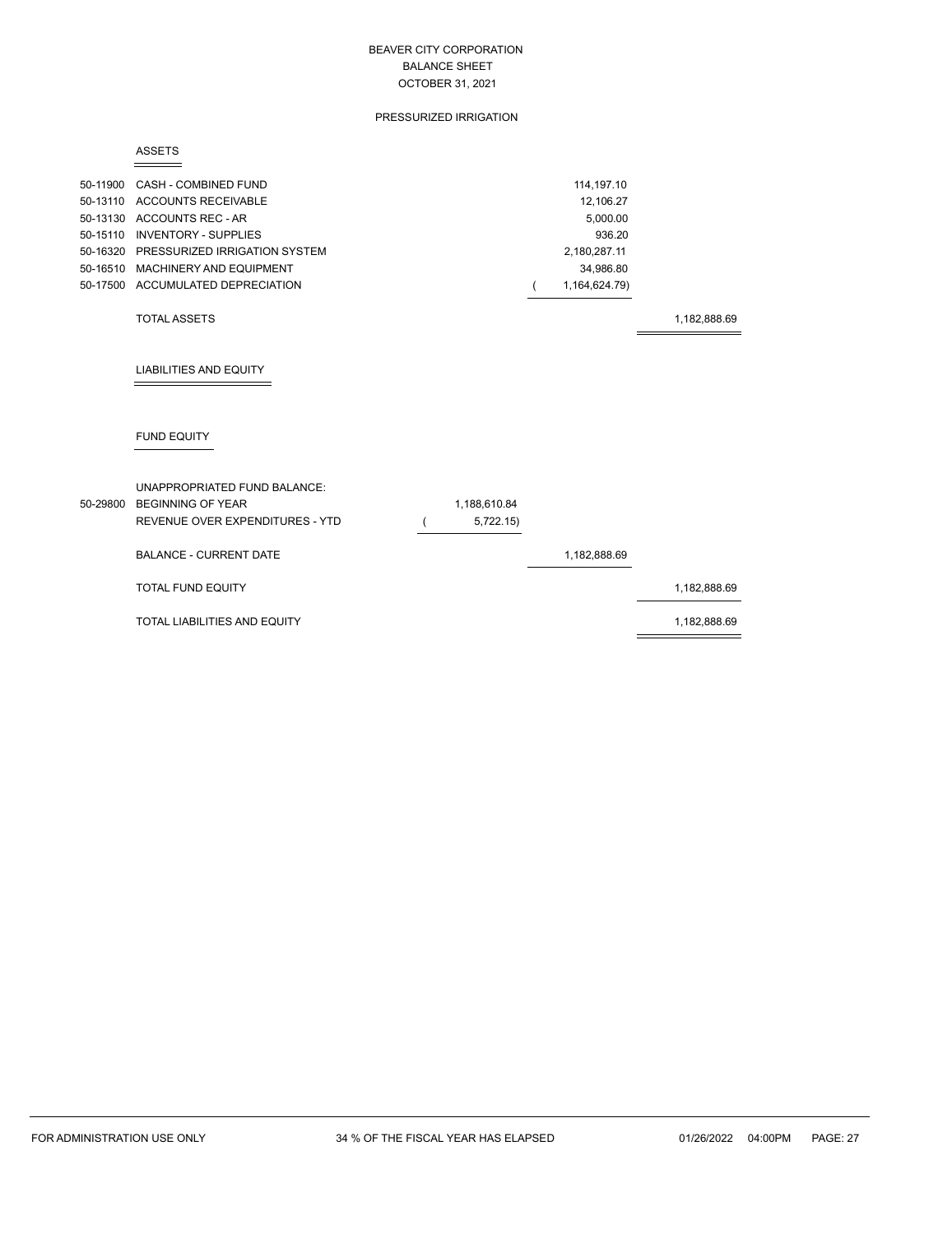#### PRESSURIZED IRRIGATION

#### ASSETS

| 50-11900 CASH - COMBINED FUND          | 114.197.10    |
|----------------------------------------|---------------|
| 50-13110 ACCOUNTS RECEIVABLE           | 12.106.27     |
| 50-13130 ACCOUNTS REC - AR             | 5.000.00      |
| 50-15110 INVENTORY - SUPPLIES          | 936.20        |
| 50-16320 PRESSURIZED IRRIGATION SYSTEM | 2.180.287.11  |
| 50-16510 MACHINERY AND EQUIPMENT       | 34.986.80     |
| 50-17500 ACCUMULATED DEPRECIATION      | 1.164.624.79) |
|                                        |               |

#### TOTAL ASSETS 1,182,888.69

# LIABILITIES AND EQUITY

# FUND EQUITY

| UNAPPROPRIATED FUND BALANCE:<br>50-29800 BEGINNING OF YEAR<br>REVENUE OVER EXPENDITURES - YTD | 1,188,610.84<br>5,722.15) |              |              |
|-----------------------------------------------------------------------------------------------|---------------------------|--------------|--------------|
| <b>BALANCE - CURRENT DATE</b>                                                                 |                           | 1,182,888.69 |              |
| <b>TOTAL FUND EQUITY</b>                                                                      |                           |              | 1,182,888.69 |
| TOTAL LIABILITIES AND EQUITY                                                                  |                           |              | 1,182,888.69 |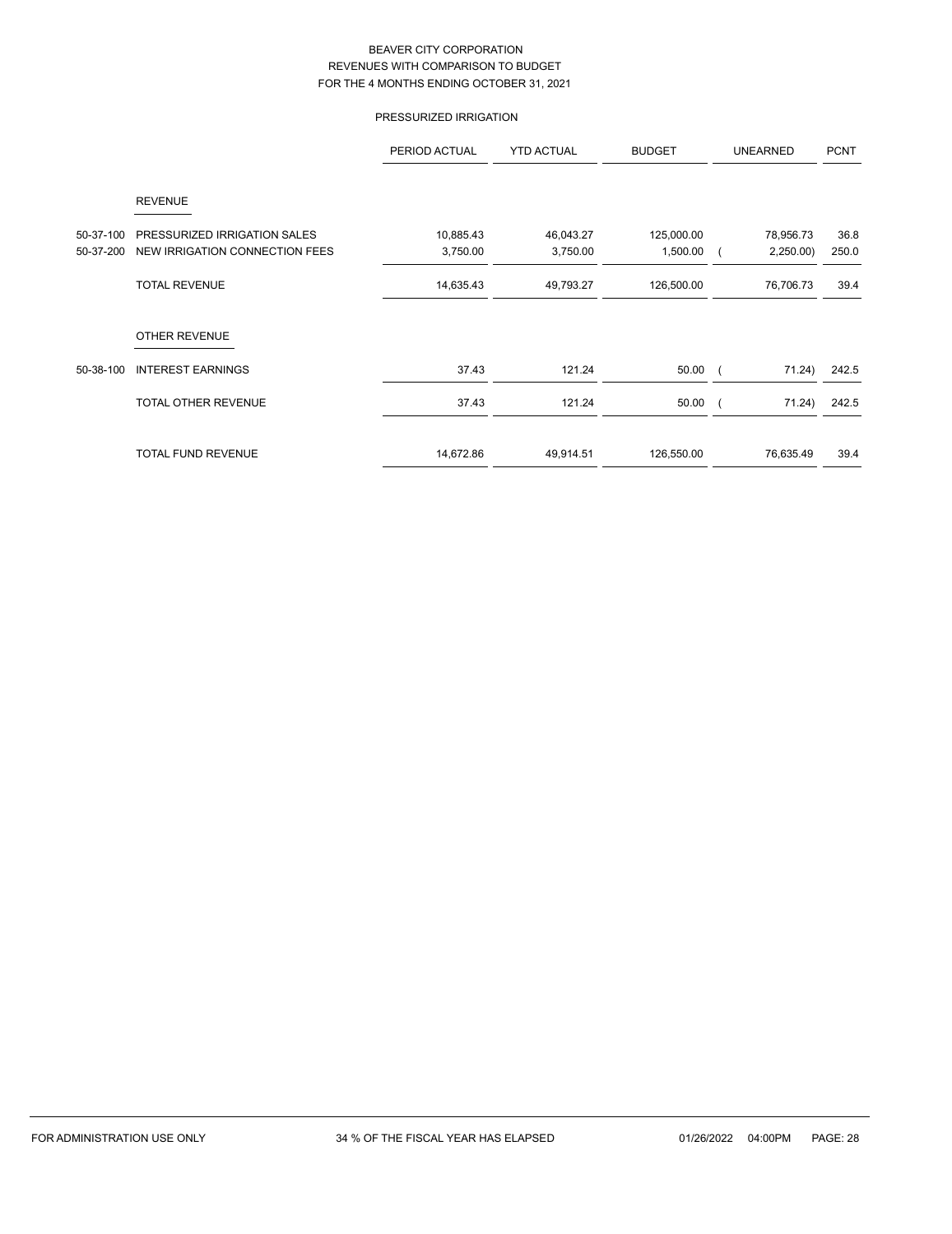# PRESSURIZED IRRIGATION

|           |                                | PERIOD ACTUAL | <b>YTD ACTUAL</b> | <b>BUDGET</b> | <b>UNEARNED</b> | <b>PCNT</b> |
|-----------|--------------------------------|---------------|-------------------|---------------|-----------------|-------------|
|           | <b>REVENUE</b>                 |               |                   |               |                 |             |
| 50-37-100 | PRESSURIZED IRRIGATION SALES   | 10,885.43     | 46,043.27         | 125,000.00    | 78,956.73       | 36.8        |
| 50-37-200 | NEW IRRIGATION CONNECTION FEES | 3,750.00      | 3,750.00          | 1,500.00      | 2,250.00        | 250.0       |
|           | <b>TOTAL REVENUE</b>           | 14,635.43     | 49,793.27         | 126,500.00    | 76,706.73       | 39.4        |
|           | <b>OTHER REVENUE</b>           |               |                   |               |                 |             |
| 50-38-100 | <b>INTEREST EARNINGS</b>       | 37.43         | 121.24            | 50.00         | 71.24)          | 242.5       |
|           | TOTAL OTHER REVENUE            | 37.43         | 121.24            | 50.00         | 71.24)          | 242.5       |
|           | <b>TOTAL FUND REVENUE</b>      | 14,672.86     | 49,914.51         | 126,550.00    | 76,635.49       | 39.4        |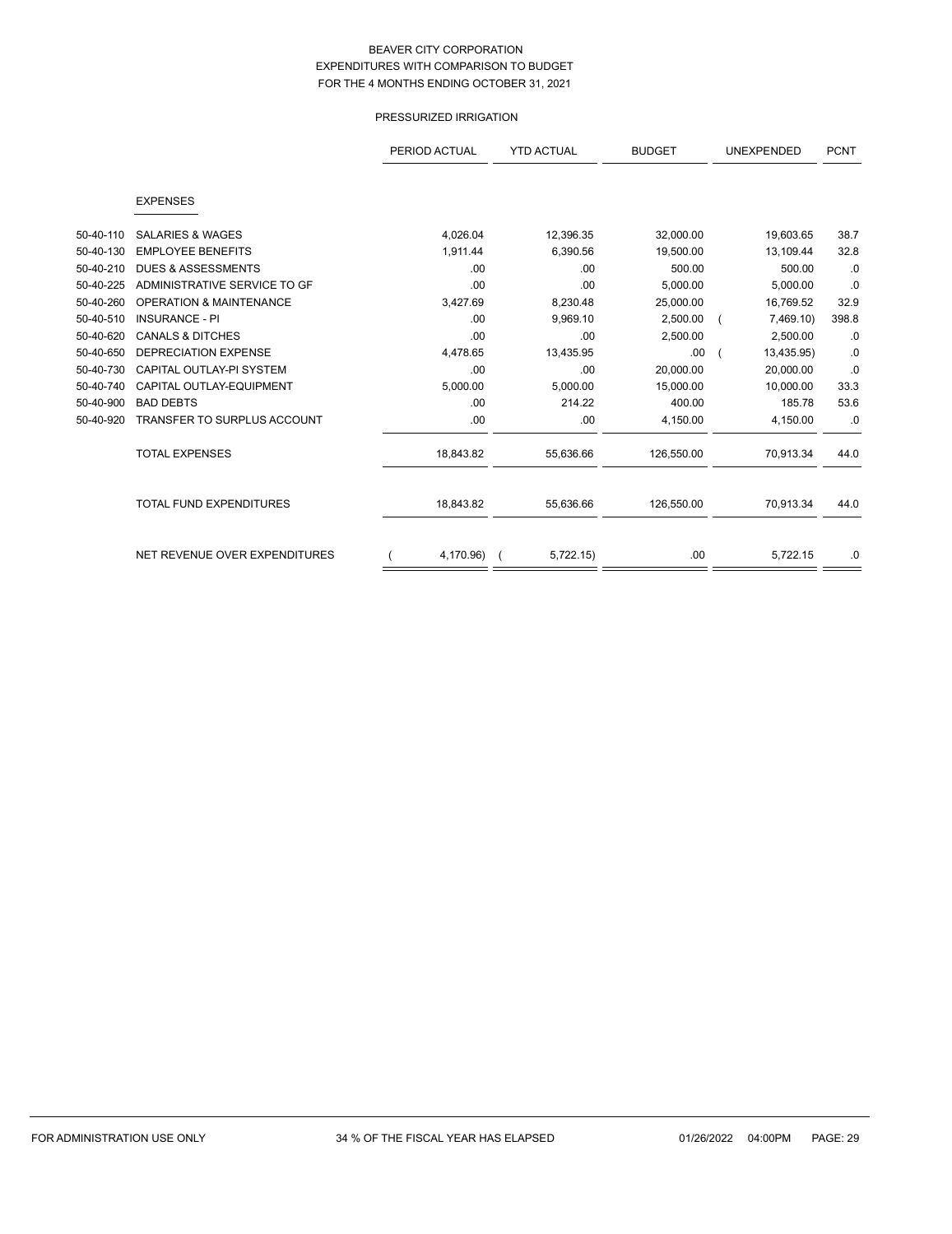# PRESSURIZED IRRIGATION

|           |                                    | PERIOD ACTUAL<br><b>YTD ACTUAL</b><br><b>BUDGET</b> |           | <b>UNEXPENDED</b> | <b>PCNT</b> |       |
|-----------|------------------------------------|-----------------------------------------------------|-----------|-------------------|-------------|-------|
|           | <b>EXPENSES</b>                    |                                                     |           |                   |             |       |
|           |                                    |                                                     |           |                   |             |       |
| 50-40-110 | <b>SALARIES &amp; WAGES</b>        | 4,026.04                                            | 12,396.35 | 32,000.00         | 19,603.65   | 38.7  |
| 50-40-130 | <b>EMPLOYEE BENEFITS</b>           | 1,911.44                                            | 6,390.56  | 19,500.00         | 13,109.44   | 32.8  |
| 50-40-210 | <b>DUES &amp; ASSESSMENTS</b>      | .00                                                 | .00       | 500.00            | 500.00      | .0    |
| 50-40-225 | ADMINISTRATIVE SERVICE TO GF       | .00                                                 | .00       | 5,000.00          | 5,000.00    | .0    |
| 50-40-260 | <b>OPERATION &amp; MAINTENANCE</b> | 3,427.69                                            | 8,230.48  | 25,000.00         | 16,769.52   | 32.9  |
| 50-40-510 | <b>INSURANCE - PI</b>              | .00                                                 | 9,969.10  | 2,500.00          | 7,469.10)   | 398.8 |
| 50-40-620 | <b>CANALS &amp; DITCHES</b>        | .00                                                 | .00       | 2,500.00          | 2,500.00    | .0    |
| 50-40-650 | <b>DEPRECIATION EXPENSE</b>        | 4,478.65                                            | 13,435.95 | .00.              | 13,435.95)  | .0    |
| 50-40-730 | CAPITAL OUTLAY-PI SYSTEM           | .00                                                 | .00       | 20.000.00         | 20.000.00   | .0    |
| 50-40-740 | CAPITAL OUTLAY-EQUIPMENT           | 5,000.00                                            | 5,000.00  | 15,000.00         | 10,000.00   | 33.3  |
| 50-40-900 | <b>BAD DEBTS</b>                   | .00                                                 | 214.22    | 400.00            | 185.78      | 53.6  |
| 50-40-920 | <b>TRANSFER TO SURPLUS ACCOUNT</b> | .00                                                 | .00       | 4,150.00          | 4,150.00    | .0    |
|           | <b>TOTAL EXPENSES</b>              | 18,843.82                                           | 55,636.66 | 126,550.00        | 70,913.34   | 44.0  |
|           | <b>TOTAL FUND EXPENDITURES</b>     | 18,843.82                                           | 55,636.66 | 126,550.00        | 70,913.34   | 44.0  |
|           | NET REVENUE OVER EXPENDITURES      | 4,170.96)                                           | 5,722.15  | .00               | 5,722.15    | .0    |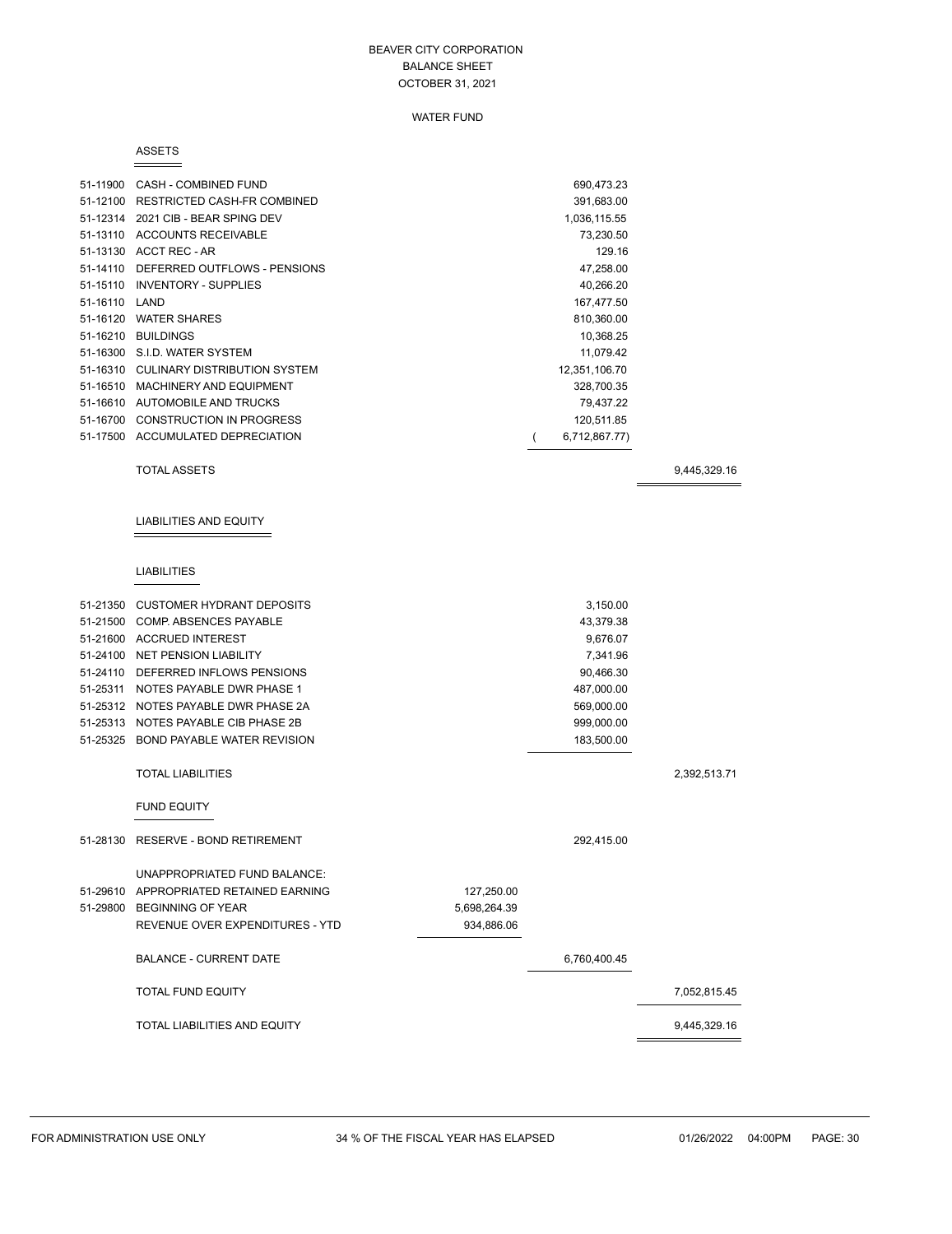#### WATER FUND

#### ASSETS

| 51-11900      | CASH - COMBINED FUND                  | 690,473.23    |  |
|---------------|---------------------------------------|---------------|--|
|               | 51-12100 RESTRICTED CASH-FR COMBINED  | 391,683.00    |  |
| 51-12314      | 2021 CIB - BEAR SPING DEV             | 1,036,115.55  |  |
| 51-13110      | ACCOUNTS RECEIVABLE                   | 73,230.50     |  |
| 51-13130      | ACCT REC - AR                         | 129.16        |  |
| 51-14110      | DEFERRED OUTFLOWS - PENSIONS          | 47,258.00     |  |
| 51-15110      | INVENTORY - SUPPLIES                  | 40,266.20     |  |
| 51-16110 LAND |                                       | 167,477.50    |  |
| 51-16120      | <b>WATER SHARES</b>                   | 810,360.00    |  |
| 51-16210      | <b>BUILDINGS</b>                      | 10,368.25     |  |
|               | 51-16300 S.I.D. WATER SYSTEM          | 11,079.42     |  |
|               | 51-16310 CULINARY DISTRIBUTION SYSTEM | 12,351,106.70 |  |
| 51-16510      | MACHINERY AND EQUIPMENT               | 328,700.35    |  |
|               | 51-16610 AUTOMOBILE AND TRUCKS        | 79.437.22     |  |
| 51-16700      | <b>CONSTRUCTION IN PROGRESS</b>       | 120,511.85    |  |
| 51-17500      | ACCUMULATED DEPRECIATION              | 6,712,867.77) |  |

TOTAL ASSETS 9,445,329.16

# LIABILITIES AND EQUITY

## LIABILITIES

| 51-21350 CUSTOMER HYDRANT DEPOSITS     |              | 3,150.00     |              |
|----------------------------------------|--------------|--------------|--------------|
| 51-21500 COMP. ABSENCES PAYABLE        |              | 43,379.38    |              |
| 51-21600 ACCRUED INTEREST              |              | 9,676.07     |              |
| 51-24100 NET PENSION LIABILITY         |              | 7,341.96     |              |
| 51-24110 DEFERRED INFLOWS PENSIONS     |              | 90,466.30    |              |
| 51-25311 NOTES PAYABLE DWR PHASE 1     |              | 487,000.00   |              |
| 51-25312 NOTES PAYABLE DWR PHASE 2A    |              | 569,000.00   |              |
| 51-25313 NOTES PAYABLE CIB PHASE 2B    |              | 999,000.00   |              |
| 51-25325 BOND PAYABLE WATER REVISION   |              | 183,500.00   |              |
| <b>TOTAL LIABILITIES</b>               |              |              | 2,392,513.71 |
| <b>FUND EQUITY</b>                     |              |              |              |
| 51-28130 RESERVE - BOND RETIREMENT     |              | 292,415.00   |              |
| UNAPPROPRIATED FUND BALANCE:           |              |              |              |
| 51-29610 APPROPRIATED RETAINED EARNING | 127,250.00   |              |              |
| 51-29800 BEGINNING OF YEAR             | 5,698,264.39 |              |              |
| REVENUE OVER EXPENDITURES - YTD        | 934,886.06   |              |              |
| <b>BALANCE - CURRENT DATE</b>          |              | 6,760,400.45 |              |
| <b>TOTAL FUND EQUITY</b>               |              |              | 7,052,815.45 |
| <b>TOTAL LIABILITIES AND EQUITY</b>    |              |              | 9,445,329.16 |
|                                        |              |              |              |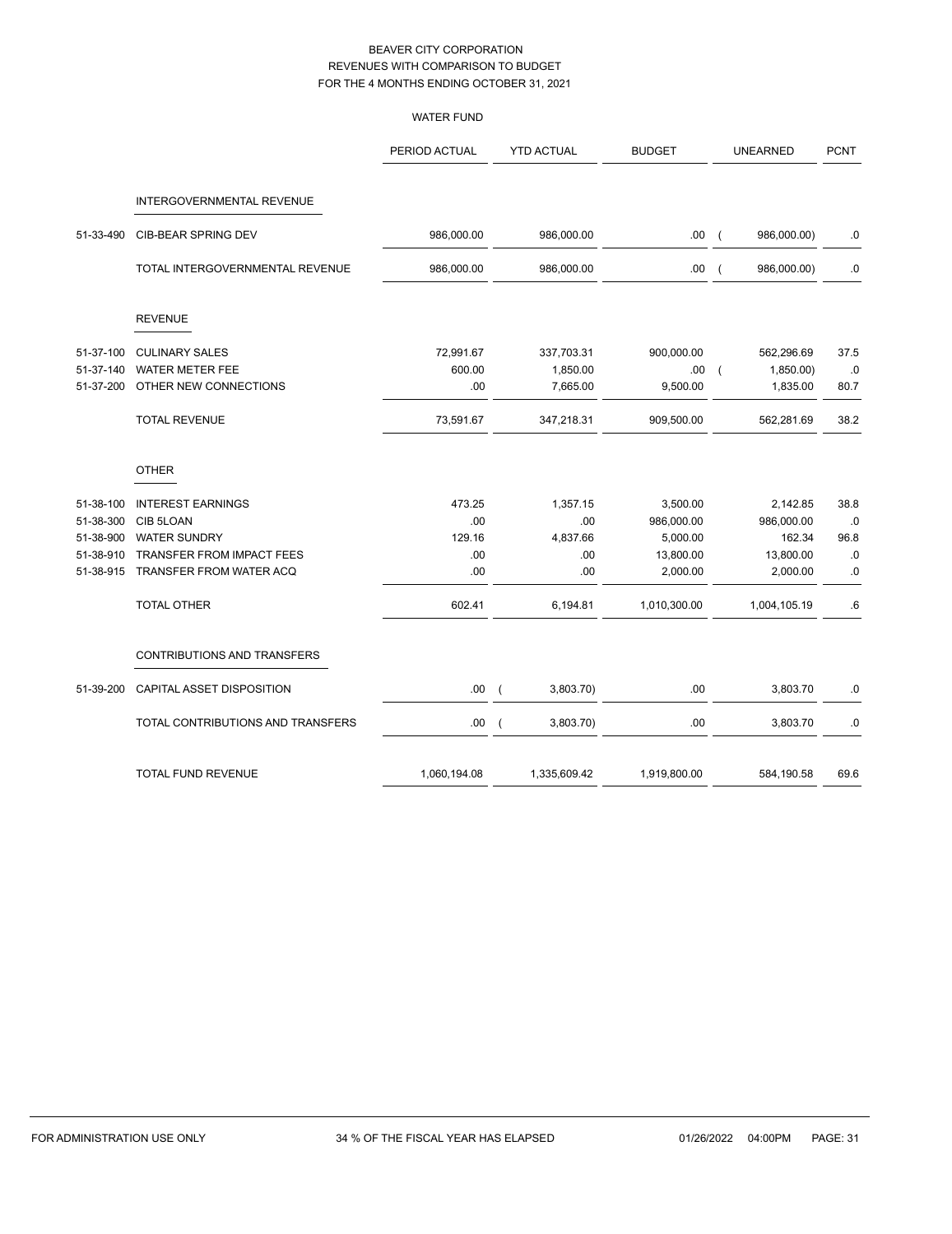|                                   | <b>WATER FUND</b> |                             |               |                               |             |
|-----------------------------------|-------------------|-----------------------------|---------------|-------------------------------|-------------|
|                                   | PERIOD ACTUAL     | <b>YTD ACTUAL</b>           | <b>BUDGET</b> | <b>UNEARNED</b>               | <b>PCNT</b> |
| <b>INTERGOVERNMENTAL REVENUE</b>  |                   |                             |               |                               |             |
| CIB-BEAR SPRING DEV               | 986,000.00        | 986,000.00                  | .00.          | 986,000.00)<br>$\overline{ }$ | 0.0         |
| TOTAL INTERGOVERNMENTAL REVENUE   | 986,000.00        | 986,000.00                  | .00.          | 986,000.00)<br>$\left($       | .0          |
| <b>REVENUE</b>                    |                   |                             |               |                               |             |
| <b>CULINARY SALES</b>             | 72,991.67         | 337,703.31                  | 900,000.00    | 562,296.69                    | 37.5        |
|                                   | 600.00            |                             | .00.          | $\overline{ }$                | .0          |
| OTHER NEW CONNECTIONS             | .00               | 7,665.00                    | 9,500.00      | 1,835.00                      | 80.7        |
| <b>TOTAL REVENUE</b>              | 73,591.67         | 347,218.31                  | 909,500.00    | 562,281.69                    | 38.2        |
| <b>OTHER</b>                      |                   |                             |               |                               |             |
| <b>INTEREST EARNINGS</b>          | 473.25            | 1,357.15                    | 3,500.00      | 2,142.85                      | 38.8        |
| CIB 5LOAN                         | .00               | .00                         | 986,000.00    | 986,000.00                    | .0          |
| <b>WATER SUNDRY</b>               | 129.16            | 4,837.66                    | 5,000.00      | 162.34                        | 96.8        |
| TRANSFER FROM IMPACT FEES         | .00               | .00                         | 13,800.00     | 13,800.00                     | $\cdot$ 0   |
| TRANSFER FROM WATER ACQ           | .00               | .00                         | 2,000.00      | 2,000.00                      | 0.0         |
| <b>TOTAL OTHER</b>                | 602.41            | 6,194.81                    | 1,010,300.00  | 1,004,105.19                  | .6          |
| CONTRIBUTIONS AND TRANSFERS       |                   |                             |               |                               |             |
| CAPITAL ASSET DISPOSITION         | .00.              | 3,803.70)<br>$\overline{ }$ | .00           | 3,803.70                      | .0          |
| TOTAL CONTRIBUTIONS AND TRANSFERS | .00               | 3,803.70)<br>$\overline{ }$ | .00           | 3,803.70                      | 0.0         |
| TOTAL FUND REVENUE                | 1,060,194.08      | 1,335,609.42                | 1,919,800.00  | 584,190.58                    | 69.6        |
|                                   | WATER METER FEE   |                             | 1,850.00      |                               | 1,850.00)   |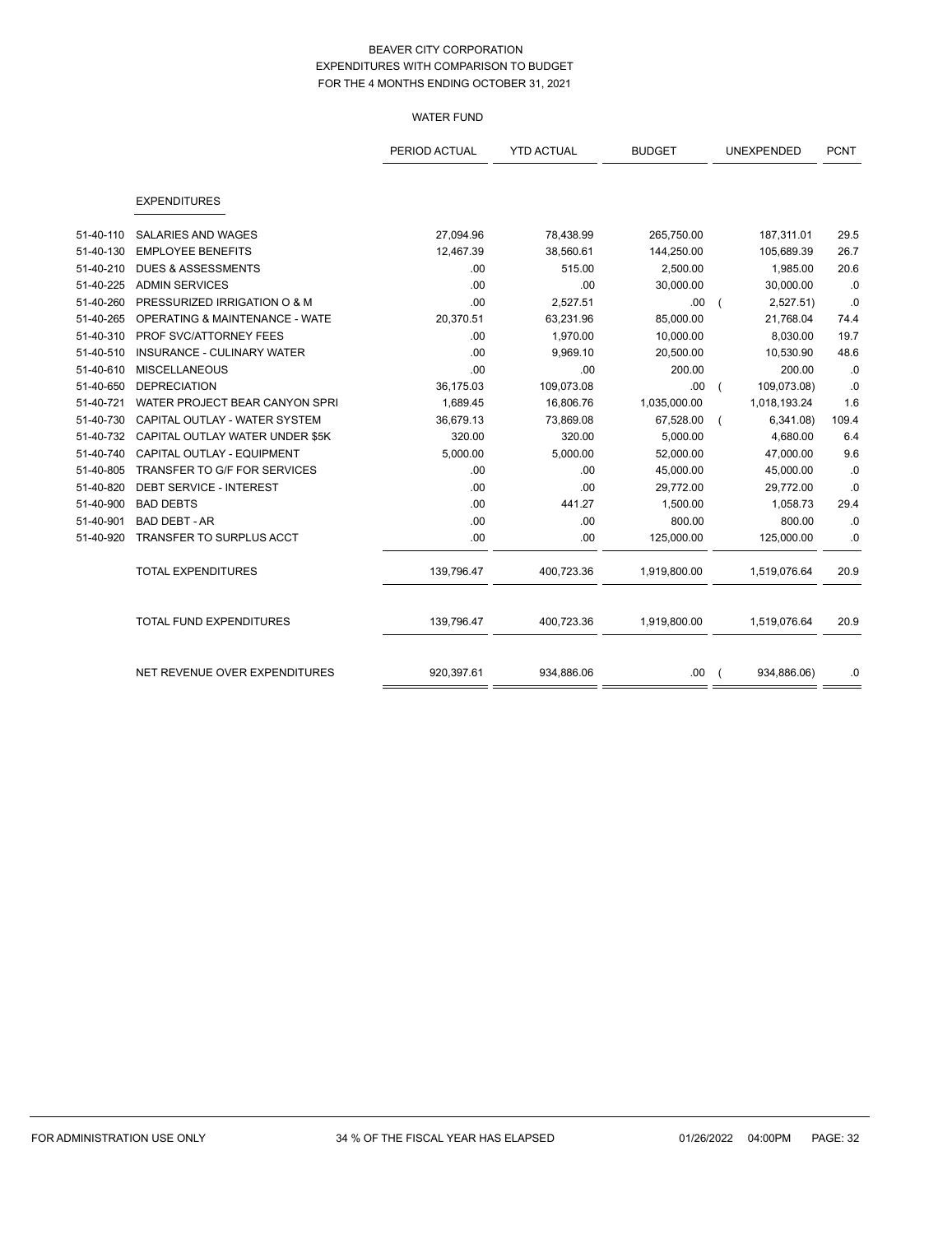# WATER FUND

|           |                                           | PERIOD ACTUAL | <b>YTD ACTUAL</b> | <b>BUDGET</b> | <b>UNEXPENDED</b> | <b>PCNT</b> |
|-----------|-------------------------------------------|---------------|-------------------|---------------|-------------------|-------------|
|           |                                           |               |                   |               |                   |             |
|           | <b>EXPENDITURES</b>                       |               |                   |               |                   |             |
| 51-40-110 | <b>SALARIES AND WAGES</b>                 | 27,094.96     | 78,438.99         | 265,750.00    | 187,311.01        | 29.5        |
| 51-40-130 | <b>EMPLOYEE BENEFITS</b>                  | 12,467.39     | 38,560.61         | 144,250.00    | 105,689.39        | 26.7        |
| 51-40-210 | <b>DUES &amp; ASSESSMENTS</b>             | .00           | 515.00            | 2,500.00      | 1,985.00          | 20.6        |
| 51-40-225 | <b>ADMIN SERVICES</b>                     | .00           | .00               | 30,000.00     | 30,000.00         | .0          |
| 51-40-260 | PRESSURIZED IRRIGATION O & M              | .00           | 2,527.51          | .00           | 2,527.51          | .0          |
| 51-40-265 | <b>OPERATING &amp; MAINTENANCE - WATE</b> | 20,370.51     | 63,231.96         | 85,000.00     | 21,768.04         | 74.4        |
| 51-40-310 | PROF SVC/ATTORNEY FEES                    | .00           | 1,970.00          | 10,000.00     | 8,030.00          | 19.7        |
| 51-40-510 | <b>INSURANCE - CULINARY WATER</b>         | .00           | 9,969.10          | 20,500.00     | 10,530.90         | 48.6        |
| 51-40-610 | <b>MISCELLANEOUS</b>                      | .00           | .00               | 200.00        | 200.00            | .0          |
| 51-40-650 | <b>DEPRECIATION</b>                       | 36,175.03     | 109,073.08        | .00           | 109,073.08)       | .0          |
| 51-40-721 | WATER PROJECT BEAR CANYON SPRI            | 1,689.45      | 16,806.76         | 1,035,000.00  | 1,018,193.24      | 1.6         |
| 51-40-730 | CAPITAL OUTLAY - WATER SYSTEM             | 36,679.13     | 73,869.08         | 67,528.00     | 6,341.08          | 109.4       |
| 51-40-732 | CAPITAL OUTLAY WATER UNDER \$5K           | 320.00        | 320.00            | 5,000.00      | 4,680.00          | 6.4         |
| 51-40-740 | CAPITAL OUTLAY - EQUIPMENT                | 5,000.00      | 5,000.00          | 52,000.00     | 47,000.00         | 9.6         |
| 51-40-805 | <b>TRANSFER TO G/F FOR SERVICES</b>       | .00           | .00               | 45,000.00     | 45,000.00         | .0          |
| 51-40-820 | <b>DEBT SERVICE - INTEREST</b>            | .00           | .00               | 29,772.00     | 29,772.00         | .0          |
| 51-40-900 | <b>BAD DEBTS</b>                          | .00           | 441.27            | 1,500.00      | 1,058.73          | 29.4        |
| 51-40-901 | <b>BAD DEBT - AR</b>                      | .00           | .00               | 800.00        | 800.00            | .0          |
| 51-40-920 | TRANSFER TO SURPLUS ACCT                  | .00           | .00               | 125,000.00    | 125,000.00        | .0          |
|           | <b>TOTAL EXPENDITURES</b>                 | 139,796.47    | 400,723.36        | 1,919,800.00  | 1,519,076.64      | 20.9        |
|           | TOTAL FUND EXPENDITURES                   | 139,796.47    | 400,723.36        | 1,919,800.00  | 1,519,076.64      | 20.9        |
|           | NET REVENUE OVER EXPENDITURES             | 920,397.61    | 934,886.06        | .00.          | 934,886.06)       | .0          |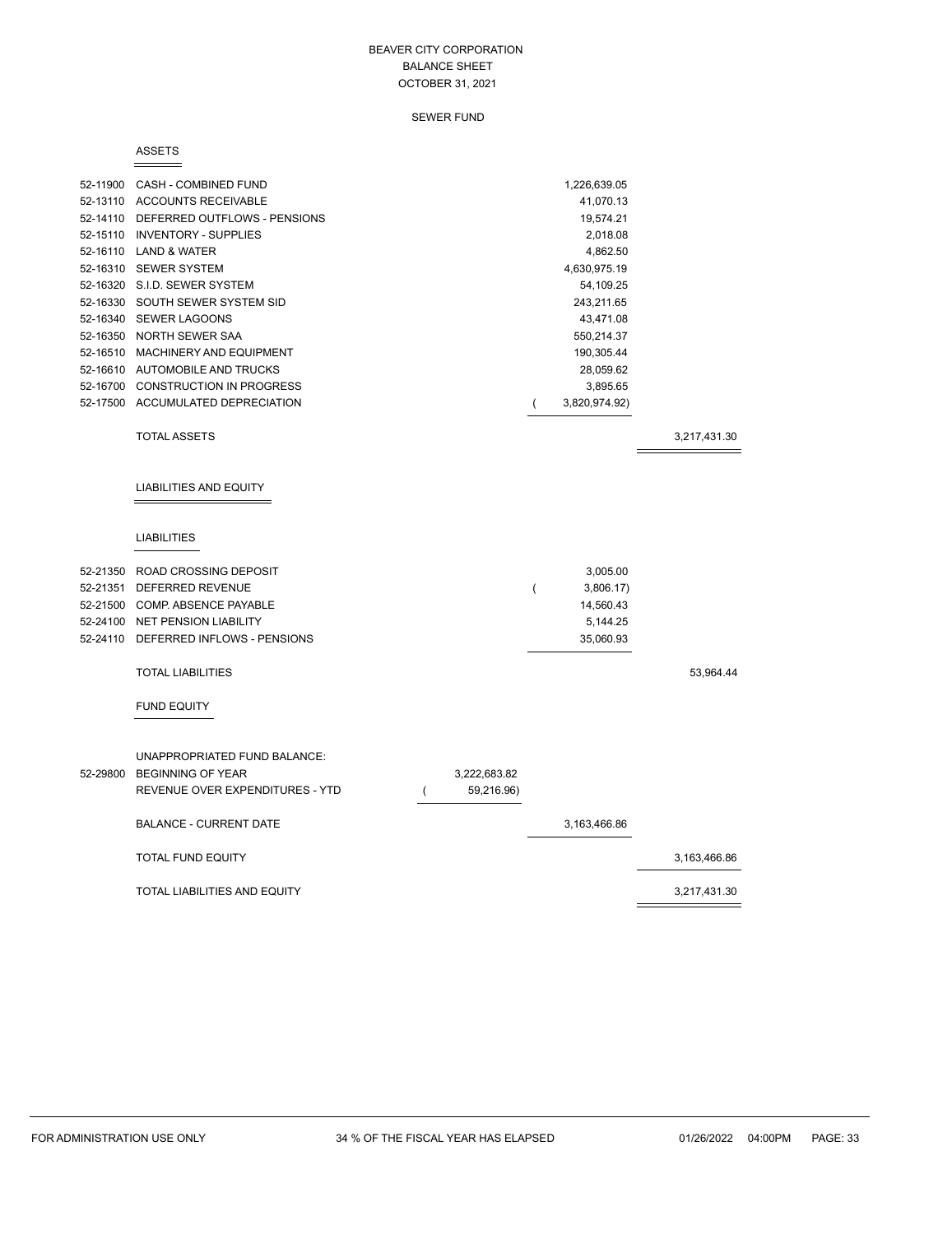SEWER FUND

#### ASSETS

|          | 52-11900 CASH - COMBINED FUND<br>52-13110 ACCOUNTS RECEIVABLE<br>52-14110 DEFERRED OUTFLOWS - PENSIONS<br>52-15110 INVENTORY - SUPPLIES<br>52-16110 LAND & WATER<br>52-16310 SEWER SYSTEM<br>52-16320 S.I.D. SEWER SYSTEM<br>52-16330 SOUTH SEWER SYSTEM SID<br>52-16340 SEWER LAGOONS<br>52-16350 NORTH SEWER SAA<br>52-16510 MACHINERY AND EQUIPMENT<br>52-16610 AUTOMOBILE AND TRUCKS |                |                            |   | 1,226,639.05<br>41,070.13<br>19,574.21<br>2,018.08<br>4,862.50<br>4,630,975.19<br>54,109.25<br>243,211.65<br>43,471.08<br>550,214.37<br>190,305.44<br>28,059.62 |              |
|----------|------------------------------------------------------------------------------------------------------------------------------------------------------------------------------------------------------------------------------------------------------------------------------------------------------------------------------------------------------------------------------------------|----------------|----------------------------|---|-----------------------------------------------------------------------------------------------------------------------------------------------------------------|--------------|
|          | 52-16700 CONSTRUCTION IN PROGRESS                                                                                                                                                                                                                                                                                                                                                        |                |                            |   | 3,895.65                                                                                                                                                        |              |
|          | 52-17500 ACCUMULATED DEPRECIATION                                                                                                                                                                                                                                                                                                                                                        |                |                            |   | 3,820,974.92)                                                                                                                                                   |              |
|          | <b>TOTAL ASSETS</b>                                                                                                                                                                                                                                                                                                                                                                      |                |                            |   |                                                                                                                                                                 | 3,217,431.30 |
|          | LIABILITIES AND EQUITY                                                                                                                                                                                                                                                                                                                                                                   |                |                            |   |                                                                                                                                                                 |              |
|          | <b>LIABILITIES</b>                                                                                                                                                                                                                                                                                                                                                                       |                |                            |   |                                                                                                                                                                 |              |
|          | 52-21350 ROAD CROSSING DEPOSIT<br>52-21351 DEFERRED REVENUE<br>52-21500 COMP. ABSENCE PAYABLE<br>52-24100 NET PENSION LIABILITY<br>52-24110 DEFERRED INFLOWS - PENSIONS                                                                                                                                                                                                                  |                |                            | ( | 3,005.00<br>3,806.17<br>14,560.43<br>5,144.25<br>35,060.93                                                                                                      |              |
|          | <b>TOTAL LIABILITIES</b>                                                                                                                                                                                                                                                                                                                                                                 |                |                            |   |                                                                                                                                                                 | 53,964.44    |
|          | <b>FUND EQUITY</b>                                                                                                                                                                                                                                                                                                                                                                       |                |                            |   |                                                                                                                                                                 |              |
| 52-29800 | UNAPPROPRIATED FUND BALANCE:<br><b>BEGINNING OF YEAR</b><br>REVENUE OVER EXPENDITURES - YTD<br><b>BALANCE - CURRENT DATE</b>                                                                                                                                                                                                                                                             | $\overline{ }$ | 3,222,683.82<br>59,216.96) |   | 3,163,466.86                                                                                                                                                    |              |
|          | <b>TOTAL FUND EQUITY</b>                                                                                                                                                                                                                                                                                                                                                                 |                |                            |   |                                                                                                                                                                 | 3,163,466.86 |
|          | TOTAL LIABILITIES AND EQUITY                                                                                                                                                                                                                                                                                                                                                             |                |                            |   |                                                                                                                                                                 | 3,217,431.30 |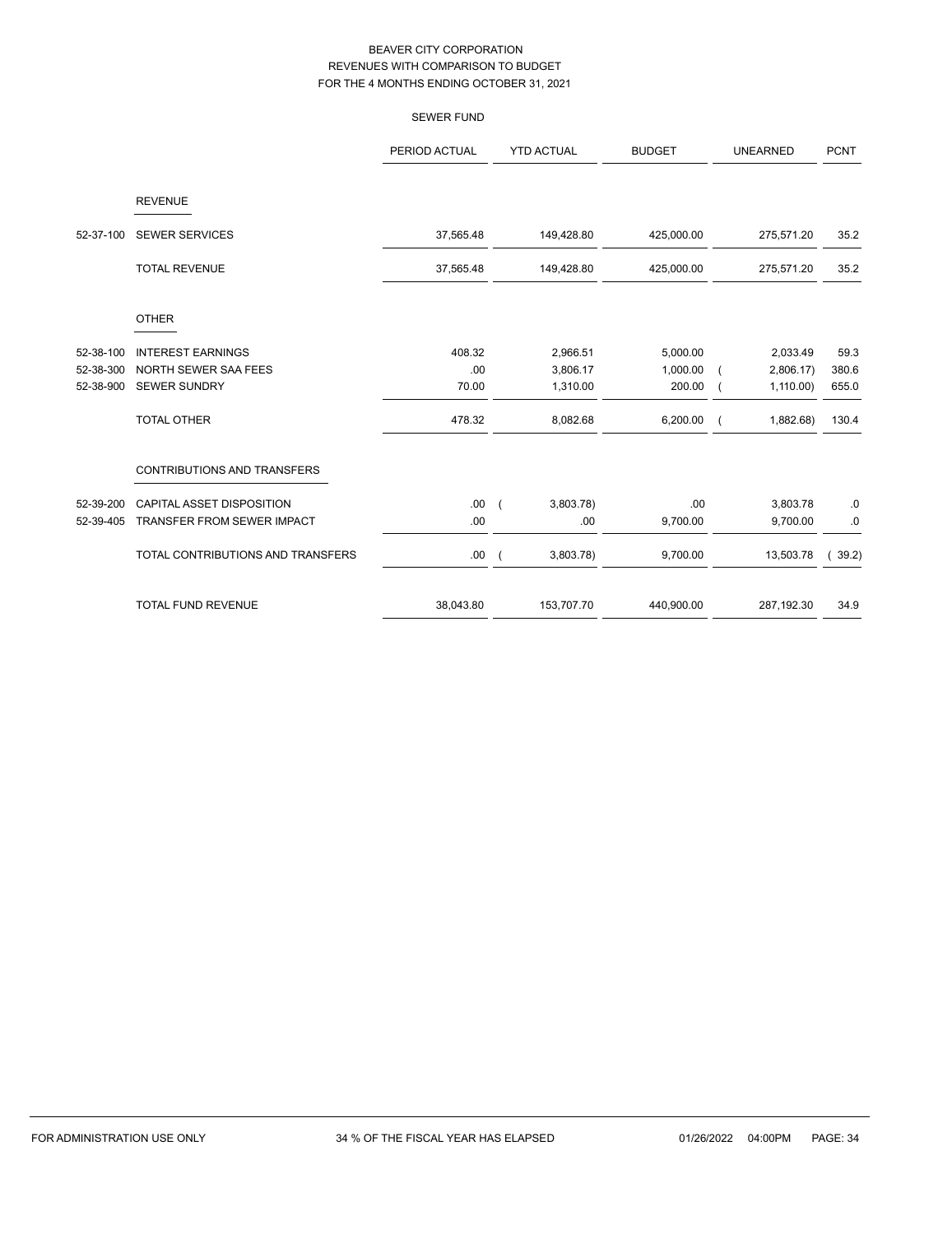|           |                                   | <b>SEWER FUND</b> |                                       |               |                 |                   |
|-----------|-----------------------------------|-------------------|---------------------------------------|---------------|-----------------|-------------------|
|           |                                   | PERIOD ACTUAL     | <b>YTD ACTUAL</b>                     | <b>BUDGET</b> | <b>UNEARNED</b> | <b>PCNT</b>       |
|           | <b>REVENUE</b>                    |                   |                                       |               |                 |                   |
| 52-37-100 | <b>SEWER SERVICES</b>             | 37,565.48         | 149,428.80                            | 425,000.00    | 275,571.20      | 35.2              |
|           | <b>TOTAL REVENUE</b>              | 37,565.48         | 149,428.80                            | 425,000.00    | 275,571.20      | 35.2              |
|           | <b>OTHER</b>                      |                   |                                       |               |                 |                   |
| 52-38-100 | <b>INTEREST EARNINGS</b>          | 408.32            | 2,966.51                              | 5,000.00      | 2,033.49        | 59.3              |
| 52-38-300 | NORTH SEWER SAA FEES              | .00               | 3,806.17                              | 1,000.00      | 2,806.17        | 380.6             |
| 52-38-900 | <b>SEWER SUNDRY</b>               | 70.00             | 1,310.00                              | 200.00        | 1,110.00        | 655.0             |
|           | <b>TOTAL OTHER</b>                | 478.32            | 8,082.68                              | 6,200.00      | 1,882.68)       | 130.4             |
|           | CONTRIBUTIONS AND TRANSFERS       |                   |                                       |               |                 |                   |
| 52-39-200 | CAPITAL ASSET DISPOSITION         | .00.              | 3,803.78<br>$\left($                  | .00           | 3,803.78        | .0                |
| 52-39-405 | TRANSFER FROM SEWER IMPACT        | .00               | .00                                   | 9,700.00      | 9,700.00        | .0                |
|           | TOTAL CONTRIBUTIONS AND TRANSFERS | .00               | 3,803.78)<br>$\overline{\phantom{a}}$ | 9,700.00      | 13,503.78       | 39.2)<br>$\left($ |
|           | <b>TOTAL FUND REVENUE</b>         | 38,043.80         | 153,707.70                            | 440,900.00    | 287,192.30      | 34.9              |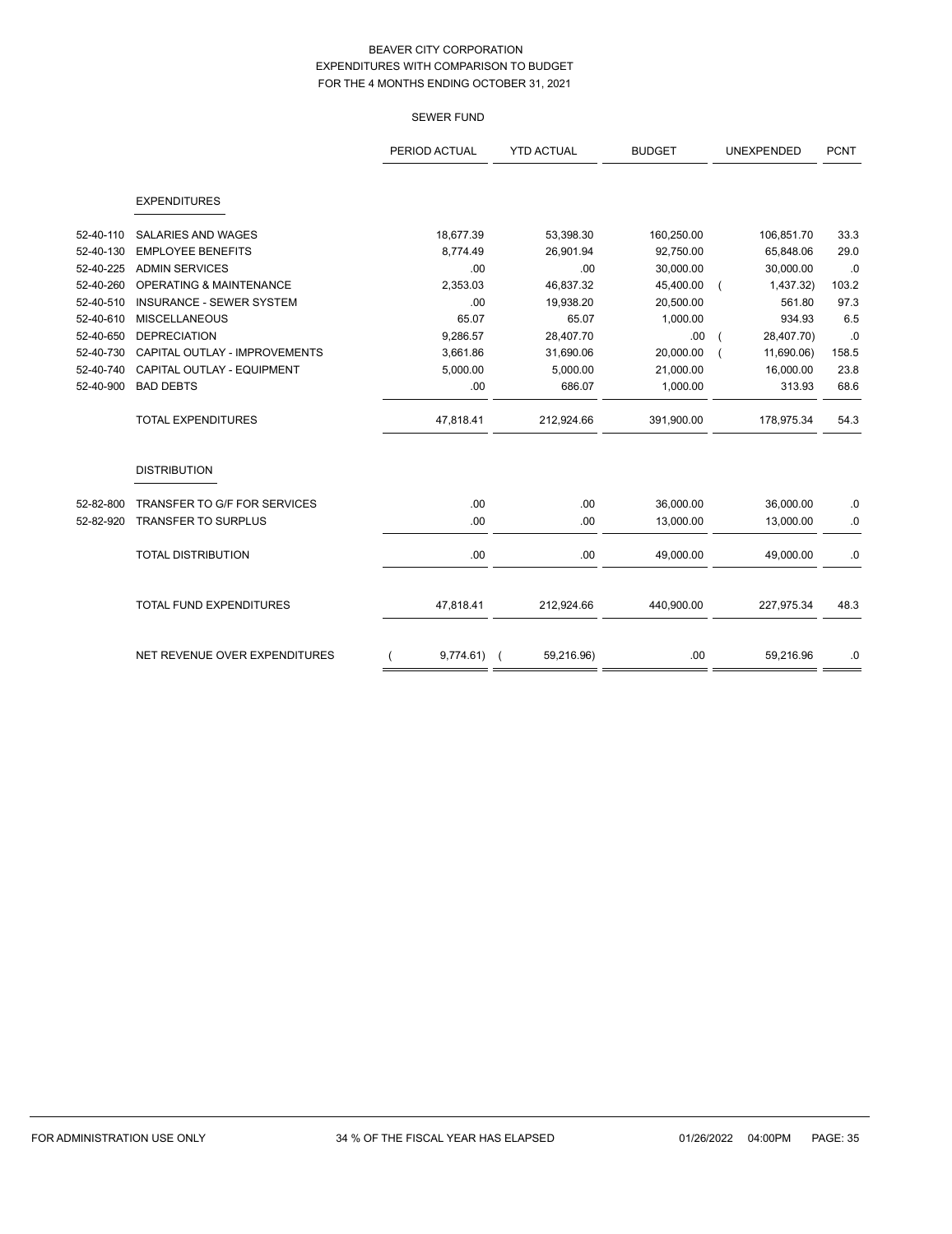# SEWER FUND

|           |                                    | PERIOD ACTUAL | <b>YTD ACTUAL</b> | <b>BUDGET</b> | UNEXPENDED | <b>PCNT</b> |
|-----------|------------------------------------|---------------|-------------------|---------------|------------|-------------|
|           | <b>EXPENDITURES</b>                |               |                   |               |            |             |
| 52-40-110 | <b>SALARIES AND WAGES</b>          | 18,677.39     | 53,398.30         | 160,250.00    | 106,851.70 | 33.3        |
| 52-40-130 | <b>EMPLOYEE BENEFITS</b>           | 8,774.49      | 26,901.94         | 92,750.00     | 65,848.06  | 29.0        |
| 52-40-225 | <b>ADMIN SERVICES</b>              | .00           | .00.              | 30,000.00     | 30,000.00  | .0          |
| 52-40-260 | <b>OPERATING &amp; MAINTENANCE</b> | 2,353.03      | 46,837.32         | 45,400.00     | 1,437.32)  | 103.2       |
| 52-40-510 | <b>INSURANCE - SEWER SYSTEM</b>    | .00           | 19,938.20         | 20,500.00     | 561.80     | 97.3        |
| 52-40-610 | <b>MISCELLANEOUS</b>               | 65.07         | 65.07             | 1,000.00      | 934.93     | 6.5         |
| 52-40-650 | <b>DEPRECIATION</b>                | 9,286.57      | 28,407.70         | .00           | 28,407.70) | .0          |
| 52-40-730 | CAPITAL OUTLAY - IMPROVEMENTS      | 3,661.86      | 31,690.06         | 20,000.00     | 11,690.06) | 158.5       |
| 52-40-740 | CAPITAL OUTLAY - EQUIPMENT         | 5,000.00      | 5,000.00          | 21,000.00     | 16,000.00  | 23.8        |
| 52-40-900 | <b>BAD DEBTS</b>                   | .00           | 686.07            | 1,000.00      | 313.93     | 68.6        |
|           | <b>TOTAL EXPENDITURES</b>          | 47,818.41     | 212,924.66        | 391,900.00    | 178,975.34 | 54.3        |
|           | <b>DISTRIBUTION</b>                |               |                   |               |            |             |
| 52-82-800 | TRANSFER TO G/F FOR SERVICES       | .00           | .00               | 36,000.00     | 36,000.00  | .0          |
| 52-82-920 | <b>TRANSFER TO SURPLUS</b>         | .00           | .00               | 13,000.00     | 13,000.00  | $\cdot$ 0   |
|           | <b>TOTAL DISTRIBUTION</b>          | .00           | .00               | 49,000.00     | 49,000.00  | .0          |
|           | <b>TOTAL FUND EXPENDITURES</b>     | 47,818.41     | 212,924.66        | 440,900.00    | 227,975.34 | 48.3        |
|           | NET REVENUE OVER EXPENDITURES      | $9,774.61$ (  | 59,216.96)        | .00           | 59,216.96  | .0          |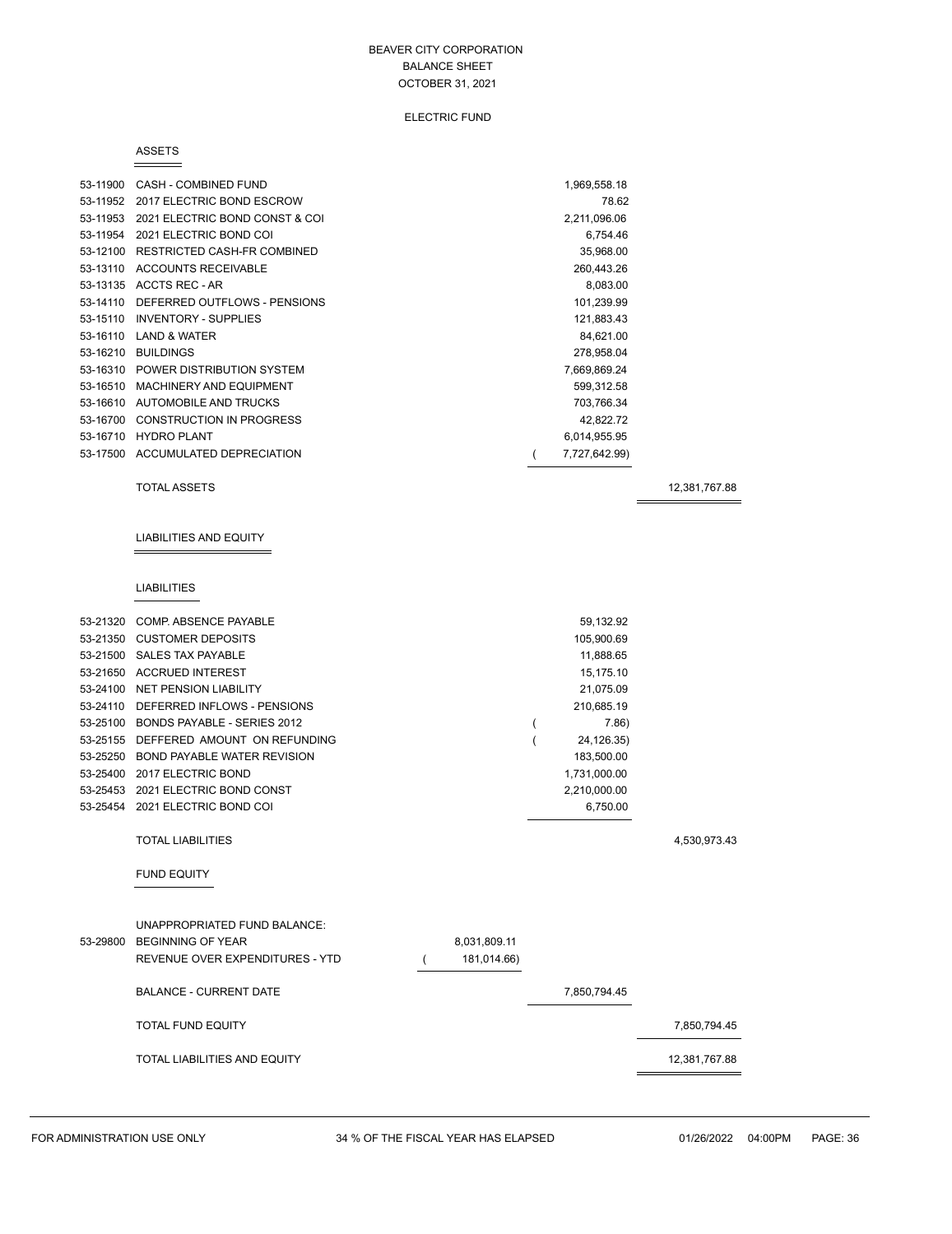#### ELECTRIC FUND

#### ASSETS

| 53-11900 | CASH - COMBINED FUND               | 1,969,558.18  |  |
|----------|------------------------------------|---------------|--|
| 53-11952 | 2017 ELECTRIC BOND ESCROW          | 78.62         |  |
| 53-11953 | 2021 ELECTRIC BOND CONST & COI     | 2,211,096.06  |  |
| 53-11954 | 2021 ELECTRIC BOND COI             | 6,754.46      |  |
| 53-12100 | RESTRICTED CASH-FR COMBINED        | 35,968.00     |  |
| 53-13110 | <b>ACCOUNTS RECEIVABLE</b>         | 260,443.26    |  |
|          | 53-13135 ACCTS REC - AR            | 8,083.00      |  |
| 53-14110 | DEFERRED OUTFLOWS - PENSIONS       | 101,239.99    |  |
| 53-15110 | <b>INVENTORY - SUPPLIES</b>        | 121,883.43    |  |
| 53-16110 | <b>LAND &amp; WATER</b>            | 84,621.00     |  |
| 53-16210 | <b>BUILDINGS</b>                   | 278,958.04    |  |
|          | 53-16310 POWER DISTRIBUTION SYSTEM | 7,669,869.24  |  |
| 53-16510 | MACHINERY AND EQUIPMENT            | 599,312.58    |  |
| 53-16610 | AUTOMOBILE AND TRUCKS              | 703,766.34    |  |
| 53-16700 | <b>CONSTRUCTION IN PROGRESS</b>    | 42,822.72     |  |
| 53-16710 | <b>HYDRO PLANT</b>                 | 6,014,955.95  |  |
|          | 53-17500 ACCUMULATED DEPRECIATION  | 7,727,642.99) |  |

#### TOTAL ASSETS 12,381,767.88

LIABILITIES AND EQUITY

#### LIABILITIES

| 53-21320 | <b>COMP. ABSENCE PAYABLE</b>           |              | 59,132.92    |               |
|----------|----------------------------------------|--------------|--------------|---------------|
| 53-21350 | <b>CUSTOMER DEPOSITS</b>               |              | 105,900.69   |               |
|          | 53-21500 SALES TAX PAYABLE             |              | 11,888.65    |               |
| 53-21650 | <b>ACCRUED INTEREST</b>                |              | 15,175.10    |               |
|          | 53-24100 NET PENSION LIABILITY         |              | 21,075.09    |               |
| 53-24110 | DEFERRED INFLOWS - PENSIONS            |              | 210,685.19   |               |
| 53-25100 | BONDS PAYABLE - SERIES 2012            |              | 7.86         |               |
| 53-25155 | DEFFERED AMOUNT ON REFUNDING           |              | 24,126.35)   |               |
| 53-25250 | <b>BOND PAYABLE WATER REVISION</b>     |              | 183,500.00   |               |
| 53-25400 | 2017 ELECTRIC BOND                     |              | 1,731,000.00 |               |
| 53-25453 | 2021 ELECTRIC BOND CONST               |              | 2,210,000.00 |               |
|          | 53-25454 2021 ELECTRIC BOND COI        |              | 6,750.00     |               |
|          |                                        |              |              |               |
|          | <b>TOTAL LIABILITIES</b>               |              |              | 4,530,973.43  |
|          |                                        |              |              |               |
|          | <b>FUND EQUITY</b>                     |              |              |               |
|          |                                        |              |              |               |
|          |                                        |              |              |               |
|          | <b>UNAPPROPRIATED FUND BALANCE:</b>    |              |              |               |
| 53-29800 | <b>BEGINNING OF YEAR</b>               | 8,031,809.11 |              |               |
|          | <b>REVENUE OVER EXPENDITURES - YTD</b> | 181,014.66)  |              |               |
|          | <b>BALANCE - CURRENT DATE</b>          |              | 7,850,794.45 |               |
|          |                                        |              |              |               |
|          | <b>TOTAL FUND EQUITY</b>               |              |              | 7,850,794.45  |
|          | <b>TOTAL LIABILITIES AND EQUITY</b>    |              |              | 12,381,767.88 |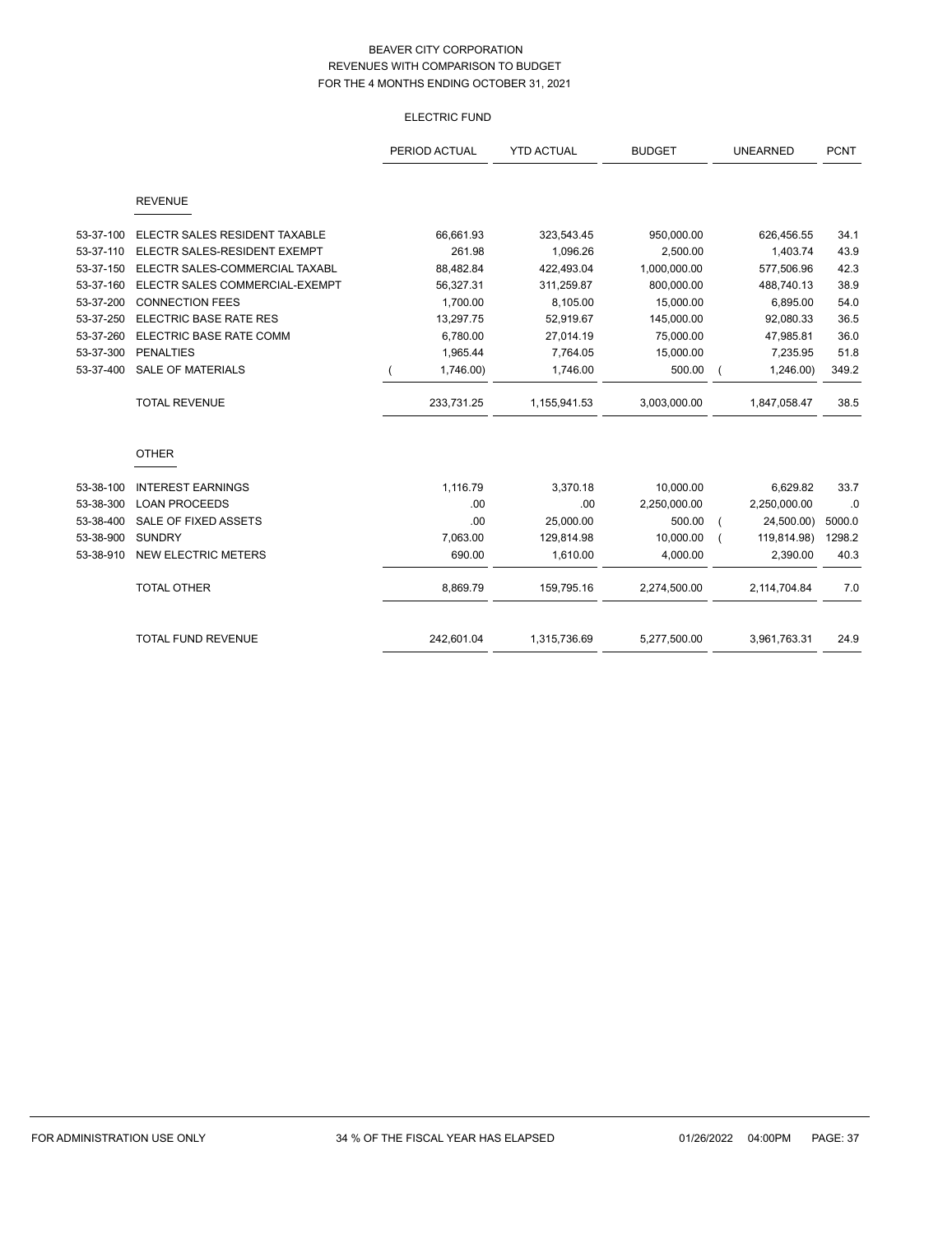# ELECTRIC FUND

|           |                                | PERIOD ACTUAL | <b>YTD ACTUAL</b> | <b>BUDGET</b> | <b>UNEARNED</b> | <b>PCNT</b> |
|-----------|--------------------------------|---------------|-------------------|---------------|-----------------|-------------|
|           | <b>REVENUE</b>                 |               |                   |               |                 |             |
|           |                                |               |                   |               |                 |             |
| 53-37-100 | ELECTR SALES RESIDENT TAXABLE  | 66,661.93     | 323,543.45        | 950,000.00    | 626,456.55      | 34.1        |
| 53-37-110 | ELECTR SALES-RESIDENT EXEMPT   | 261.98        | 1,096.26          | 2,500.00      | 1,403.74        | 43.9        |
| 53-37-150 | ELECTR SALES-COMMERCIAL TAXABL | 88,482.84     | 422,493.04        | 1,000,000.00  | 577,506.96      | 42.3        |
| 53-37-160 | ELECTR SALES COMMERCIAL-EXEMPT | 56,327.31     | 311,259.87        | 800,000.00    | 488,740.13      | 38.9        |
| 53-37-200 | <b>CONNECTION FEES</b>         | 1,700.00      | 8,105.00          | 15,000.00     | 6,895.00        | 54.0        |
| 53-37-250 | <b>ELECTRIC BASE RATE RES</b>  | 13,297.75     | 52,919.67         | 145,000.00    | 92,080.33       | 36.5        |
| 53-37-260 | ELECTRIC BASE RATE COMM        | 6,780.00      | 27,014.19         | 75,000.00     | 47,985.81       | 36.0        |
| 53-37-300 | <b>PENALTIES</b>               | 1,965.44      | 7,764.05          | 15,000.00     | 7,235.95        | 51.8        |
| 53-37-400 | <b>SALE OF MATERIALS</b>       | 1,746.00)     | 1,746.00          | 500.00        | 1,246.00        | 349.2       |
|           | <b>TOTAL REVENUE</b>           | 233,731.25    | 1,155,941.53      | 3,003,000.00  | 1,847,058.47    | 38.5        |
|           | <b>OTHER</b>                   |               |                   |               |                 |             |
| 53-38-100 | <b>INTEREST EARNINGS</b>       | 1,116.79      | 3,370.18          | 10,000.00     | 6,629.82        | 33.7        |
| 53-38-300 | <b>LOAN PROCEEDS</b>           | .00           | .00               | 2,250,000.00  | 2,250,000.00    | .0          |
| 53-38-400 | SALE OF FIXED ASSETS           | .00           | 25,000.00         | 500.00        | 24,500.00)      | 5000.0      |
| 53-38-900 | <b>SUNDRY</b>                  | 7,063.00      | 129,814.98        | 10,000.00     | 119,814.98)     | 1298.2      |
| 53-38-910 | <b>NEW ELECTRIC METERS</b>     | 690.00        | 1,610.00          | 4,000.00      | 2,390.00        | 40.3        |
|           | <b>TOTAL OTHER</b>             | 8,869.79      | 159,795.16        | 2,274,500.00  | 2,114,704.84    | 7.0         |
|           | TOTAL FUND REVENUE             | 242,601.04    | 1,315,736.69      | 5,277,500.00  | 3,961,763.31    | 24.9        |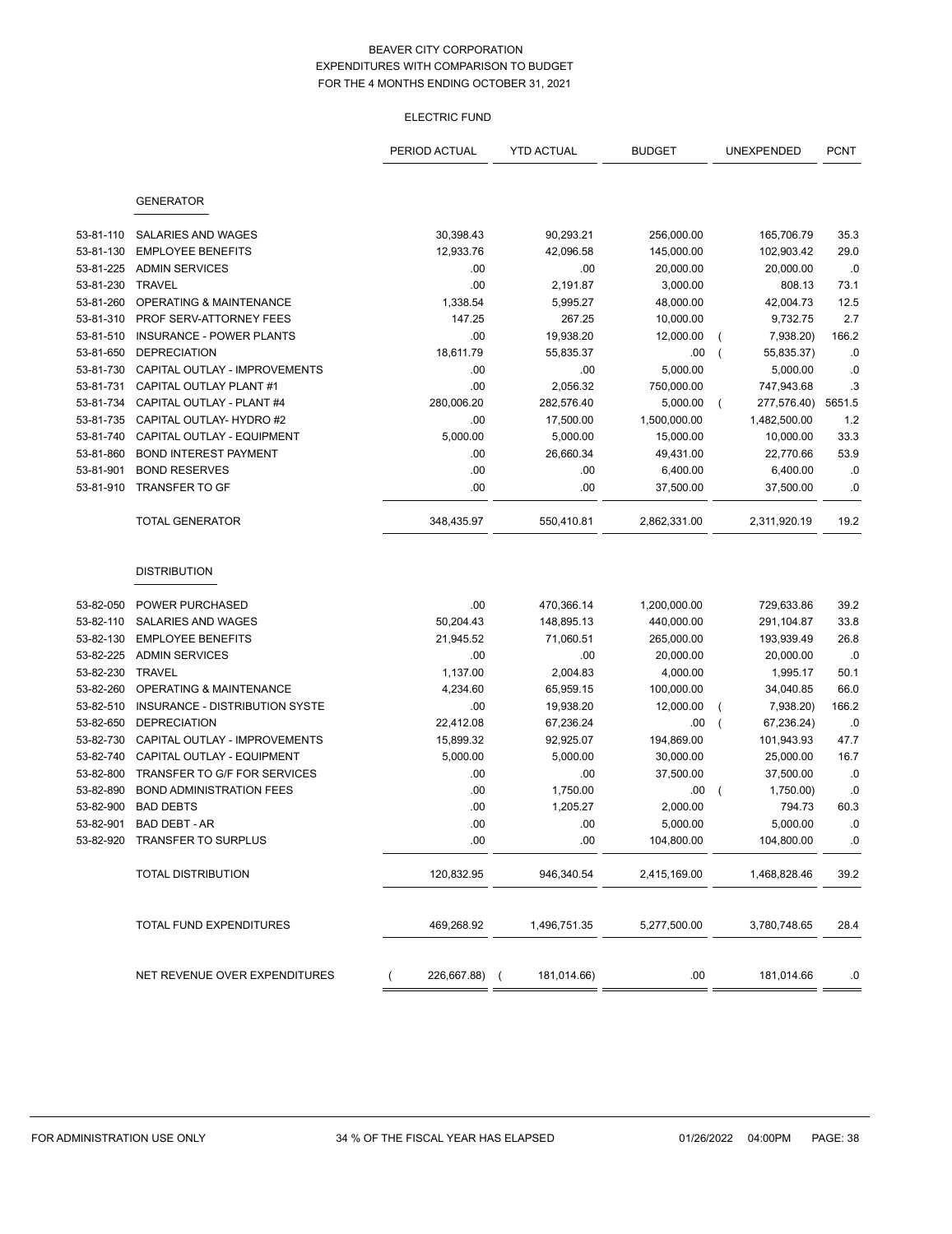# ELECTRIC FUND

|           |                                 | PERIOD ACTUAL | <b>YTD ACTUAL</b> | <b>BUDGET</b> |                | UNEXPENDED   | <b>PCNT</b> |
|-----------|---------------------------------|---------------|-------------------|---------------|----------------|--------------|-------------|
|           |                                 |               |                   |               |                |              |             |
|           | <b>GENERATOR</b>                |               |                   |               |                |              |             |
| 53-81-110 | SALARIES AND WAGES              | 30,398.43     | 90,293.21         | 256,000.00    |                | 165,706.79   | 35.3        |
| 53-81-130 | <b>EMPLOYEE BENEFITS</b>        | 12,933.76     | 42,096.58         | 145,000.00    |                | 102,903.42   | 29.0        |
| 53-81-225 | <b>ADMIN SERVICES</b>           | .00           | .00               | 20,000.00     |                | 20,000.00    | .0          |
| 53-81-230 | TRAVEL                          | .00           | 2,191.87          | 3,000.00      |                | 808.13       | 73.1        |
| 53-81-260 | OPERATING & MAINTENANCE         | 1,338.54      | 5,995.27          | 48,000.00     |                | 42,004.73    | 12.5        |
| 53-81-310 | PROF SERV-ATTORNEY FEES         | 147.25        | 267.25            | 10,000.00     |                | 9,732.75     | 2.7         |
| 53-81-510 | <b>INSURANCE - POWER PLANTS</b> | .00           | 19,938.20         | 12,000.00     | $\overline{ }$ | 7,938.20)    | 166.2       |
| 53-81-650 | <b>DEPRECIATION</b>             | 18,611.79     | 55,835.37         | .00           | $\overline{ }$ | 55,835.37)   | .0          |
| 53-81-730 | CAPITAL OUTLAY - IMPROVEMENTS   | .00           | .00               | 5,000.00      |                | 5,000.00     | .0          |
| 53-81-731 | CAPITAL OUTLAY PLANT #1         | .00           | 2,056.32          | 750,000.00    |                | 747,943.68   | .3          |
| 53-81-734 | CAPITAL OUTLAY - PLANT #4       | 280,006.20    | 282,576.40        | 5,000.00      | $\left($       | 277,576.40)  | 5651.5      |
| 53-81-735 | CAPITAL OUTLAY- HYDRO #2        | .00           | 17,500.00         | 1,500,000.00  |                | 1,482,500.00 | 1.2         |
| 53-81-740 | CAPITAL OUTLAY - EQUIPMENT      | 5,000.00      | 5,000.00          | 15,000.00     |                | 10,000.00    | 33.3        |
| 53-81-860 | <b>BOND INTEREST PAYMENT</b>    | .00           | 26,660.34         | 49,431.00     |                | 22,770.66    | 53.9        |
| 53-81-901 | <b>BOND RESERVES</b>            | .00           | .00               | 6,400.00      |                | 6,400.00     | .0          |
| 53-81-910 | <b>TRANSFER TO GF</b>           | .00           | .00               | 37,500.00     |                | 37,500.00    | .0          |
|           | <b>TOTAL GENERATOR</b>          | 348,435.97    | 550,410.81        | 2,862,331.00  |                | 2,311,920.19 | 19.2        |
|           | <b>DISTRIBUTION</b>             |               |                   |               |                |              |             |
| 53-82-050 | <b>POWER PURCHASED</b>          | .00           | 470,366.14        | 1,200,000.00  |                | 729,633.86   | 39.2        |
| 53-82-110 | SALARIES AND WAGES              | 50,204.43     | 148,895.13        | 440,000.00    |                | 291,104.87   | 33.8        |
| 53-82-130 | <b>EMPLOYEE BENEFITS</b>        | 21,945.52     | 71,060.51         | 265,000.00    |                | 193,939.49   | 26.8        |
| 53-82-225 | <b>ADMIN SERVICES</b>           | .00           | .00               | 20,000.00     |                | 20,000.00    | .0          |
| 53-82-230 | <b>TRAVEL</b>                   | 1,137.00      | 2,004.83          | 4,000.00      |                | 1,995.17     | 50.1        |
| 53-82-260 | OPERATING & MAINTENANCE         | 4,234.60      | 65,959.15         | 100,000.00    |                | 34,040.85    | 66.0        |
| 53-82-510 | INSURANCE - DISTRIBUTION SYSTE  | .00           | 19,938.20         | 12,000.00     | $\overline{ }$ | 7,938.20)    | 166.2       |
| 53-82-650 | <b>DEPRECIATION</b>             | 22,412.08     | 67,236.24         | .00           | $\overline{ }$ | 67,236.24)   | .0          |
| 53-82-730 | CAPITAL OUTLAY - IMPROVEMENTS   | 15,899.32     | 92,925.07         | 194,869.00    |                | 101,943.93   | 47.7        |
| 53-82-740 | CAPITAL OUTLAY - EQUIPMENT      | 5,000.00      | 5,000.00          | 30,000.00     |                | 25,000.00    | 16.7        |
| 53-82-800 | TRANSFER TO G/F FOR SERVICES    | .00           | .00               | 37,500.00     |                | 37,500.00    | .0          |
| 53-82-890 | <b>BOND ADMINISTRATION FEES</b> | .00           | 1,750.00          | .00           |                | 1,750.00)    | .0          |
| 53-82-900 | <b>BAD DEBTS</b>                | .00           | 1,205.27          | 2,000.00      |                | 794.73       | 60.3        |
| 53-82-901 | BAD DEBT - AR                   | .00           | .00               | 5,000.00      |                | 5,000.00     | .0          |
|           | 53-82-920 TRANSFER TO SURPLUS   | .00           | .00               | 104,800.00    |                | 104,800.00   | .0          |
|           | <b>TOTAL DISTRIBUTION</b>       | 120,832.95    | 946,340.54        | 2,415,169.00  |                | 1,468,828.46 | 39.2        |
|           | TOTAL FUND EXPENDITURES         | 469,268.92    | 1,496,751.35      | 5,277,500.00  |                | 3,780,748.65 | 28.4        |
|           | NET REVENUE OVER EXPENDITURES   | 226,667.88) ( | 181,014.66)       | .00           |                | 181,014.66   | .0          |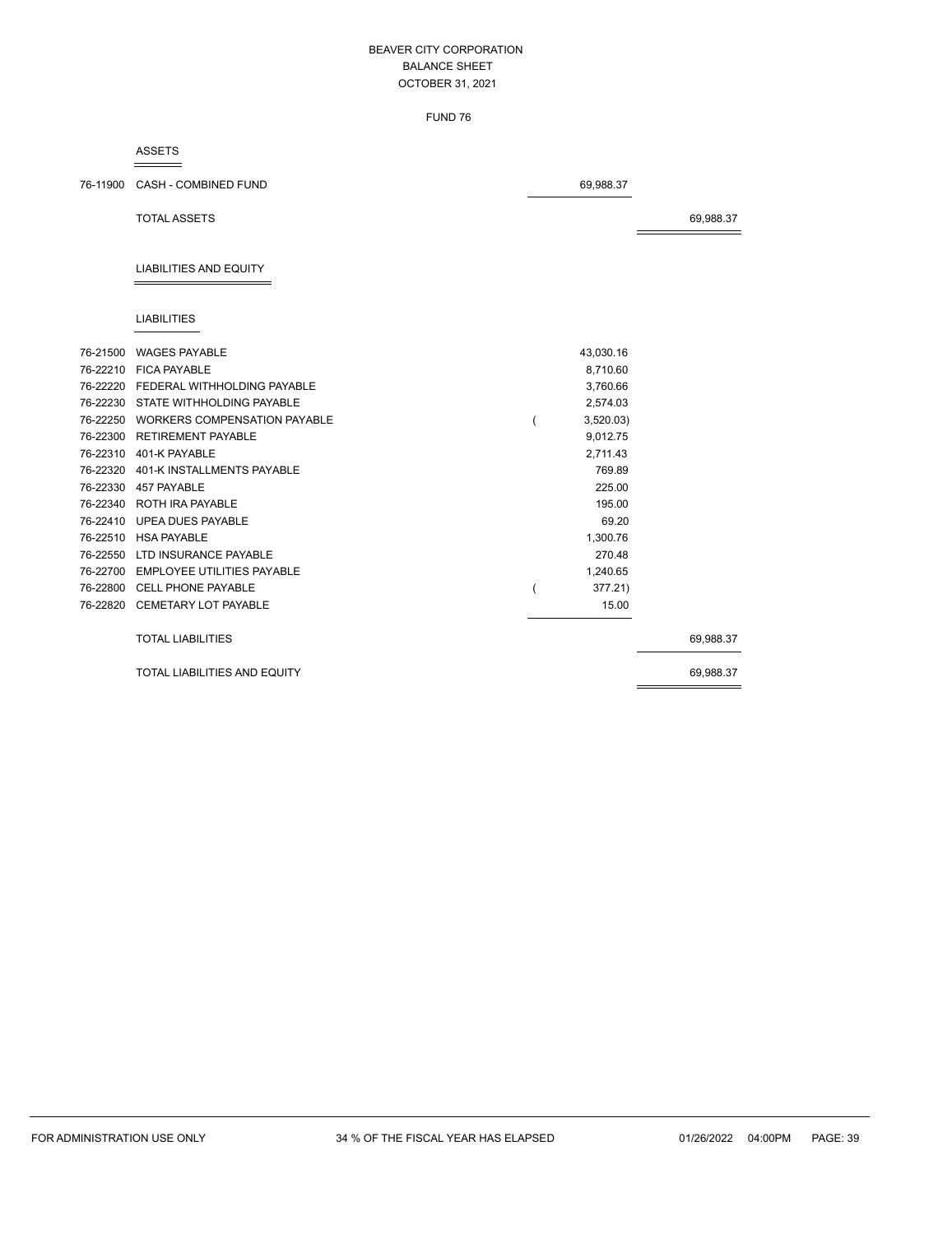FUND 76

#### ASSETS

76-11900 CASH - COMBINED FUND 69,988.37

TOTAL ASSETS 69,988.37

# LIABILITIES AND EQUITY

## LIABILITIES

| 76-21500 | <b>WAGES PAYABLE</b>                | 43,030.16 |           |
|----------|-------------------------------------|-----------|-----------|
| 76-22210 | <b>FICA PAYABLE</b>                 | 8,710.60  |           |
| 76-22220 | FEDERAL WITHHOLDING PAYABLE         | 3,760.66  |           |
| 76-22230 | STATE WITHHOLDING PAYABLE           | 2,574.03  |           |
| 76-22250 | <b>WORKERS COMPENSATION PAYABLE</b> | 3,520.03  |           |
| 76-22300 | <b>RETIREMENT PAYABLE</b>           | 9,012.75  |           |
| 76-22310 | 401-K PAYABLE                       | 2,711.43  |           |
|          | 76-22320 401-K INSTALLMENTS PAYABLE | 769.89    |           |
| 76-22330 | 457 PAYABLE                         | 225.00    |           |
|          | 76-22340 ROTH IRA PAYABLE           | 195.00    |           |
|          | 76-22410 UPEA DUES PAYABLE          | 69.20     |           |
| 76-22510 | <b>HSA PAYABLE</b>                  | 1,300.76  |           |
| 76-22550 | LTD INSURANCE PAYABLE               | 270.48    |           |
| 76-22700 | EMPLOYEE UTILITIES PAYABLE          | 1,240.65  |           |
|          | 76-22800 CELL PHONE PAYABLE         | 377.21)   |           |
|          | 76-22820 CEMETARY LOT PAYABLE       | 15.00     |           |
|          |                                     |           |           |
|          | <b>TOTAL LIABILITIES</b>            |           | 69,988.37 |
|          | TOTAL LIABILITIES AND EQUITY        |           | 69,988.37 |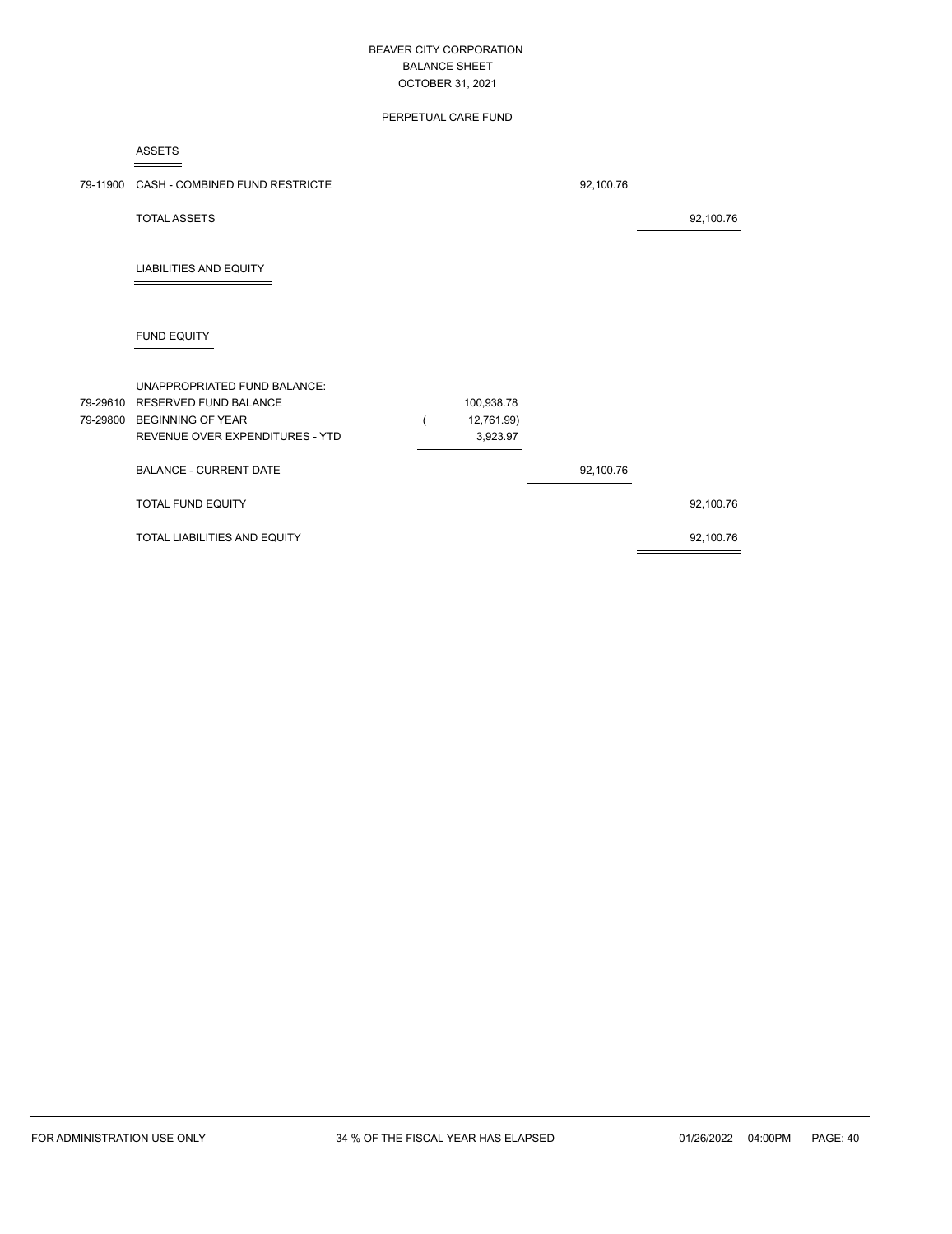# PERPETUAL CARE FUND

ASSETS

| 79-11900             | CASH - COMBINED FUND RESTRICTE                                                                                       |                                      | 92,100.76 |           |
|----------------------|----------------------------------------------------------------------------------------------------------------------|--------------------------------------|-----------|-----------|
|                      | <b>TOTAL ASSETS</b>                                                                                                  |                                      |           | 92,100.76 |
|                      | <b>LIABILITIES AND EQUITY</b>                                                                                        |                                      |           |           |
|                      | <b>FUND EQUITY</b>                                                                                                   |                                      |           |           |
| 79-29610<br>79-29800 | UNAPPROPRIATED FUND BALANCE:<br>RESERVED FUND BALANCE<br><b>BEGINNING OF YEAR</b><br>REVENUE OVER EXPENDITURES - YTD | 100,938.78<br>12,761.99)<br>3,923.97 |           |           |
|                      | <b>BALANCE - CURRENT DATE</b>                                                                                        |                                      | 92,100.76 |           |
|                      | <b>TOTAL FUND EQUITY</b>                                                                                             |                                      |           | 92,100.76 |
|                      | TOTAL LIABILITIES AND EQUITY                                                                                         |                                      |           | 92,100.76 |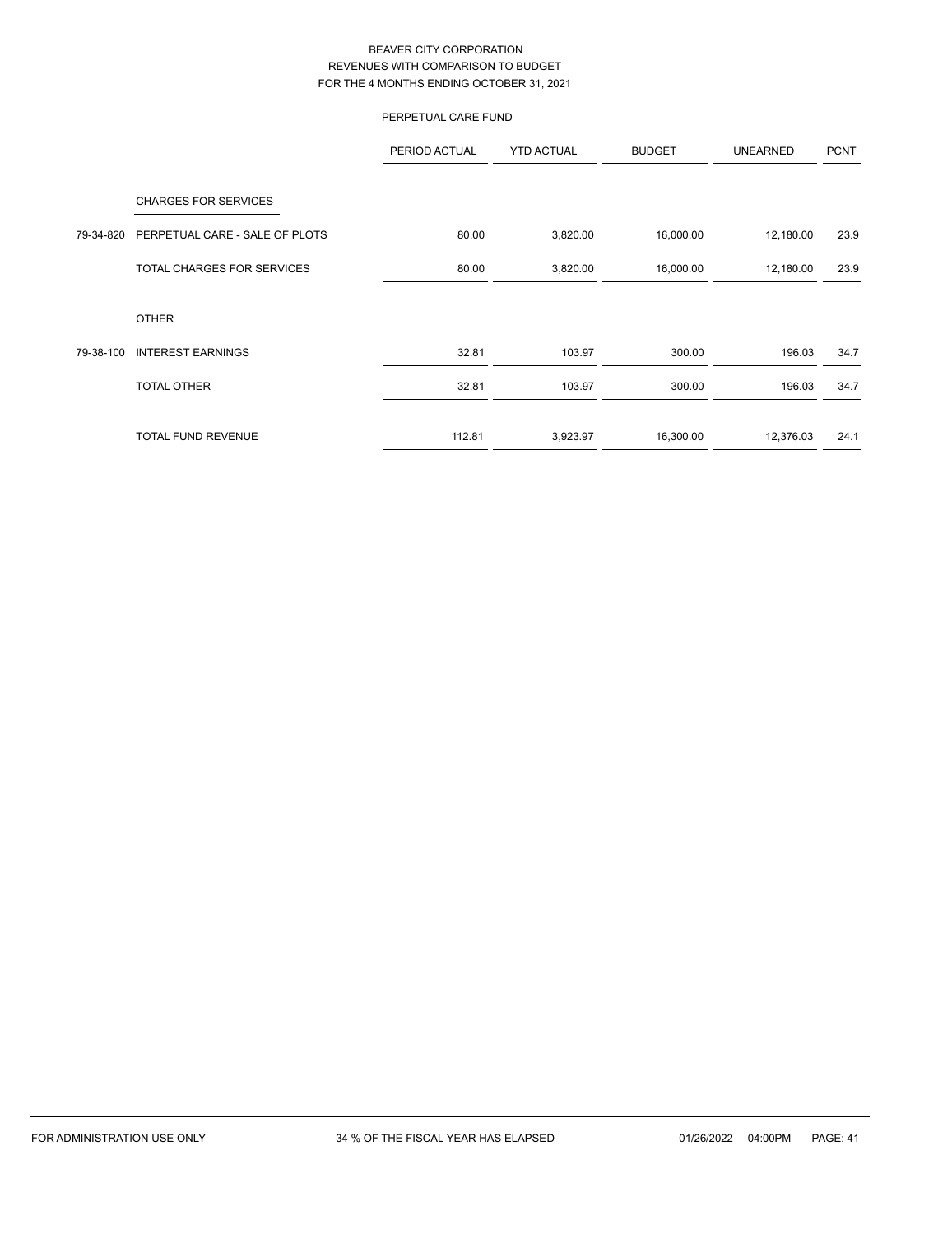# PERPETUAL CARE FUND

|           |                                                               | PERIOD ACTUAL | <b>YTD ACTUAL</b> | <b>BUDGET</b> | <b>UNEARNED</b> | <b>PCNT</b> |
|-----------|---------------------------------------------------------------|---------------|-------------------|---------------|-----------------|-------------|
| 79-34-820 | <b>CHARGES FOR SERVICES</b><br>PERPETUAL CARE - SALE OF PLOTS | 80.00         | 3,820.00          | 16,000.00     | 12,180.00       | 23.9        |
|           | TOTAL CHARGES FOR SERVICES                                    | 80.00         | 3,820.00          | 16,000.00     | 12,180.00       | 23.9        |
|           | <b>OTHER</b>                                                  |               |                   |               |                 |             |
| 79-38-100 | <b>INTEREST EARNINGS</b>                                      | 32.81         | 103.97            | 300.00        | 196.03          | 34.7        |
|           | <b>TOTAL OTHER</b>                                            | 32.81         | 103.97            | 300.00        | 196.03          | 34.7        |
|           | <b>TOTAL FUND REVENUE</b>                                     | 112.81        | 3,923.97          | 16,300.00     | 12,376.03       | 24.1        |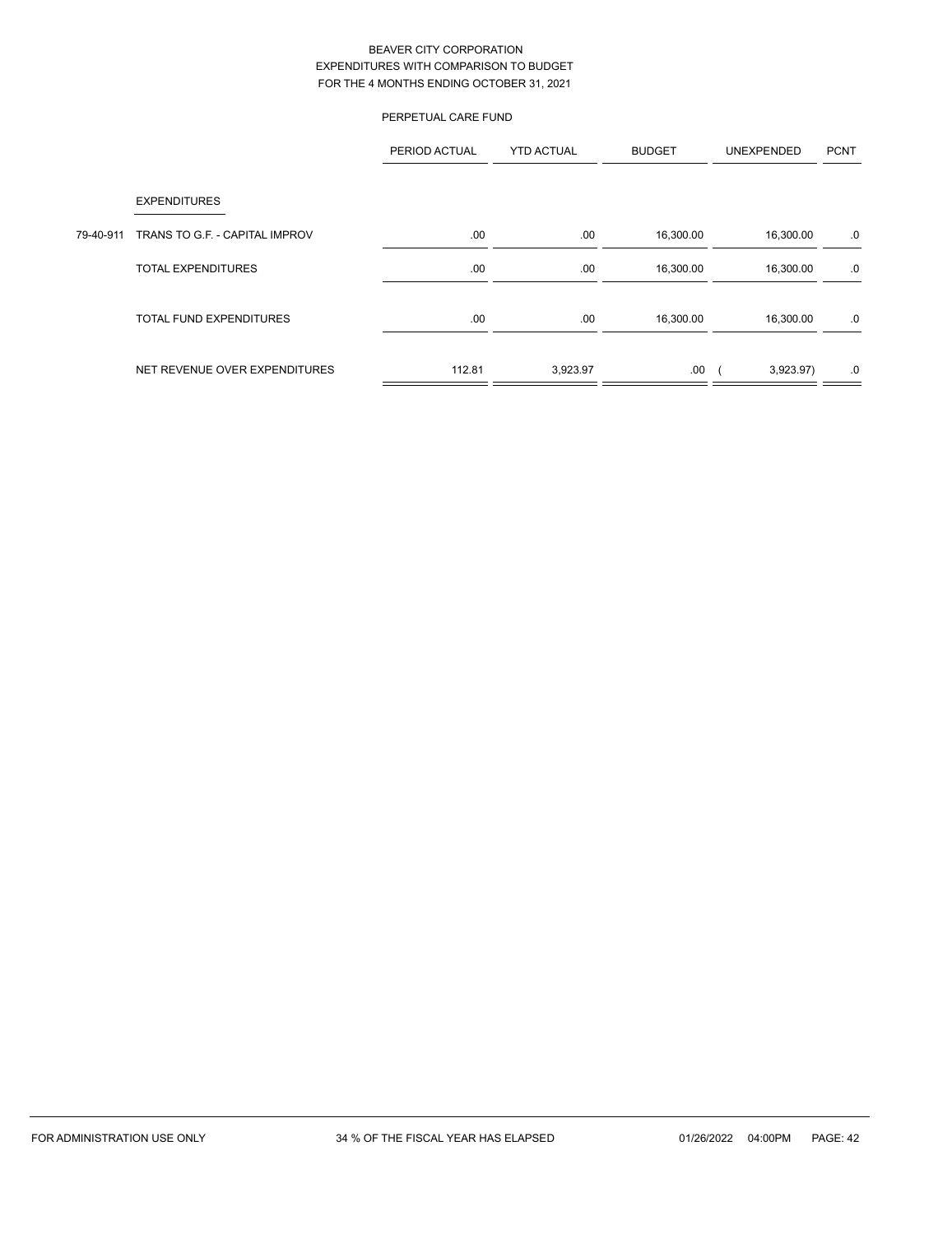|           |                                | PERPETUAL CARE FUND |                   |               |                   |             |
|-----------|--------------------------------|---------------------|-------------------|---------------|-------------------|-------------|
|           |                                | PERIOD ACTUAL       | <b>YTD ACTUAL</b> | <b>BUDGET</b> | <b>UNEXPENDED</b> | <b>PCNT</b> |
|           | <b>EXPENDITURES</b>            |                     |                   |               |                   |             |
| 79-40-911 | TRANS TO G.F. - CAPITAL IMPROV | .00.                | .00               | 16,300.00     | 16,300.00         | .0          |
|           | <b>TOTAL EXPENDITURES</b>      | .00                 | .00               | 16,300.00     | 16,300.00         | .0          |
|           | <b>TOTAL FUND EXPENDITURES</b> | .00                 | .00               | 16,300.00     | 16,300.00         | .0          |
|           | NET REVENUE OVER EXPENDITURES  | 112.81              | 3,923.97          | .00           | 3,923.97)         | .0          |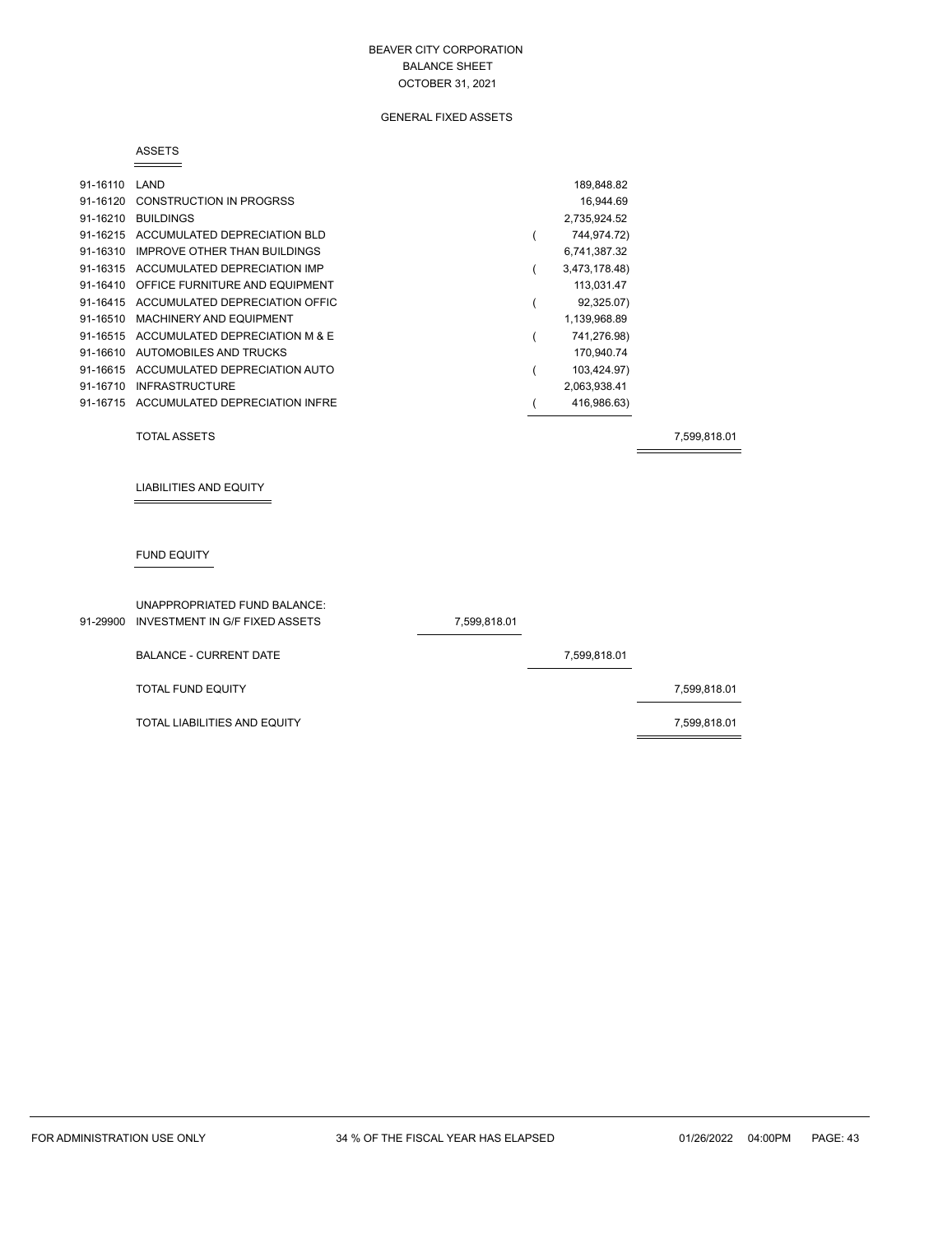#### GENERAL FIXED ASSETS

#### ASSETS

| 91-16110 | LAND                                    | 189.848.82    |
|----------|-----------------------------------------|---------------|
| 91-16120 | <b>CONSTRUCTION IN PROGRSS</b>          | 16,944.69     |
| 91-16210 | <b>BUILDINGS</b>                        | 2,735,924.52  |
|          | 91-16215 ACCUMULATED DEPRECIATION BLD   | 744,974.72)   |
| 91-16310 | IMPROVE OTHER THAN BUILDINGS            | 6,741,387.32  |
|          | 91-16315 ACCUMULATED DEPRECIATION IMP   | 3,473,178.48) |
| 91-16410 | OFFICE FURNITURE AND EQUIPMENT          | 113,031.47    |
| 91-16415 | ACCUMULATED DEPRECIATION OFFIC          | 92,325.07)    |
| 91-16510 | MACHINERY AND EQUIPMENT                 | 1,139,968.89  |
| 91-16515 | ACCUMULATED DEPRECIATION M & E          | 741,276.98)   |
| 91-16610 | AUTOMOBILES AND TRUCKS                  | 170,940.74    |
| 91-16615 | ACCUMULATED DEPRECIATION AUTO           | 103,424.97)   |
| 91-16710 | <b>INFRASTRUCTURE</b>                   | 2,063,938.41  |
|          | 91-16715 ACCUMULATED DEPRECIATION INFRE | 416,986.63)   |

TOTAL ASSETS 7,599,818.01

LIABILITIES AND EQUITY

## FUND EQUITY

| UNAPPROPRIATED FUND BALANCE:<br>91-29900 INVESTMENT IN G/F FIXED ASSETS | 7,599,818.01 |              |              |
|-------------------------------------------------------------------------|--------------|--------------|--------------|
| <b>BALANCE - CURRENT DATE</b>                                           |              | 7,599,818.01 |              |
| <b>TOTAL FUND EQUITY</b>                                                |              |              | 7,599,818.01 |
| <b>TOTAL LIABILITIES AND EQUITY</b>                                     |              |              | 7,599,818.01 |